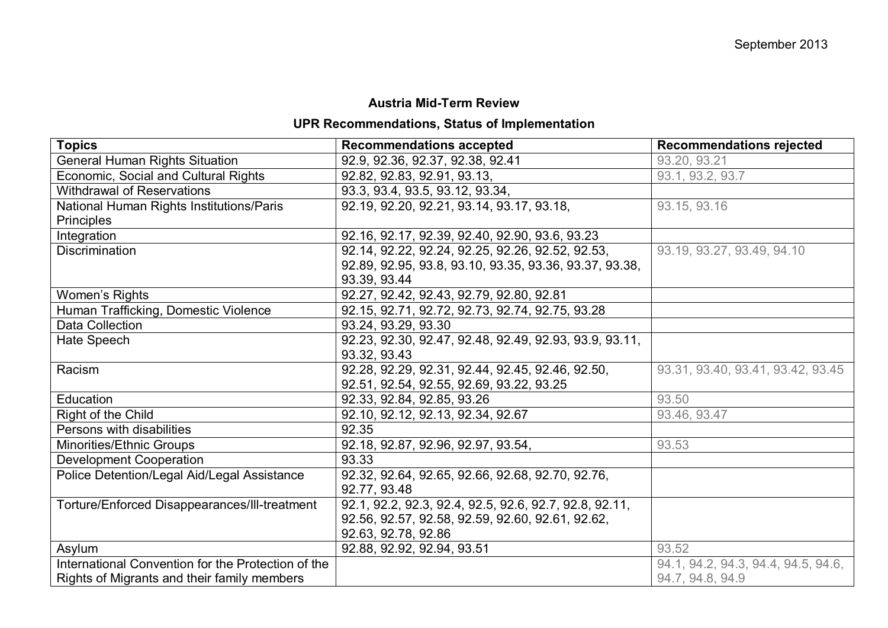## **Austria Mid-Term Review**

## **UPR Recommendations, Status of Implementation**

| <b>Topics</b>                                      | <b>Recommendations accepted</b>                        | <b>Recommendations rejected</b>     |
|----------------------------------------------------|--------------------------------------------------------|-------------------------------------|
| <b>General Human Rights Situation</b>              | 92.9, 92.36, 92.37, 92.38, 92.41                       | 93.20, 93.21                        |
| Economic, Social and Cultural Rights               | 92.82, 92.83, 92.91, 93.13,                            | 93.1, 93.2, 93.7                    |
| <b>Withdrawal of Reservations</b>                  | 93.3, 93.4, 93.5, 93.12, 93.34,                        |                                     |
| National Human Rights Institutions/Paris           | 92.19, 92.20, 92.21, 93.14, 93.17, 93.18,              | 93.15, 93.16                        |
| <b>Principles</b>                                  |                                                        |                                     |
| Integration                                        | 92.16, 92.17, 92.39, 92.40, 92.90, 93.6, 93.23         |                                     |
| Discrimination                                     | 92.14, 92.22, 92.24, 92.25, 92.26, 92.52, 92.53,       | 93.19, 93.27, 93.49, 94.10          |
|                                                    | 92.89, 92.95, 93.8, 93.10, 93.35, 93.36, 93.37, 93.38, |                                     |
|                                                    | 93.39, 93.44                                           |                                     |
| Women's Rights                                     | 92.27, 92.42, 92.43, 92.79, 92.80, 92.81               |                                     |
| Human Trafficking, Domestic Violence               | 92.15, 92.71, 92.72, 92.73, 92.74, 92.75, 93.28        |                                     |
| Data Collection                                    | 93.24, 93.29, 93.30                                    |                                     |
| Hate Speech                                        | 92.23, 92.30, 92.47, 92.48, 92.49, 92.93, 93.9, 93.11, |                                     |
|                                                    | 93.32, 93.43                                           |                                     |
| Racism                                             | 92.28, 92.29, 92.31, 92.44, 92.45, 92.46, 92.50,       | 93.31, 93.40, 93.41, 93.42, 93.45   |
|                                                    | 92.51, 92.54, 92.55, 92.69, 93.22, 93.25               |                                     |
| Education                                          | 92.33, 92.84, 92.85, 93.26                             | 93.50                               |
| Right of the Child                                 | 92.10, 92.12, 92.13, 92.34, 92.67                      | 93.46, 93.47                        |
| Persons with disabilities                          | 92.35                                                  |                                     |
| Minorities/Ethnic Groups                           | 92.18, 92.87, 92.96, 92.97, 93.54,                     | 93.53                               |
| <b>Development Cooperation</b>                     | 93.33                                                  |                                     |
| Police Detention/Legal Aid/Legal Assistance        | 92.32, 92.64, 92.65, 92.66, 92.68, 92.70, 92.76,       |                                     |
|                                                    | 92.77, 93.48                                           |                                     |
| Torture/Enforced Disappearances/III-treatment      | 92.1, 92.2, 92.3, 92.4, 92.5, 92.6, 92.7, 92.8, 92.11, |                                     |
|                                                    | 92.56, 92.57, 92.58, 92.59, 92.60, 92.61, 92.62,       |                                     |
|                                                    | 92.63, 92.78, 92.86                                    |                                     |
| Asylum                                             | 92.88, 92.92, 92.94, 93.51                             | 93.52                               |
| International Convention for the Protection of the |                                                        | 94.1, 94.2, 94.3, 94.4, 94.5, 94.6, |
| Rights of Migrants and their family members        |                                                        | 94.7, 94.8, 94.9                    |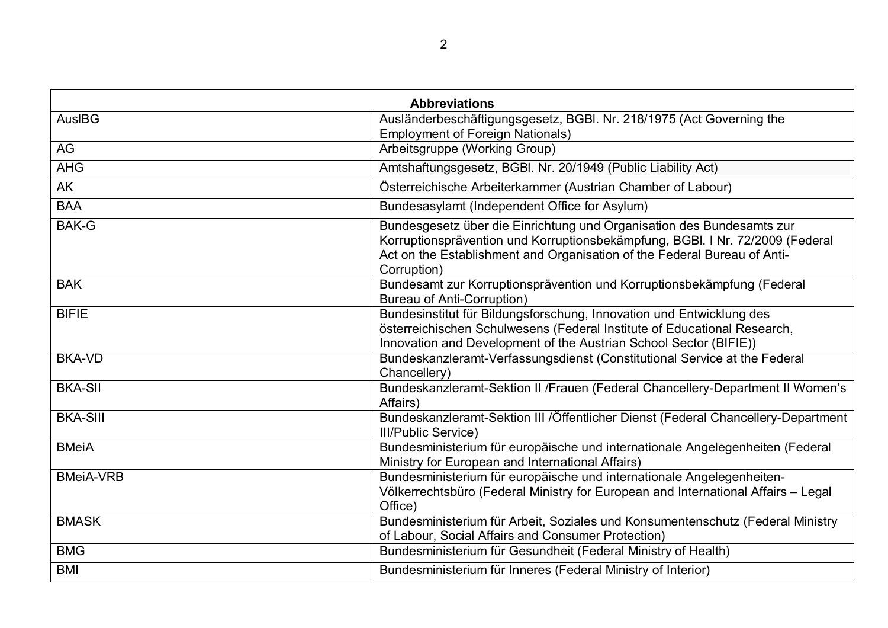|                  | <b>Abbreviations</b>                                                                                                                                                                                                                              |
|------------------|---------------------------------------------------------------------------------------------------------------------------------------------------------------------------------------------------------------------------------------------------|
| AusIBG           | Ausländerbeschäftigungsgesetz, BGBI. Nr. 218/1975 (Act Governing the<br><b>Employment of Foreign Nationals)</b>                                                                                                                                   |
| AG               | Arbeitsgruppe (Working Group)                                                                                                                                                                                                                     |
| <b>AHG</b>       | Amtshaftungsgesetz, BGBI. Nr. 20/1949 (Public Liability Act)                                                                                                                                                                                      |
| <b>AK</b>        | Österreichische Arbeiterkammer (Austrian Chamber of Labour)                                                                                                                                                                                       |
| <b>BAA</b>       | Bundesasylamt (Independent Office for Asylum)                                                                                                                                                                                                     |
| <b>BAK-G</b>     | Bundesgesetz über die Einrichtung und Organisation des Bundesamts zur<br>Korruptionsprävention und Korruptionsbekämpfung, BGBI. I Nr. 72/2009 (Federal<br>Act on the Establishment and Organisation of the Federal Bureau of Anti-<br>Corruption) |
| <b>BAK</b>       | Bundesamt zur Korruptionsprävention und Korruptionsbekämpfung (Federal<br><b>Bureau of Anti-Corruption)</b>                                                                                                                                       |
| <b>BIFIE</b>     | Bundesinstitut für Bildungsforschung, Innovation und Entwicklung des<br>österreichischen Schulwesens (Federal Institute of Educational Research,<br>Innovation and Development of the Austrian School Sector (BIFIE))                             |
| <b>BKA-VD</b>    | Bundeskanzleramt-Verfassungsdienst (Constitutional Service at the Federal<br>Chancellery)                                                                                                                                                         |
| <b>BKA-SII</b>   | Bundeskanzleramt-Sektion II / Frauen (Federal Chancellery-Department II Women's<br>Affairs)                                                                                                                                                       |
| <b>BKA-SIII</b>  | Bundeskanzleramt-Sektion III /Öffentlicher Dienst (Federal Chancellery-Department<br><b>III/Public Service)</b>                                                                                                                                   |
| <b>BMeiA</b>     | Bundesministerium für europäische und internationale Angelegenheiten (Federal<br>Ministry for European and International Affairs)                                                                                                                 |
| <b>BMeiA-VRB</b> | Bundesministerium für europäische und internationale Angelegenheiten-<br>Völkerrechtsbüro (Federal Ministry for European and International Affairs - Legal<br>Office)                                                                             |
| <b>BMASK</b>     | Bundesministerium für Arbeit, Soziales und Konsumentenschutz (Federal Ministry<br>of Labour, Social Affairs and Consumer Protection)                                                                                                              |
| <b>BMG</b>       | Bundesministerium für Gesundheit (Federal Ministry of Health)                                                                                                                                                                                     |
| <b>BMI</b>       | Bundesministerium für Inneres (Federal Ministry of Interior)                                                                                                                                                                                      |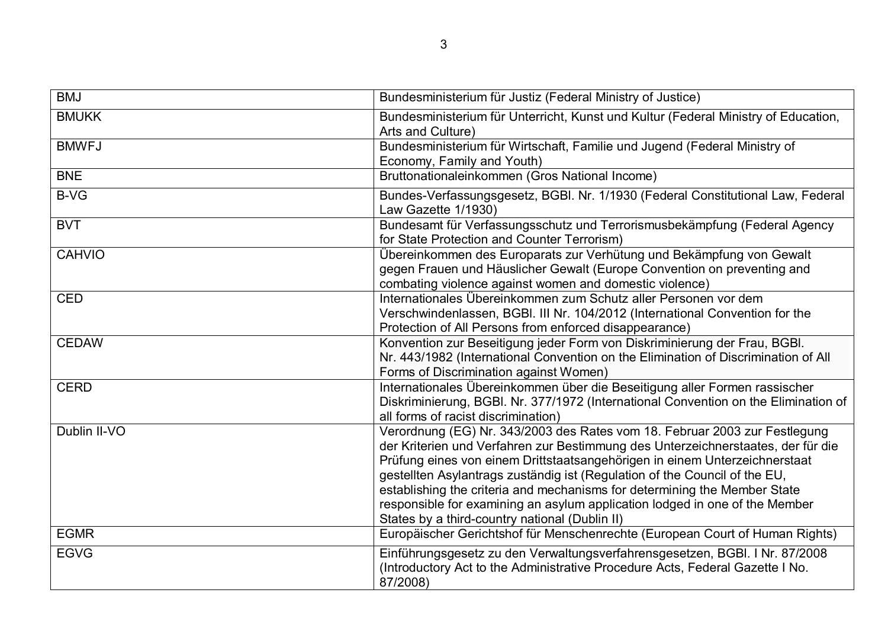| <b>BMJ</b>    | Bundesministerium für Justiz (Federal Ministry of Justice)                                                                                                                                                                                                                                                                                                                                                                                                                                                                               |
|---------------|------------------------------------------------------------------------------------------------------------------------------------------------------------------------------------------------------------------------------------------------------------------------------------------------------------------------------------------------------------------------------------------------------------------------------------------------------------------------------------------------------------------------------------------|
| <b>BMUKK</b>  | Bundesministerium für Unterricht, Kunst und Kultur (Federal Ministry of Education,<br>Arts and Culture)                                                                                                                                                                                                                                                                                                                                                                                                                                  |
| <b>BMWFJ</b>  | Bundesministerium für Wirtschaft, Familie und Jugend (Federal Ministry of<br>Economy, Family and Youth)                                                                                                                                                                                                                                                                                                                                                                                                                                  |
| <b>BNE</b>    | Bruttonationaleinkommen (Gros National Income)                                                                                                                                                                                                                                                                                                                                                                                                                                                                                           |
| <b>B-VG</b>   | Bundes-Verfassungsgesetz, BGBI. Nr. 1/1930 (Federal Constitutional Law, Federal<br>Law Gazette 1/1930)                                                                                                                                                                                                                                                                                                                                                                                                                                   |
| <b>BVT</b>    | Bundesamt für Verfassungsschutz und Terrorismusbekämpfung (Federal Agency<br>for State Protection and Counter Terrorism)                                                                                                                                                                                                                                                                                                                                                                                                                 |
| <b>CAHVIO</b> | Übereinkommen des Europarats zur Verhütung und Bekämpfung von Gewalt<br>gegen Frauen und Häuslicher Gewalt (Europe Convention on preventing and<br>combating violence against women and domestic violence)                                                                                                                                                                                                                                                                                                                               |
| <b>CED</b>    | Internationales Übereinkommen zum Schutz aller Personen vor dem<br>Verschwindenlassen, BGBI. III Nr. 104/2012 (International Convention for the<br>Protection of All Persons from enforced disappearance)                                                                                                                                                                                                                                                                                                                                |
| <b>CEDAW</b>  | Konvention zur Beseitigung jeder Form von Diskriminierung der Frau, BGBI.<br>Nr. 443/1982 (International Convention on the Elimination of Discrimination of All<br>Forms of Discrimination against Women)                                                                                                                                                                                                                                                                                                                                |
| <b>CERD</b>   | Internationales Übereinkommen über die Beseitigung aller Formen rassischer<br>Diskriminierung, BGBI. Nr. 377/1972 (International Convention on the Elimination of<br>all forms of racist discrimination)                                                                                                                                                                                                                                                                                                                                 |
| Dublin II-VO  | Verordnung (EG) Nr. 343/2003 des Rates vom 18. Februar 2003 zur Festlegung<br>der Kriterien und Verfahren zur Bestimmung des Unterzeichnerstaates, der für die<br>Prüfung eines von einem Drittstaatsangehörigen in einem Unterzeichnerstaat<br>gestellten Asylantrags zuständig ist (Regulation of the Council of the EU,<br>establishing the criteria and mechanisms for determining the Member State<br>responsible for examining an asylum application lodged in one of the Member<br>States by a third-country national (Dublin II) |
| <b>EGMR</b>   | Europäischer Gerichtshof für Menschenrechte (European Court of Human Rights)                                                                                                                                                                                                                                                                                                                                                                                                                                                             |
| <b>EGVG</b>   | Einführungsgesetz zu den Verwaltungsverfahrensgesetzen, BGBI. I Nr. 87/2008<br>(Introductory Act to the Administrative Procedure Acts, Federal Gazette I No.<br>87/2008)                                                                                                                                                                                                                                                                                                                                                                 |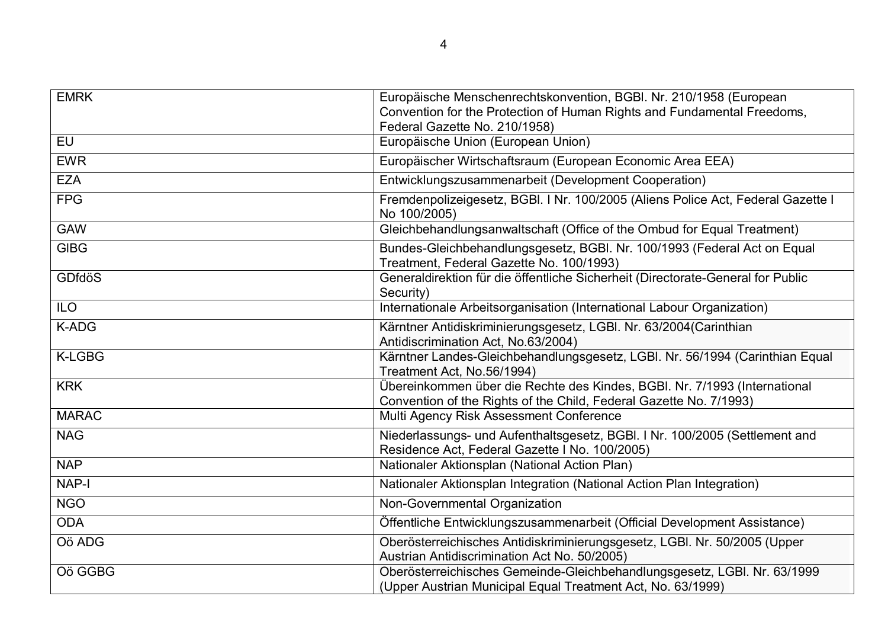| <b>EMRK</b>   | Europäische Menschenrechtskonvention, BGBI. Nr. 210/1958 (European                                                                              |
|---------------|-------------------------------------------------------------------------------------------------------------------------------------------------|
|               | Convention for the Protection of Human Rights and Fundamental Freedoms,                                                                         |
|               | Federal Gazette No. 210/1958)                                                                                                                   |
| <b>EU</b>     | Europäische Union (European Union)                                                                                                              |
| <b>EWR</b>    | Europäischer Wirtschaftsraum (European Economic Area EEA)                                                                                       |
| <b>EZA</b>    | Entwicklungszusammenarbeit (Development Cooperation)                                                                                            |
| <b>FPG</b>    | Fremdenpolizeigesetz, BGBI. I Nr. 100/2005 (Aliens Police Act, Federal Gazette I<br>No 100/2005)                                                |
| <b>GAW</b>    | Gleichbehandlungsanwaltschaft (Office of the Ombud for Equal Treatment)                                                                         |
| <b>GIBG</b>   | Bundes-Gleichbehandlungsgesetz, BGBI. Nr. 100/1993 (Federal Act on Equal<br>Treatment, Federal Gazette No. 100/1993)                            |
| <b>GDfdöS</b> | Generaldirektion für die öffentliche Sicherheit (Directorate-General for Public<br>Security)                                                    |
| <b>ILO</b>    | Internationale Arbeitsorganisation (International Labour Organization)                                                                          |
| K-ADG         | Kärntner Antidiskriminierungsgesetz, LGBI. Nr. 63/2004(Carinthian<br>Antidiscrimination Act, No.63/2004)                                        |
| <b>K-LGBG</b> | Kärntner Landes-Gleichbehandlungsgesetz, LGBI. Nr. 56/1994 (Carinthian Equal<br>Treatment Act, No.56/1994)                                      |
| <b>KRK</b>    | Übereinkommen über die Rechte des Kindes, BGBI. Nr. 7/1993 (International<br>Convention of the Rights of the Child, Federal Gazette No. 7/1993) |
| <b>MARAC</b>  | Multi Agency Risk Assessment Conference                                                                                                         |
| <b>NAG</b>    | Niederlassungs- und Aufenthaltsgesetz, BGBI. I Nr. 100/2005 (Settlement and<br>Residence Act, Federal Gazette I No. 100/2005)                   |
| <b>NAP</b>    | Nationaler Aktionsplan (National Action Plan)                                                                                                   |
| <b>NAP-I</b>  | Nationaler Aktionsplan Integration (National Action Plan Integration)                                                                           |
| <b>NGO</b>    | Non-Governmental Organization                                                                                                                   |
| <b>ODA</b>    | Öffentliche Entwicklungszusammenarbeit (Official Development Assistance)                                                                        |
| Oö ADG        | Oberösterreichisches Antidiskriminierungsgesetz, LGBI. Nr. 50/2005 (Upper<br>Austrian Antidiscrimination Act No. 50/2005)                       |
| Oö GGBG       | Oberösterreichisches Gemeinde-Gleichbehandlungsgesetz, LGBI. Nr. 63/1999<br>(Upper Austrian Municipal Equal Treatment Act, No. 63/1999)         |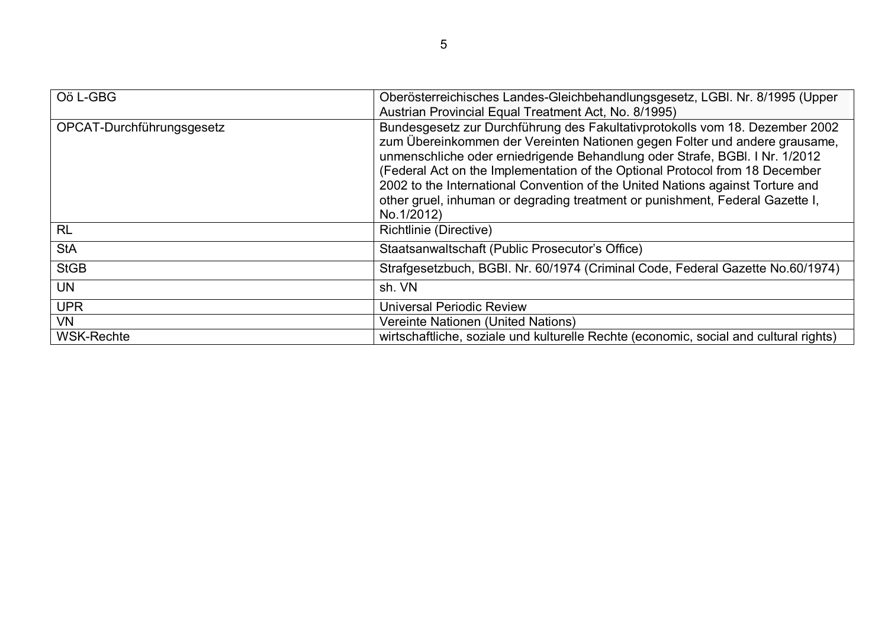| Oö L-GBG                  | Oberösterreichisches Landes-Gleichbehandlungsgesetz, LGBI. Nr. 8/1995 (Upper<br>Austrian Provincial Equal Treatment Act, No. 8/1995)                                                                                                                                                                                                                                                                                                                                                                       |
|---------------------------|------------------------------------------------------------------------------------------------------------------------------------------------------------------------------------------------------------------------------------------------------------------------------------------------------------------------------------------------------------------------------------------------------------------------------------------------------------------------------------------------------------|
| OPCAT-Durchführungsgesetz | Bundesgesetz zur Durchführung des Fakultativprotokolls vom 18. Dezember 2002<br>zum Übereinkommen der Vereinten Nationen gegen Folter und andere grausame,<br>unmenschliche oder erniedrigende Behandlung oder Strafe, BGBI. I Nr. 1/2012<br>(Federal Act on the Implementation of the Optional Protocol from 18 December<br>2002 to the International Convention of the United Nations against Torture and<br>other gruel, inhuman or degrading treatment or punishment, Federal Gazette I,<br>No.1/2012) |
| <b>RL</b>                 | Richtlinie (Directive)                                                                                                                                                                                                                                                                                                                                                                                                                                                                                     |
| <b>StA</b>                | Staatsanwaltschaft (Public Prosecutor's Office)                                                                                                                                                                                                                                                                                                                                                                                                                                                            |
| <b>StGB</b>               | Strafgesetzbuch, BGBI. Nr. 60/1974 (Criminal Code, Federal Gazette No.60/1974)                                                                                                                                                                                                                                                                                                                                                                                                                             |
| <b>UN</b>                 | sh. VN                                                                                                                                                                                                                                                                                                                                                                                                                                                                                                     |
| <b>UPR</b>                | <b>Universal Periodic Review</b>                                                                                                                                                                                                                                                                                                                                                                                                                                                                           |
| <b>VN</b>                 | Vereinte Nationen (United Nations)                                                                                                                                                                                                                                                                                                                                                                                                                                                                         |
| <b>WSK-Rechte</b>         | wirtschaftliche, soziale und kulturelle Rechte (economic, social and cultural rights)                                                                                                                                                                                                                                                                                                                                                                                                                      |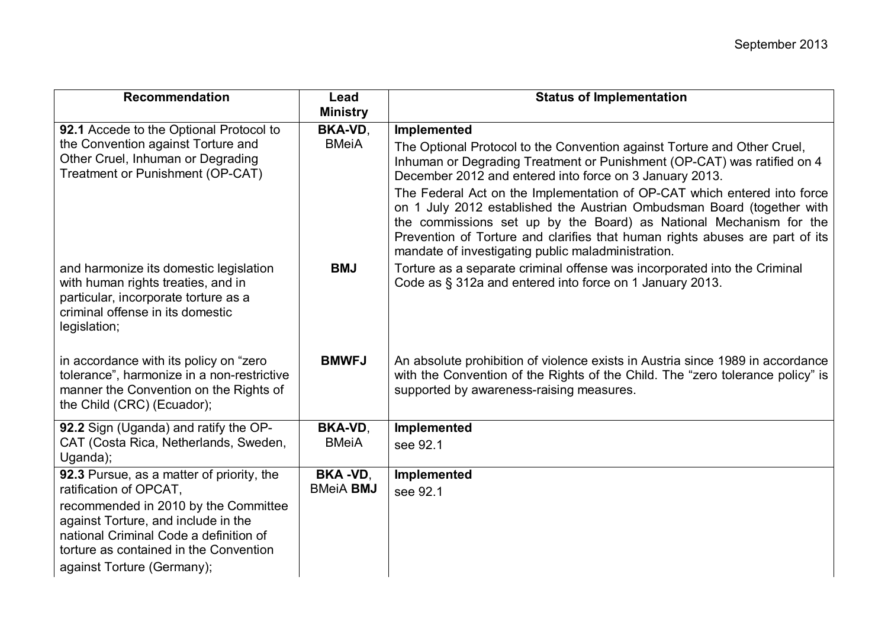| <b>Recommendation</b>                                                                                                                                                    | Lead<br><b>Ministry</b> | <b>Status of Implementation</b>                                                                                                                                                                                                                                                                                                                                |
|--------------------------------------------------------------------------------------------------------------------------------------------------------------------------|-------------------------|----------------------------------------------------------------------------------------------------------------------------------------------------------------------------------------------------------------------------------------------------------------------------------------------------------------------------------------------------------------|
| 92.1 Accede to the Optional Protocol to                                                                                                                                  | <b>BKA-VD,</b>          | Implemented                                                                                                                                                                                                                                                                                                                                                    |
| the Convention against Torture and                                                                                                                                       | <b>BMeiA</b>            | The Optional Protocol to the Convention against Torture and Other Cruel,                                                                                                                                                                                                                                                                                       |
| Other Cruel, Inhuman or Degrading                                                                                                                                        |                         | Inhuman or Degrading Treatment or Punishment (OP-CAT) was ratified on 4                                                                                                                                                                                                                                                                                        |
| Treatment or Punishment (OP-CAT)                                                                                                                                         |                         | December 2012 and entered into force on 3 January 2013.                                                                                                                                                                                                                                                                                                        |
|                                                                                                                                                                          |                         | The Federal Act on the Implementation of OP-CAT which entered into force<br>on 1 July 2012 established the Austrian Ombudsman Board (together with<br>the commissions set up by the Board) as National Mechanism for the<br>Prevention of Torture and clarifies that human rights abuses are part of its<br>mandate of investigating public maladministration. |
| and harmonize its domestic legislation<br>with human rights treaties, and in<br>particular, incorporate torture as a<br>criminal offense in its domestic<br>legislation; | <b>BMJ</b>              | Torture as a separate criminal offense was incorporated into the Criminal<br>Code as § 312a and entered into force on 1 January 2013.                                                                                                                                                                                                                          |
| in accordance with its policy on "zero"<br>tolerance", harmonize in a non-restrictive<br>manner the Convention on the Rights of<br>the Child (CRC) (Ecuador);            | <b>BMWFJ</b>            | An absolute prohibition of violence exists in Austria since 1989 in accordance<br>with the Convention of the Rights of the Child. The "zero tolerance policy" is<br>supported by awareness-raising measures.                                                                                                                                                   |
| 92.2 Sign (Uganda) and ratify the OP-                                                                                                                                    | <b>BKA-VD,</b>          | Implemented                                                                                                                                                                                                                                                                                                                                                    |
| CAT (Costa Rica, Netherlands, Sweden,<br>Uganda);                                                                                                                        | <b>BMeiA</b>            | see 92.1                                                                                                                                                                                                                                                                                                                                                       |
| 92.3 Pursue, as a matter of priority, the                                                                                                                                | <b>BKA-VD,</b>          | Implemented                                                                                                                                                                                                                                                                                                                                                    |
| ratification of OPCAT,                                                                                                                                                   | <b>BMeiA BMJ</b>        | see 92.1                                                                                                                                                                                                                                                                                                                                                       |
| recommended in 2010 by the Committee<br>against Torture, and include in the                                                                                              |                         |                                                                                                                                                                                                                                                                                                                                                                |
| national Criminal Code a definition of                                                                                                                                   |                         |                                                                                                                                                                                                                                                                                                                                                                |
| torture as contained in the Convention                                                                                                                                   |                         |                                                                                                                                                                                                                                                                                                                                                                |
| against Torture (Germany);                                                                                                                                               |                         |                                                                                                                                                                                                                                                                                                                                                                |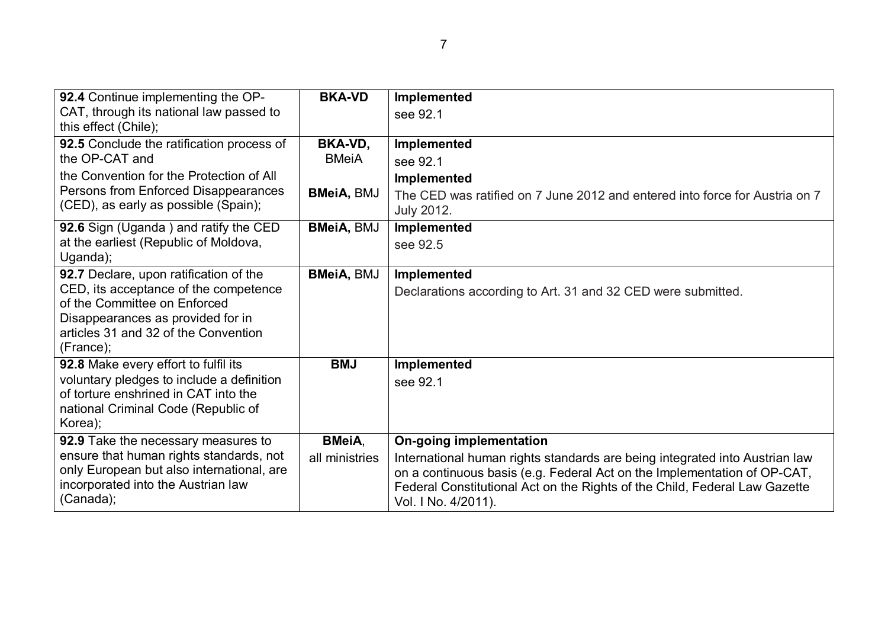| 92.4 Continue implementing the OP-                                              | <b>BKA-VD</b>     | Implemented                                                                                       |
|---------------------------------------------------------------------------------|-------------------|---------------------------------------------------------------------------------------------------|
| CAT, through its national law passed to<br>this effect (Chile);                 |                   | see 92.1                                                                                          |
| 92.5 Conclude the ratification process of                                       | BKA-VD,           | Implemented                                                                                       |
| the OP-CAT and                                                                  | <b>BMeiA</b>      | see 92.1                                                                                          |
| the Convention for the Protection of All                                        |                   | <b>Implemented</b>                                                                                |
| Persons from Enforced Disappearances<br>(CED), as early as possible (Spain);    | <b>BMeiA, BMJ</b> | The CED was ratified on 7 June 2012 and entered into force for Austria on 7<br><b>July 2012.</b>  |
| 92.6 Sign (Uganda) and ratify the CED                                           | <b>BMeiA, BMJ</b> | Implemented                                                                                       |
| at the earliest (Republic of Moldova,                                           |                   | see 92.5                                                                                          |
| Uganda);                                                                        |                   |                                                                                                   |
| 92.7 Declare, upon ratification of the                                          | <b>BMeiA, BMJ</b> | Implemented                                                                                       |
| CED, its acceptance of the competence<br>of the Committee on Enforced           |                   | Declarations according to Art. 31 and 32 CED were submitted.                                      |
| Disappearances as provided for in                                               |                   |                                                                                                   |
| articles 31 and 32 of the Convention                                            |                   |                                                                                                   |
| (France);                                                                       |                   |                                                                                                   |
| 92.8 Make every effort to fulfil its                                            | <b>BMJ</b>        | Implemented                                                                                       |
| voluntary pledges to include a definition                                       |                   | see 92.1                                                                                          |
| of torture enshrined in CAT into the                                            |                   |                                                                                                   |
| national Criminal Code (Republic of                                             |                   |                                                                                                   |
| Korea);                                                                         |                   |                                                                                                   |
| 92.9 Take the necessary measures to                                             | <b>BMeiA,</b>     | <b>On-going implementation</b>                                                                    |
| ensure that human rights standards, not                                         | all ministries    | International human rights standards are being integrated into Austrian law                       |
| only European but also international, are<br>incorporated into the Austrian law |                   | on a continuous basis (e.g. Federal Act on the Implementation of OP-CAT,                          |
| (Canada);                                                                       |                   | Federal Constitutional Act on the Rights of the Child, Federal Law Gazette<br>Vol. I No. 4/2011). |
|                                                                                 |                   |                                                                                                   |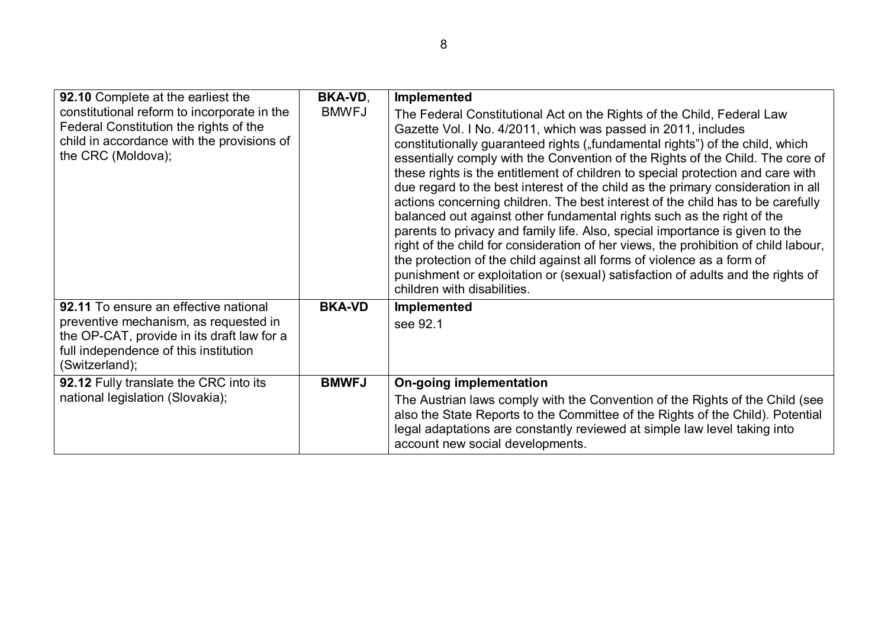| 92.10 Complete at the earliest the                                                                                                                                                      | <b>BKA-VD,</b> | Implemented                                                                                                                                                                                                                                                                                                                                                                                                                                                                                                                                                                                                                                                                                                                                                                                                                                                                                                                                                                                                       |
|-----------------------------------------------------------------------------------------------------------------------------------------------------------------------------------------|----------------|-------------------------------------------------------------------------------------------------------------------------------------------------------------------------------------------------------------------------------------------------------------------------------------------------------------------------------------------------------------------------------------------------------------------------------------------------------------------------------------------------------------------------------------------------------------------------------------------------------------------------------------------------------------------------------------------------------------------------------------------------------------------------------------------------------------------------------------------------------------------------------------------------------------------------------------------------------------------------------------------------------------------|
| constitutional reform to incorporate in the<br>Federal Constitution the rights of the<br>child in accordance with the provisions of<br>the CRC (Moldova);                               | <b>BMWFJ</b>   | The Federal Constitutional Act on the Rights of the Child, Federal Law<br>Gazette Vol. I No. 4/2011, which was passed in 2011, includes<br>constitutionally guaranteed rights ("fundamental rights") of the child, which<br>essentially comply with the Convention of the Rights of the Child. The core of<br>these rights is the entitlement of children to special protection and care with<br>due regard to the best interest of the child as the primary consideration in all<br>actions concerning children. The best interest of the child has to be carefully<br>balanced out against other fundamental rights such as the right of the<br>parents to privacy and family life. Also, special importance is given to the<br>right of the child for consideration of her views, the prohibition of child labour,<br>the protection of the child against all forms of violence as a form of<br>punishment or exploitation or (sexual) satisfaction of adults and the rights of<br>children with disabilities. |
| 92.11 To ensure an effective national<br>preventive mechanism, as requested in<br>the OP-CAT, provide in its draft law for a<br>full independence of this institution<br>(Switzerland); | <b>BKA-VD</b>  | Implemented<br>see 92.1                                                                                                                                                                                                                                                                                                                                                                                                                                                                                                                                                                                                                                                                                                                                                                                                                                                                                                                                                                                           |
| 92.12 Fully translate the CRC into its<br>national legislation (Slovakia);                                                                                                              | <b>BMWFJ</b>   | On-going implementation<br>The Austrian laws comply with the Convention of the Rights of the Child (see<br>also the State Reports to the Committee of the Rights of the Child). Potential<br>legal adaptations are constantly reviewed at simple law level taking into<br>account new social developments.                                                                                                                                                                                                                                                                                                                                                                                                                                                                                                                                                                                                                                                                                                        |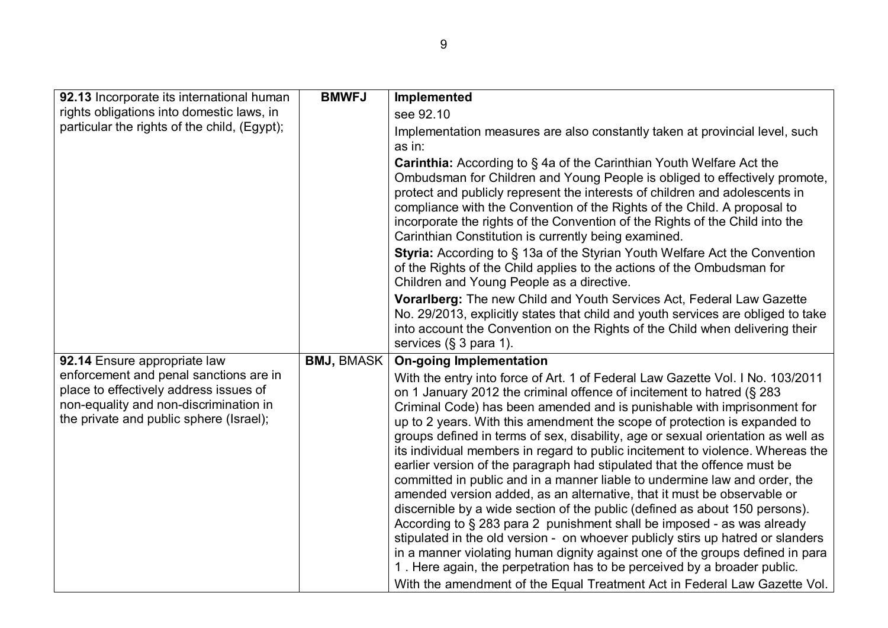| 92.13 Incorporate its international human                                                                                                                             | <b>BMWFJ</b>      | Implemented                                                                                                                                                                                                                                                                                                                                                                                                                                                                                                                                                                                                                                                                                                                                                                                                                                                                                                                                                                                                                                                                                                                                                                                                      |
|-----------------------------------------------------------------------------------------------------------------------------------------------------------------------|-------------------|------------------------------------------------------------------------------------------------------------------------------------------------------------------------------------------------------------------------------------------------------------------------------------------------------------------------------------------------------------------------------------------------------------------------------------------------------------------------------------------------------------------------------------------------------------------------------------------------------------------------------------------------------------------------------------------------------------------------------------------------------------------------------------------------------------------------------------------------------------------------------------------------------------------------------------------------------------------------------------------------------------------------------------------------------------------------------------------------------------------------------------------------------------------------------------------------------------------|
| rights obligations into domestic laws, in                                                                                                                             |                   | see 92.10                                                                                                                                                                                                                                                                                                                                                                                                                                                                                                                                                                                                                                                                                                                                                                                                                                                                                                                                                                                                                                                                                                                                                                                                        |
| particular the rights of the child, (Egypt);                                                                                                                          |                   | Implementation measures are also constantly taken at provincial level, such<br>as in:                                                                                                                                                                                                                                                                                                                                                                                                                                                                                                                                                                                                                                                                                                                                                                                                                                                                                                                                                                                                                                                                                                                            |
|                                                                                                                                                                       |                   | <b>Carinthia:</b> According to §4a of the Carinthian Youth Welfare Act the<br>Ombudsman for Children and Young People is obliged to effectively promote,<br>protect and publicly represent the interests of children and adolescents in<br>compliance with the Convention of the Rights of the Child. A proposal to<br>incorporate the rights of the Convention of the Rights of the Child into the<br>Carinthian Constitution is currently being examined.<br><b>Styria:</b> According to § 13a of the Styrian Youth Welfare Act the Convention<br>of the Rights of the Child applies to the actions of the Ombudsman for<br>Children and Young People as a directive.                                                                                                                                                                                                                                                                                                                                                                                                                                                                                                                                          |
|                                                                                                                                                                       |                   | <b>Vorariberg:</b> The new Child and Youth Services Act, Federal Law Gazette<br>No. 29/2013, explicitly states that child and youth services are obliged to take<br>into account the Convention on the Rights of the Child when delivering their<br>services (§ 3 para 1).                                                                                                                                                                                                                                                                                                                                                                                                                                                                                                                                                                                                                                                                                                                                                                                                                                                                                                                                       |
| 92.14 Ensure appropriate law                                                                                                                                          | <b>BMJ, BMASK</b> | <b>On-going Implementation</b>                                                                                                                                                                                                                                                                                                                                                                                                                                                                                                                                                                                                                                                                                                                                                                                                                                                                                                                                                                                                                                                                                                                                                                                   |
| enforcement and penal sanctions are in<br>place to effectively address issues of<br>non-equality and non-discrimination in<br>the private and public sphere (Israel); |                   | With the entry into force of Art. 1 of Federal Law Gazette Vol. I No. 103/2011<br>on 1 January 2012 the criminal offence of incitement to hatred (§ 283<br>Criminal Code) has been amended and is punishable with imprisonment for<br>up to 2 years. With this amendment the scope of protection is expanded to<br>groups defined in terms of sex, disability, age or sexual orientation as well as<br>its individual members in regard to public incitement to violence. Whereas the<br>earlier version of the paragraph had stipulated that the offence must be<br>committed in public and in a manner liable to undermine law and order, the<br>amended version added, as an alternative, that it must be observable or<br>discernible by a wide section of the public (defined as about 150 persons).<br>According to § 283 para 2 punishment shall be imposed - as was already<br>stipulated in the old version - on whoever publicly stirs up hatred or slanders<br>in a manner violating human dignity against one of the groups defined in para<br>1. Here again, the perpetration has to be perceived by a broader public.<br>With the amendment of the Equal Treatment Act in Federal Law Gazette Vol. |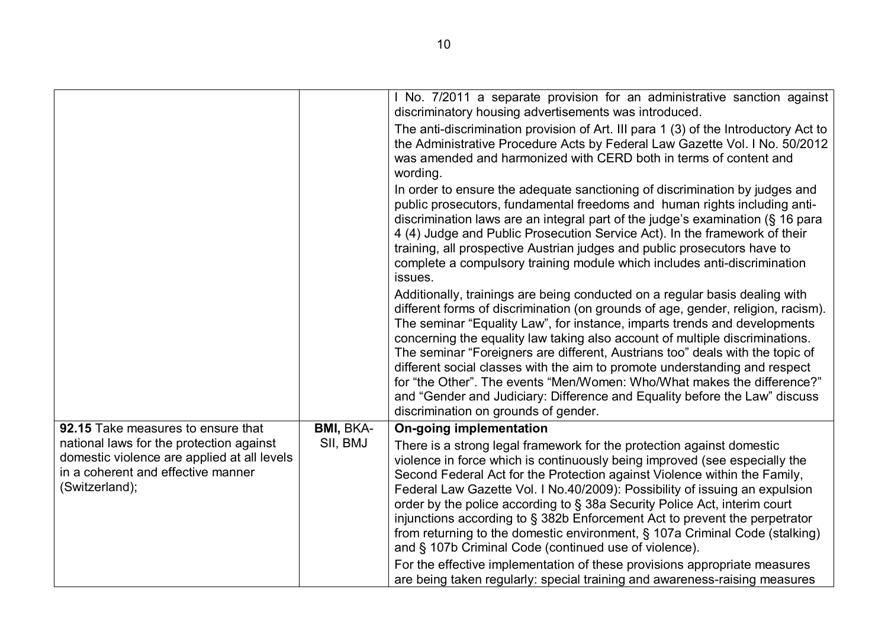|                                                                                                                                                 |                  | I No. 7/2011 a separate provision for an administrative sanction against<br>discriminatory housing advertisements was introduced.<br>The anti-discrimination provision of Art. III para 1 (3) of the Introductory Act to<br>the Administrative Procedure Acts by Federal Law Gazette Vol. I No. 50/2012<br>was amended and harmonized with CERD both in terms of content and<br>wording.                                                                                                                                                                                                                                                                                                     |
|-------------------------------------------------------------------------------------------------------------------------------------------------|------------------|----------------------------------------------------------------------------------------------------------------------------------------------------------------------------------------------------------------------------------------------------------------------------------------------------------------------------------------------------------------------------------------------------------------------------------------------------------------------------------------------------------------------------------------------------------------------------------------------------------------------------------------------------------------------------------------------|
|                                                                                                                                                 |                  | In order to ensure the adequate sanctioning of discrimination by judges and<br>public prosecutors, fundamental freedoms and human rights including anti-<br>discrimination laws are an integral part of the judge's examination (§ 16 para<br>4 (4) Judge and Public Prosecution Service Act). In the framework of their<br>training, all prospective Austrian judges and public prosecutors have to<br>complete a compulsory training module which includes anti-discrimination<br>issues.                                                                                                                                                                                                  |
|                                                                                                                                                 |                  | Additionally, trainings are being conducted on a regular basis dealing with<br>different forms of discrimination (on grounds of age, gender, religion, racism).<br>The seminar "Equality Law", for instance, imparts trends and developments<br>concerning the equality law taking also account of multiple discriminations.<br>The seminar "Foreigners are different, Austrians too" deals with the topic of<br>different social classes with the aim to promote understanding and respect<br>for "the Other". The events "Men/Women: Who/What makes the difference?"<br>and "Gender and Judiciary: Difference and Equality before the Law" discuss<br>discrimination on grounds of gender. |
| 92.15 Take measures to ensure that                                                                                                              | <b>BMI, BKA-</b> | <b>On-going implementation</b>                                                                                                                                                                                                                                                                                                                                                                                                                                                                                                                                                                                                                                                               |
| national laws for the protection against<br>domestic violence are applied at all levels<br>in a coherent and effective manner<br>(Switzerland); | SII, BMJ         | There is a strong legal framework for the protection against domestic<br>violence in force which is continuously being improved (see especially the<br>Second Federal Act for the Protection against Violence within the Family,<br>Federal Law Gazette Vol. I No.40/2009): Possibility of issuing an expulsion<br>order by the police according to § 38a Security Police Act, interim court<br>injunctions according to § 382b Enforcement Act to prevent the perpetrator<br>from returning to the domestic environment, § 107a Criminal Code (stalking)<br>and § 107b Criminal Code (continued use of violence).                                                                           |
|                                                                                                                                                 |                  | For the effective implementation of these provisions appropriate measures<br>are being taken regularly: special training and awareness-raising measures                                                                                                                                                                                                                                                                                                                                                                                                                                                                                                                                      |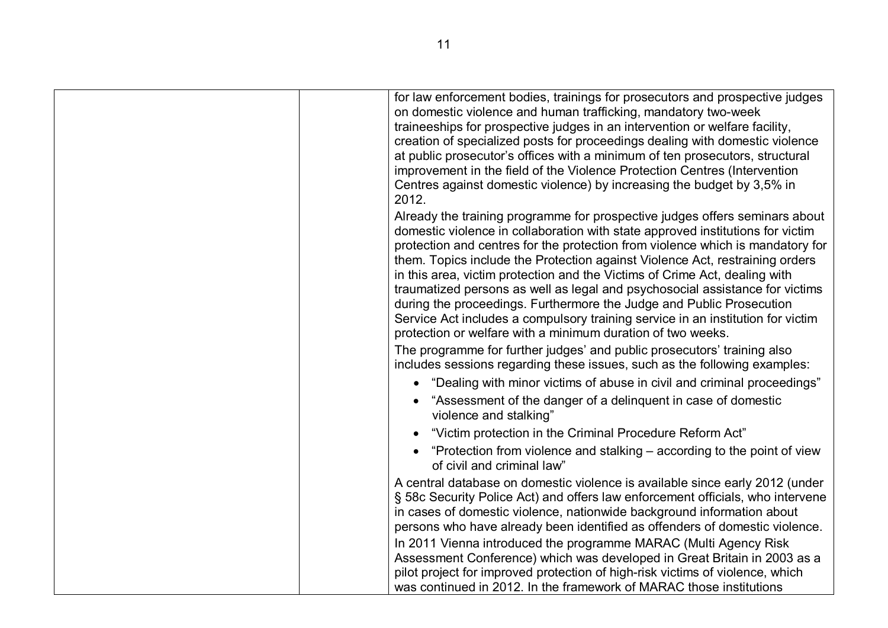| for law enforcement bodies, trainings for prosecutors and prospective judges<br>on domestic violence and human trafficking, mandatory two-week<br>traineeships for prospective judges in an intervention or welfare facility,<br>creation of specialized posts for proceedings dealing with domestic violence<br>at public prosecutor's offices with a minimum of ten prosecutors, structural<br>improvement in the field of the Violence Protection Centres (Intervention<br>Centres against domestic violence) by increasing the budget by 3,5% in<br>2012.                                                                                                                                                           |
|-------------------------------------------------------------------------------------------------------------------------------------------------------------------------------------------------------------------------------------------------------------------------------------------------------------------------------------------------------------------------------------------------------------------------------------------------------------------------------------------------------------------------------------------------------------------------------------------------------------------------------------------------------------------------------------------------------------------------|
| Already the training programme for prospective judges offers seminars about<br>domestic violence in collaboration with state approved institutions for victim<br>protection and centres for the protection from violence which is mandatory for<br>them. Topics include the Protection against Violence Act, restraining orders<br>in this area, victim protection and the Victims of Crime Act, dealing with<br>traumatized persons as well as legal and psychosocial assistance for victims<br>during the proceedings. Furthermore the Judge and Public Prosecution<br>Service Act includes a compulsory training service in an institution for victim<br>protection or welfare with a minimum duration of two weeks. |
| The programme for further judges' and public prosecutors' training also<br>includes sessions regarding these issues, such as the following examples:                                                                                                                                                                                                                                                                                                                                                                                                                                                                                                                                                                    |
| "Dealing with minor victims of abuse in civil and criminal proceedings"<br>$\bullet$                                                                                                                                                                                                                                                                                                                                                                                                                                                                                                                                                                                                                                    |
| "Assessment of the danger of a delinquent in case of domestic<br>violence and stalking"                                                                                                                                                                                                                                                                                                                                                                                                                                                                                                                                                                                                                                 |
| "Victim protection in the Criminal Procedure Reform Act"<br>$\bullet$                                                                                                                                                                                                                                                                                                                                                                                                                                                                                                                                                                                                                                                   |
| "Protection from violence and stalking – according to the point of view<br>$\bullet$<br>of civil and criminal law"                                                                                                                                                                                                                                                                                                                                                                                                                                                                                                                                                                                                      |
| A central database on domestic violence is available since early 2012 (under<br>§ 58c Security Police Act) and offers law enforcement officials, who intervene<br>in cases of domestic violence, nationwide background information about<br>persons who have already been identified as offenders of domestic violence.                                                                                                                                                                                                                                                                                                                                                                                                 |
| In 2011 Vienna introduced the programme MARAC (Multi Agency Risk<br>Assessment Conference) which was developed in Great Britain in 2003 as a<br>pilot project for improved protection of high-risk victims of violence, which<br>was continued in 2012. In the framework of MARAC those institutions                                                                                                                                                                                                                                                                                                                                                                                                                    |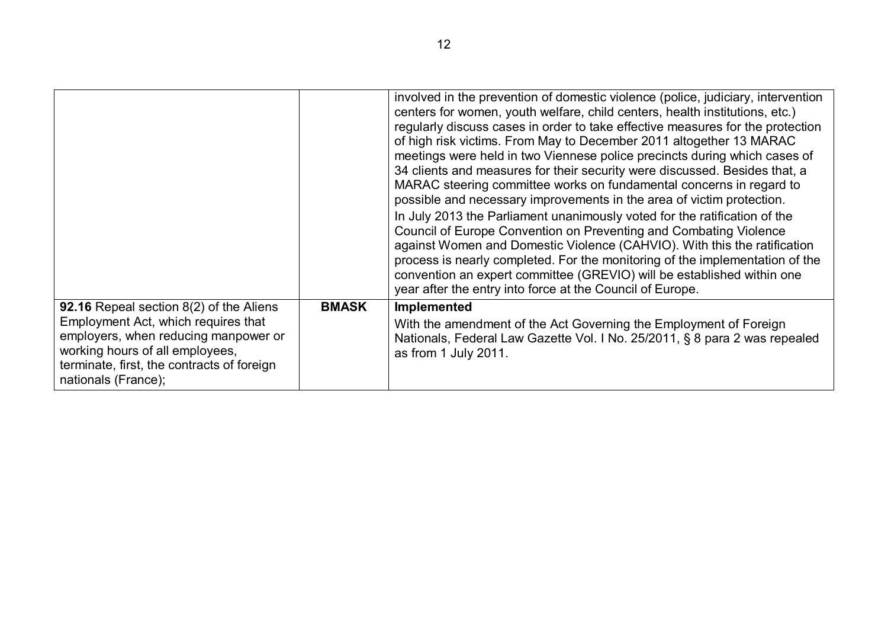|                                                                                                                                                                                                                                |              | involved in the prevention of domestic violence (police, judiciary, intervention<br>centers for women, youth welfare, child centers, health institutions, etc.)<br>regularly discuss cases in order to take effective measures for the protection<br>of high risk victims. From May to December 2011 altogether 13 MARAC<br>meetings were held in two Viennese police precincts during which cases of<br>34 clients and measures for their security were discussed. Besides that, a<br>MARAC steering committee works on fundamental concerns in regard to<br>possible and necessary improvements in the area of victim protection.<br>In July 2013 the Parliament unanimously voted for the ratification of the<br>Council of Europe Convention on Preventing and Combating Violence<br>against Women and Domestic Violence (CAHVIO). With this the ratification<br>process is nearly completed. For the monitoring of the implementation of the<br>convention an expert committee (GREVIO) will be established within one<br>year after the entry into force at the Council of Europe. |
|--------------------------------------------------------------------------------------------------------------------------------------------------------------------------------------------------------------------------------|--------------|------------------------------------------------------------------------------------------------------------------------------------------------------------------------------------------------------------------------------------------------------------------------------------------------------------------------------------------------------------------------------------------------------------------------------------------------------------------------------------------------------------------------------------------------------------------------------------------------------------------------------------------------------------------------------------------------------------------------------------------------------------------------------------------------------------------------------------------------------------------------------------------------------------------------------------------------------------------------------------------------------------------------------------------------------------------------------------------|
| 92.16 Repeal section 8(2) of the Aliens<br>Employment Act, which requires that<br>employers, when reducing manpower or<br>working hours of all employees,<br>terminate, first, the contracts of foreign<br>nationals (France); | <b>BMASK</b> | Implemented<br>With the amendment of the Act Governing the Employment of Foreign<br>Nationals, Federal Law Gazette Vol. I No. 25/2011, § 8 para 2 was repealed<br>as from 1 July 2011.                                                                                                                                                                                                                                                                                                                                                                                                                                                                                                                                                                                                                                                                                                                                                                                                                                                                                                   |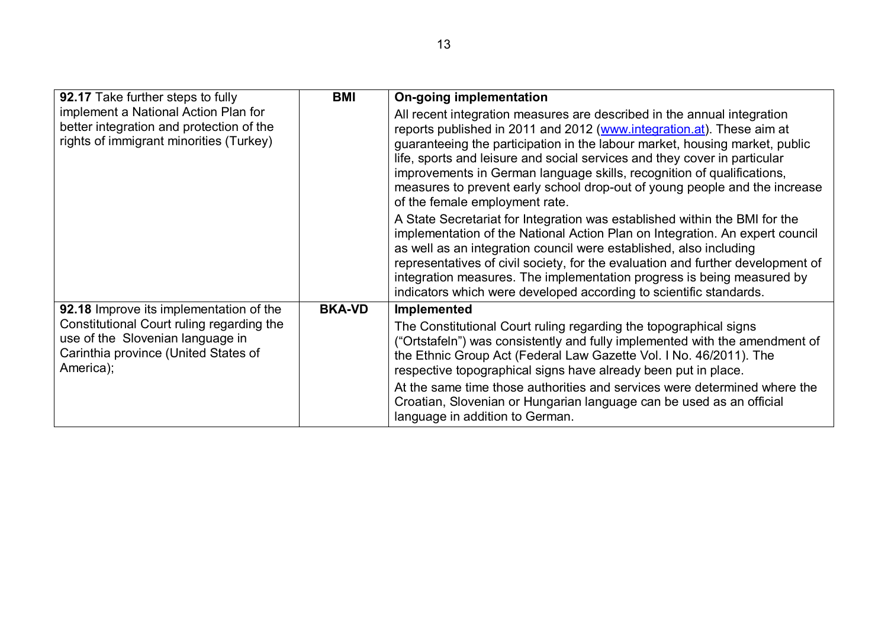| 92.17 Take further steps to fully                                                                                                  | <b>BMI</b>    | On-going implementation                                                                                                                                                                                                                                                                                                                                                                                                                                                                                |
|------------------------------------------------------------------------------------------------------------------------------------|---------------|--------------------------------------------------------------------------------------------------------------------------------------------------------------------------------------------------------------------------------------------------------------------------------------------------------------------------------------------------------------------------------------------------------------------------------------------------------------------------------------------------------|
| implement a National Action Plan for<br>better integration and protection of the<br>rights of immigrant minorities (Turkey)        |               | All recent integration measures are described in the annual integration<br>reports published in 2011 and 2012 (www.integration.at). These aim at<br>guaranteeing the participation in the labour market, housing market, public<br>life, sports and leisure and social services and they cover in particular<br>improvements in German language skills, recognition of qualifications,<br>measures to prevent early school drop-out of young people and the increase<br>of the female employment rate. |
|                                                                                                                                    |               | A State Secretariat for Integration was established within the BMI for the<br>implementation of the National Action Plan on Integration. An expert council<br>as well as an integration council were established, also including<br>representatives of civil society, for the evaluation and further development of<br>integration measures. The implementation progress is being measured by<br>indicators which were developed according to scientific standards.                                    |
| 92.18 Improve its implementation of the                                                                                            | <b>BKA-VD</b> | Implemented                                                                                                                                                                                                                                                                                                                                                                                                                                                                                            |
| Constitutional Court ruling regarding the<br>use of the Slovenian language in<br>Carinthia province (United States of<br>America); |               | The Constitutional Court ruling regarding the topographical signs<br>("Ortstafeln") was consistently and fully implemented with the amendment of<br>the Ethnic Group Act (Federal Law Gazette Vol. I No. 46/2011). The<br>respective topographical signs have already been put in place.<br>At the same time those authorities and services were determined where the<br>Croatian, Slovenian or Hungarian language can be used as an official<br>language in addition to German.                       |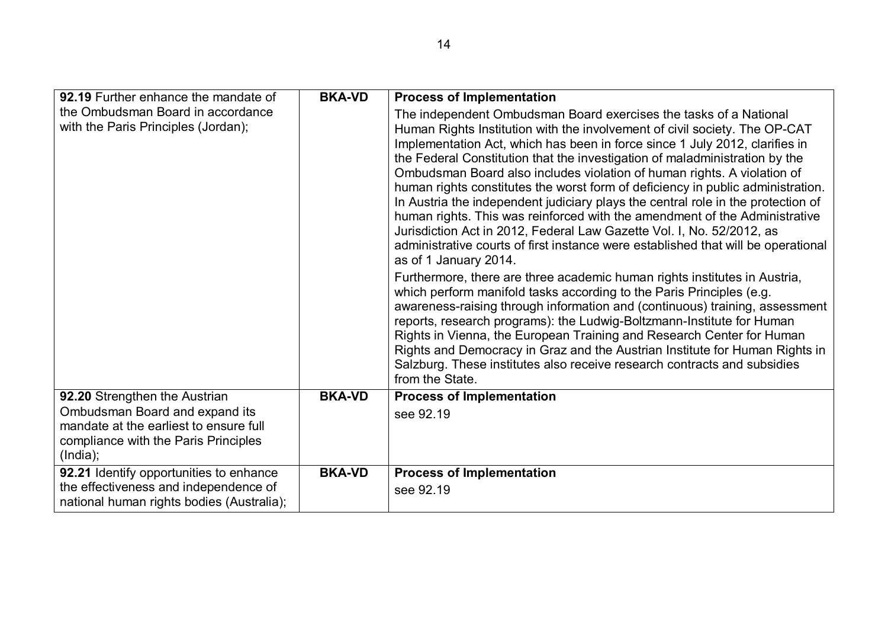| 92.19 Further enhance the mandate of                                                                                         | <b>BKA-VD</b> | <b>Process of Implementation</b>                                                                                                                                                                                                                                                                                                                                                                                                                                                                                                                                                                                                                                                                                                                                                                                                                                                                                                                                                                                                                                                                                                                                                                                           |
|------------------------------------------------------------------------------------------------------------------------------|---------------|----------------------------------------------------------------------------------------------------------------------------------------------------------------------------------------------------------------------------------------------------------------------------------------------------------------------------------------------------------------------------------------------------------------------------------------------------------------------------------------------------------------------------------------------------------------------------------------------------------------------------------------------------------------------------------------------------------------------------------------------------------------------------------------------------------------------------------------------------------------------------------------------------------------------------------------------------------------------------------------------------------------------------------------------------------------------------------------------------------------------------------------------------------------------------------------------------------------------------|
| the Ombudsman Board in accordance<br>with the Paris Principles (Jordan),                                                     |               | The independent Ombudsman Board exercises the tasks of a National<br>Human Rights Institution with the involvement of civil society. The OP-CAT<br>Implementation Act, which has been in force since 1 July 2012, clarifies in<br>the Federal Constitution that the investigation of maladministration by the<br>Ombudsman Board also includes violation of human rights. A violation of<br>human rights constitutes the worst form of deficiency in public administration.<br>In Austria the independent judiciary plays the central role in the protection of<br>human rights. This was reinforced with the amendment of the Administrative<br>Jurisdiction Act in 2012, Federal Law Gazette Vol. I, No. 52/2012, as<br>administrative courts of first instance were established that will be operational<br>as of 1 January 2014.<br>Furthermore, there are three academic human rights institutes in Austria,<br>which perform manifold tasks according to the Paris Principles (e.g.<br>awareness-raising through information and (continuous) training, assessment<br>reports, research programs): the Ludwig-Boltzmann-Institute for Human<br>Rights in Vienna, the European Training and Research Center for Human |
|                                                                                                                              |               | Rights and Democracy in Graz and the Austrian Institute for Human Rights in<br>Salzburg. These institutes also receive research contracts and subsidies<br>from the State.                                                                                                                                                                                                                                                                                                                                                                                                                                                                                                                                                                                                                                                                                                                                                                                                                                                                                                                                                                                                                                                 |
| 92.20 Strengthen the Austrian                                                                                                | <b>BKA-VD</b> | <b>Process of Implementation</b>                                                                                                                                                                                                                                                                                                                                                                                                                                                                                                                                                                                                                                                                                                                                                                                                                                                                                                                                                                                                                                                                                                                                                                                           |
| Ombudsman Board and expand its<br>mandate at the earliest to ensure full<br>compliance with the Paris Principles<br>(India); |               | see 92.19                                                                                                                                                                                                                                                                                                                                                                                                                                                                                                                                                                                                                                                                                                                                                                                                                                                                                                                                                                                                                                                                                                                                                                                                                  |
| 92.21 Identify opportunities to enhance                                                                                      | <b>BKA-VD</b> | <b>Process of Implementation</b>                                                                                                                                                                                                                                                                                                                                                                                                                                                                                                                                                                                                                                                                                                                                                                                                                                                                                                                                                                                                                                                                                                                                                                                           |
| the effectiveness and independence of<br>national human rights bodies (Australia);                                           |               | see 92.19                                                                                                                                                                                                                                                                                                                                                                                                                                                                                                                                                                                                                                                                                                                                                                                                                                                                                                                                                                                                                                                                                                                                                                                                                  |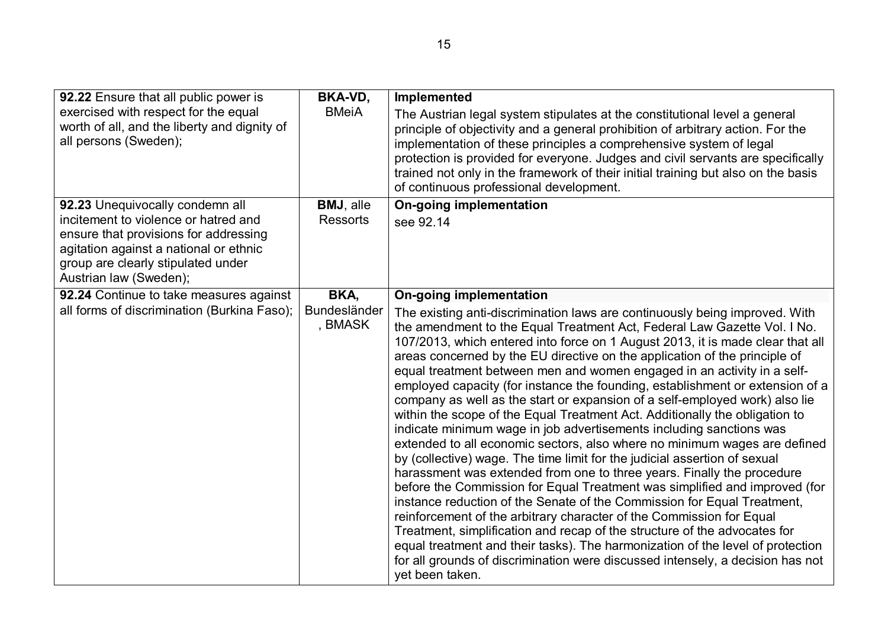| 92.22 Ensure that all public power is<br>exercised with respect for the equal<br>worth of all, and the liberty and dignity of<br>all persons (Sweden);                                                                     | <b>BKA-VD,</b><br><b>BMeiA</b>  | Implemented<br>The Austrian legal system stipulates at the constitutional level a general<br>principle of objectivity and a general prohibition of arbitrary action. For the<br>implementation of these principles a comprehensive system of legal<br>protection is provided for everyone. Judges and civil servants are specifically<br>trained not only in the framework of their initial training but also on the basis<br>of continuous professional development.                                                                                                                                                                                                                                                                                                                                                                                                                                                                                                                                                                                                                                                                                                                                                                                                                                                                                                                                                                                                                               |
|----------------------------------------------------------------------------------------------------------------------------------------------------------------------------------------------------------------------------|---------------------------------|-----------------------------------------------------------------------------------------------------------------------------------------------------------------------------------------------------------------------------------------------------------------------------------------------------------------------------------------------------------------------------------------------------------------------------------------------------------------------------------------------------------------------------------------------------------------------------------------------------------------------------------------------------------------------------------------------------------------------------------------------------------------------------------------------------------------------------------------------------------------------------------------------------------------------------------------------------------------------------------------------------------------------------------------------------------------------------------------------------------------------------------------------------------------------------------------------------------------------------------------------------------------------------------------------------------------------------------------------------------------------------------------------------------------------------------------------------------------------------------------------------|
| 92.23 Unequivocally condemn all<br>incitement to violence or hatred and<br>ensure that provisions for addressing<br>agitation against a national or ethnic<br>group are clearly stipulated under<br>Austrian law (Sweden); | BMJ, alle<br><b>Ressorts</b>    | <b>On-going implementation</b><br>see 92.14                                                                                                                                                                                                                                                                                                                                                                                                                                                                                                                                                                                                                                                                                                                                                                                                                                                                                                                                                                                                                                                                                                                                                                                                                                                                                                                                                                                                                                                         |
| 92.24 Continue to take measures against<br>all forms of discrimination (Burkina Faso);                                                                                                                                     | BKA,<br>Bundesländer<br>, BMASK | <b>On-going implementation</b><br>The existing anti-discrimination laws are continuously being improved. With<br>the amendment to the Equal Treatment Act, Federal Law Gazette Vol. I No.<br>107/2013, which entered into force on 1 August 2013, it is made clear that all<br>areas concerned by the EU directive on the application of the principle of<br>equal treatment between men and women engaged in an activity in a self-<br>employed capacity (for instance the founding, establishment or extension of a<br>company as well as the start or expansion of a self-employed work) also lie<br>within the scope of the Equal Treatment Act. Additionally the obligation to<br>indicate minimum wage in job advertisements including sanctions was<br>extended to all economic sectors, also where no minimum wages are defined<br>by (collective) wage. The time limit for the judicial assertion of sexual<br>harassment was extended from one to three years. Finally the procedure<br>before the Commission for Equal Treatment was simplified and improved (for<br>instance reduction of the Senate of the Commission for Equal Treatment,<br>reinforcement of the arbitrary character of the Commission for Equal<br>Treatment, simplification and recap of the structure of the advocates for<br>equal treatment and their tasks). The harmonization of the level of protection<br>for all grounds of discrimination were discussed intensely, a decision has not<br>yet been taken. |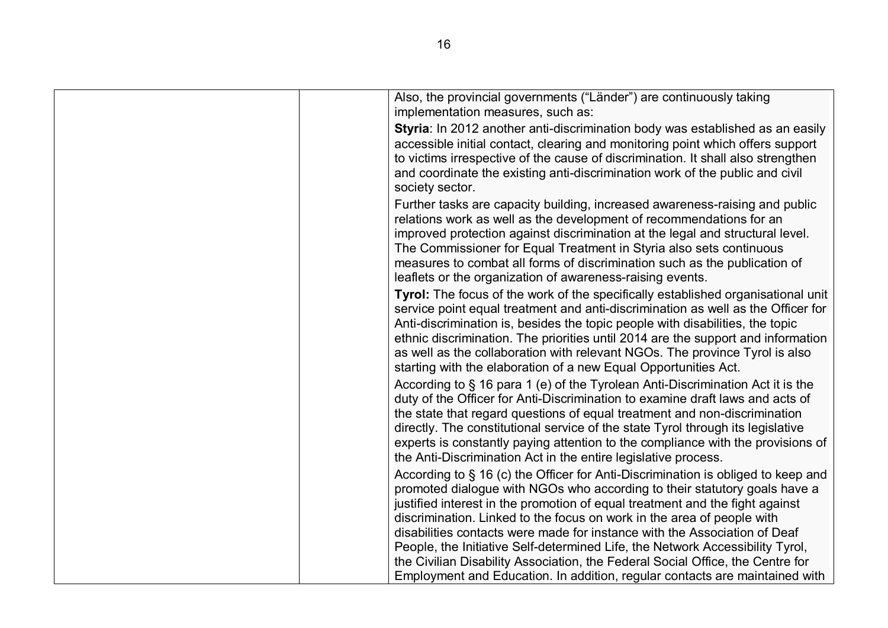| Also, the provincial governments ("Länder") are continuously taking<br>implementation measures, such as:                                                                                                                                                                                                                                                                                                                                                                                                                                                                                                                                               |
|--------------------------------------------------------------------------------------------------------------------------------------------------------------------------------------------------------------------------------------------------------------------------------------------------------------------------------------------------------------------------------------------------------------------------------------------------------------------------------------------------------------------------------------------------------------------------------------------------------------------------------------------------------|
| Styria: In 2012 another anti-discrimination body was established as an easily<br>accessible initial contact, clearing and monitoring point which offers support<br>to victims irrespective of the cause of discrimination. It shall also strengthen<br>and coordinate the existing anti-discrimination work of the public and civil<br>society sector.                                                                                                                                                                                                                                                                                                 |
| Further tasks are capacity building, increased awareness-raising and public<br>relations work as well as the development of recommendations for an<br>improved protection against discrimination at the legal and structural level.<br>The Commissioner for Equal Treatment in Styria also sets continuous<br>measures to combat all forms of discrimination such as the publication of<br>leaflets or the organization of awareness-raising events.                                                                                                                                                                                                   |
| Tyrol: The focus of the work of the specifically established organisational unit<br>service point equal treatment and anti-discrimination as well as the Officer for<br>Anti-discrimination is, besides the topic people with disabilities, the topic<br>ethnic discrimination. The priorities until 2014 are the support and information<br>as well as the collaboration with relevant NGOs. The province Tyrol is also<br>starting with the elaboration of a new Equal Opportunities Act.                                                                                                                                                            |
| According to § 16 para 1 (e) of the Tyrolean Anti-Discrimination Act it is the<br>duty of the Officer for Anti-Discrimination to examine draft laws and acts of<br>the state that regard questions of equal treatment and non-discrimination<br>directly. The constitutional service of the state Tyrol through its legislative<br>experts is constantly paying attention to the compliance with the provisions of<br>the Anti-Discrimination Act in the entire legislative process.                                                                                                                                                                   |
| According to § 16 (c) the Officer for Anti-Discrimination is obliged to keep and<br>promoted dialogue with NGOs who according to their statutory goals have a<br>justified interest in the promotion of equal treatment and the fight against<br>discrimination. Linked to the focus on work in the area of people with<br>disabilities contacts were made for instance with the Association of Deaf<br>People, the Initiative Self-determined Life, the Network Accessibility Tyrol,<br>the Civilian Disability Association, the Federal Social Office, the Centre for<br>Employment and Education. In addition, regular contacts are maintained with |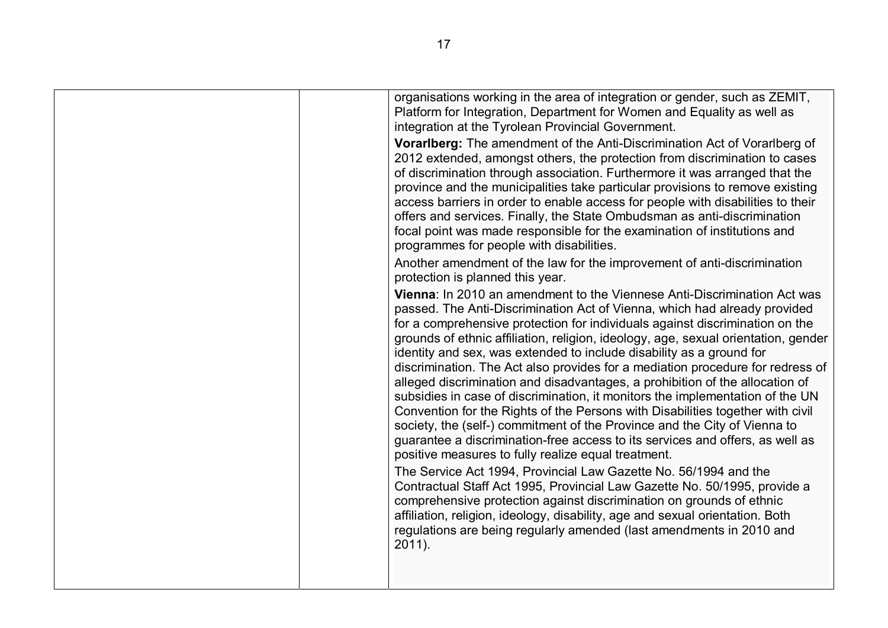| organisations working in the area of integration or gender, such as ZEMIT,<br>Platform for Integration, Department for Women and Equality as well as<br>integration at the Tyrolean Provincial Government.                                                                                                                                                                                                                                                                                                                                                                                                                                                                                                                                                                                                                                                                                                                                                                                                                        |
|-----------------------------------------------------------------------------------------------------------------------------------------------------------------------------------------------------------------------------------------------------------------------------------------------------------------------------------------------------------------------------------------------------------------------------------------------------------------------------------------------------------------------------------------------------------------------------------------------------------------------------------------------------------------------------------------------------------------------------------------------------------------------------------------------------------------------------------------------------------------------------------------------------------------------------------------------------------------------------------------------------------------------------------|
| Vorarlberg: The amendment of the Anti-Discrimination Act of Vorarlberg of<br>2012 extended, amongst others, the protection from discrimination to cases<br>of discrimination through association. Furthermore it was arranged that the<br>province and the municipalities take particular provisions to remove existing<br>access barriers in order to enable access for people with disabilities to their<br>offers and services. Finally, the State Ombudsman as anti-discrimination<br>focal point was made responsible for the examination of institutions and<br>programmes for people with disabilities.                                                                                                                                                                                                                                                                                                                                                                                                                    |
| Another amendment of the law for the improvement of anti-discrimination<br>protection is planned this year.                                                                                                                                                                                                                                                                                                                                                                                                                                                                                                                                                                                                                                                                                                                                                                                                                                                                                                                       |
| Vienna: In 2010 an amendment to the Viennese Anti-Discrimination Act was<br>passed. The Anti-Discrimination Act of Vienna, which had already provided<br>for a comprehensive protection for individuals against discrimination on the<br>grounds of ethnic affiliation, religion, ideology, age, sexual orientation, gender<br>identity and sex, was extended to include disability as a ground for<br>discrimination. The Act also provides for a mediation procedure for redress of<br>alleged discrimination and disadvantages, a prohibition of the allocation of<br>subsidies in case of discrimination, it monitors the implementation of the UN<br>Convention for the Rights of the Persons with Disabilities together with civil<br>society, the (self-) commitment of the Province and the City of Vienna to<br>guarantee a discrimination-free access to its services and offers, as well as<br>positive measures to fully realize equal treatment.<br>The Service Act 1994, Provincial Law Gazette No. 56/1994 and the |
| Contractual Staff Act 1995, Provincial Law Gazette No. 50/1995, provide a<br>comprehensive protection against discrimination on grounds of ethnic<br>affiliation, religion, ideology, disability, age and sexual orientation. Both<br>regulations are being regularly amended (last amendments in 2010 and<br>2011).                                                                                                                                                                                                                                                                                                                                                                                                                                                                                                                                                                                                                                                                                                              |
|                                                                                                                                                                                                                                                                                                                                                                                                                                                                                                                                                                                                                                                                                                                                                                                                                                                                                                                                                                                                                                   |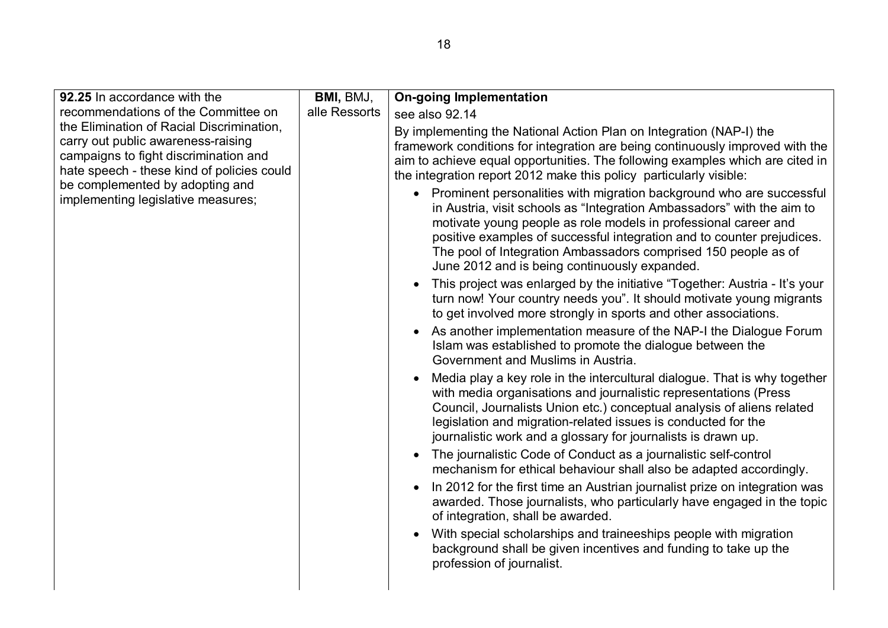| 92.25 In accordance with the                                                                                                                                                                                                                    | BMI, BMJ,     | <b>On-going Implementation</b>                                                                                                                                                                                                                                                                                                                                                                                   |
|-------------------------------------------------------------------------------------------------------------------------------------------------------------------------------------------------------------------------------------------------|---------------|------------------------------------------------------------------------------------------------------------------------------------------------------------------------------------------------------------------------------------------------------------------------------------------------------------------------------------------------------------------------------------------------------------------|
| recommendations of the Committee on                                                                                                                                                                                                             | alle Ressorts | see also 92.14                                                                                                                                                                                                                                                                                                                                                                                                   |
| the Elimination of Racial Discrimination,<br>carry out public awareness-raising<br>campaigns to fight discrimination and<br>hate speech - these kind of policies could<br>be complemented by adopting and<br>implementing legislative measures; |               | By implementing the National Action Plan on Integration (NAP-I) the<br>framework conditions for integration are being continuously improved with the<br>aim to achieve equal opportunities. The following examples which are cited in<br>the integration report 2012 make this policy particularly visible:                                                                                                      |
|                                                                                                                                                                                                                                                 |               | • Prominent personalities with migration background who are successful<br>in Austria, visit schools as "Integration Ambassadors" with the aim to<br>motivate young people as role models in professional career and<br>positive examples of successful integration and to counter prejudices.<br>The pool of Integration Ambassadors comprised 150 people as of<br>June 2012 and is being continuously expanded. |
|                                                                                                                                                                                                                                                 |               | This project was enlarged by the initiative "Together: Austria - It's your<br>$\bullet$<br>turn now! Your country needs you". It should motivate young migrants<br>to get involved more strongly in sports and other associations.                                                                                                                                                                               |
|                                                                                                                                                                                                                                                 |               | As another implementation measure of the NAP-I the Dialogue Forum<br>$\bullet$<br>Islam was established to promote the dialogue between the<br>Government and Muslims in Austria.                                                                                                                                                                                                                                |
|                                                                                                                                                                                                                                                 |               | Media play a key role in the intercultural dialogue. That is why together<br>$\bullet$<br>with media organisations and journalistic representations (Press<br>Council, Journalists Union etc.) conceptual analysis of aliens related<br>legislation and migration-related issues is conducted for the<br>journalistic work and a glossary for journalists is drawn up.                                           |
|                                                                                                                                                                                                                                                 |               | The journalistic Code of Conduct as a journalistic self-control<br>mechanism for ethical behaviour shall also be adapted accordingly.                                                                                                                                                                                                                                                                            |
|                                                                                                                                                                                                                                                 |               | In 2012 for the first time an Austrian journalist prize on integration was<br>$\bullet$<br>awarded. Those journalists, who particularly have engaged in the topic<br>of integration, shall be awarded.                                                                                                                                                                                                           |
|                                                                                                                                                                                                                                                 |               | With special scholarships and traineeships people with migration<br>$\bullet$<br>background shall be given incentives and funding to take up the<br>profession of journalist.                                                                                                                                                                                                                                    |
|                                                                                                                                                                                                                                                 |               |                                                                                                                                                                                                                                                                                                                                                                                                                  |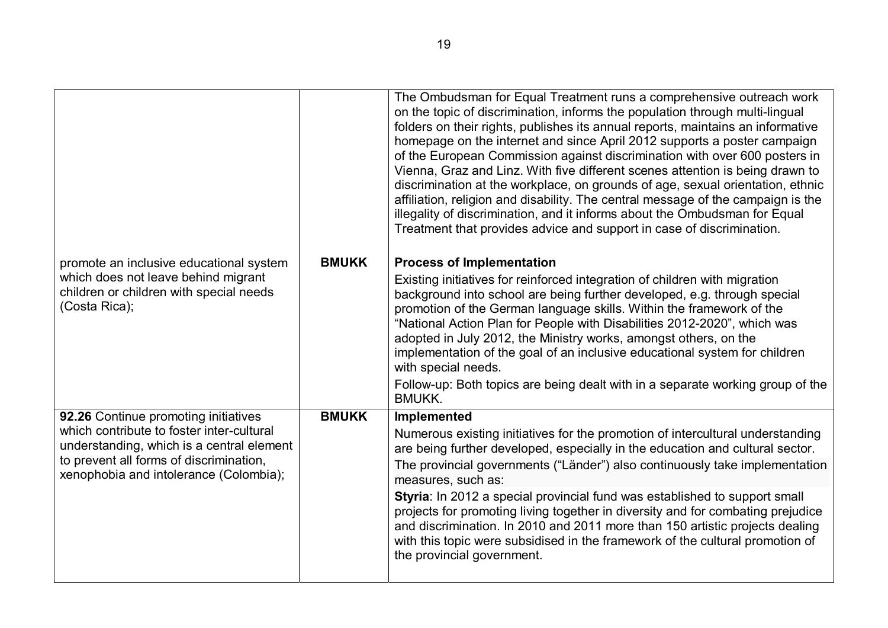|              | The Ombudsman for Equal Treatment runs a comprehensive outreach work<br>on the topic of discrimination, informs the population through multi-lingual<br>folders on their rights, publishes its annual reports, maintains an informative<br>homepage on the internet and since April 2012 supports a poster campaign<br>of the European Commission against discrimination with over 600 posters in<br>Vienna, Graz and Linz. With five different scenes attention is being drawn to<br>discrimination at the workplace, on grounds of age, sexual orientation, ethnic<br>affiliation, religion and disability. The central message of the campaign is the<br>illegality of discrimination, and it informs about the Ombudsman for Equal<br>Treatment that provides advice and support in case of discrimination. |
|--------------|-----------------------------------------------------------------------------------------------------------------------------------------------------------------------------------------------------------------------------------------------------------------------------------------------------------------------------------------------------------------------------------------------------------------------------------------------------------------------------------------------------------------------------------------------------------------------------------------------------------------------------------------------------------------------------------------------------------------------------------------------------------------------------------------------------------------|
|              | <b>Process of Implementation</b>                                                                                                                                                                                                                                                                                                                                                                                                                                                                                                                                                                                                                                                                                                                                                                                |
|              | Existing initiatives for reinforced integration of children with migration<br>background into school are being further developed, e.g. through special<br>promotion of the German language skills. Within the framework of the<br>"National Action Plan for People with Disabilities 2012-2020", which was<br>adopted in July 2012, the Ministry works, amongst others, on the<br>implementation of the goal of an inclusive educational system for children<br>with special needs.                                                                                                                                                                                                                                                                                                                             |
|              | Follow-up: Both topics are being dealt with in a separate working group of the<br><b>BMUKK.</b>                                                                                                                                                                                                                                                                                                                                                                                                                                                                                                                                                                                                                                                                                                                 |
| <b>BMUKK</b> | Implemented                                                                                                                                                                                                                                                                                                                                                                                                                                                                                                                                                                                                                                                                                                                                                                                                     |
|              | Numerous existing initiatives for the promotion of intercultural understanding<br>are being further developed, especially in the education and cultural sector.<br>The provincial governments ("Länder") also continuously take implementation<br>measures, such as:<br>Styria: In 2012 a special provincial fund was established to support small<br>projects for promoting living together in diversity and for combating prejudice<br>and discrimination. In 2010 and 2011 more than 150 artistic projects dealing<br>with this topic were subsidised in the framework of the cultural promotion of<br>the provincial government.                                                                                                                                                                            |
|              | <b>BMUKK</b>                                                                                                                                                                                                                                                                                                                                                                                                                                                                                                                                                                                                                                                                                                                                                                                                    |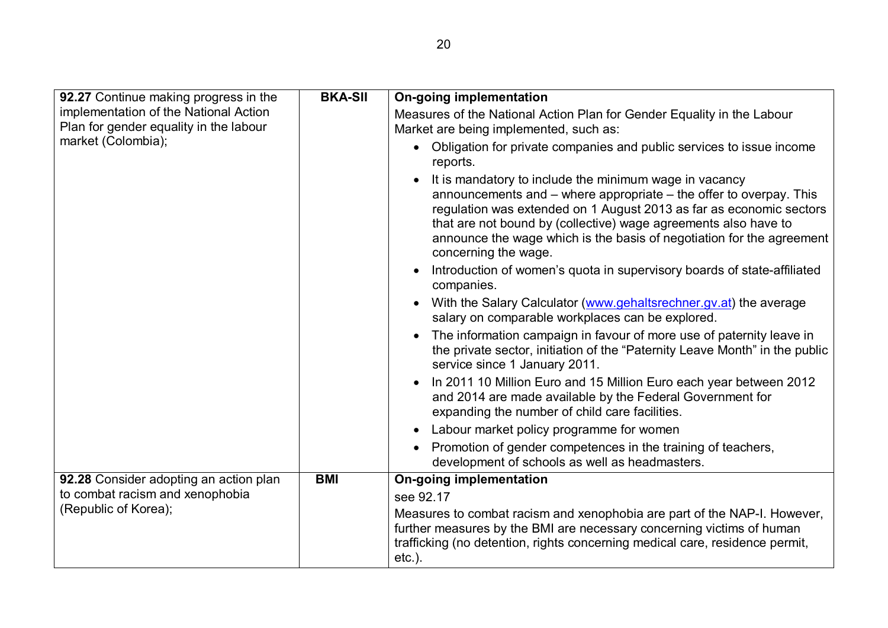| 92.27 Continue making progress in the                                           | <b>BKA-SII</b>                                                                                                   | <b>On-going implementation</b>                                                                                                                                                                                                                                                                                                                                                           |
|---------------------------------------------------------------------------------|------------------------------------------------------------------------------------------------------------------|------------------------------------------------------------------------------------------------------------------------------------------------------------------------------------------------------------------------------------------------------------------------------------------------------------------------------------------------------------------------------------------|
| implementation of the National Action<br>Plan for gender equality in the labour | Measures of the National Action Plan for Gender Equality in the Labour<br>Market are being implemented, such as: |                                                                                                                                                                                                                                                                                                                                                                                          |
| market (Colombia);                                                              |                                                                                                                  | Obligation for private companies and public services to issue income<br>$\bullet$<br>reports.                                                                                                                                                                                                                                                                                            |
|                                                                                 |                                                                                                                  | It is mandatory to include the minimum wage in vacancy<br>$\bullet$<br>announcements and $-$ where appropriate $-$ the offer to overpay. This<br>regulation was extended on 1 August 2013 as far as economic sectors<br>that are not bound by (collective) wage agreements also have to<br>announce the wage which is the basis of negotiation for the agreement<br>concerning the wage. |
|                                                                                 |                                                                                                                  | Introduction of women's quota in supervisory boards of state-affiliated<br>$\bullet$<br>companies.                                                                                                                                                                                                                                                                                       |
|                                                                                 |                                                                                                                  | With the Salary Calculator (www.gehaltsrechner.gv.at) the average<br>$\bullet$<br>salary on comparable workplaces can be explored.                                                                                                                                                                                                                                                       |
|                                                                                 |                                                                                                                  | The information campaign in favour of more use of paternity leave in<br>$\bullet$<br>the private sector, initiation of the "Paternity Leave Month" in the public<br>service since 1 January 2011.                                                                                                                                                                                        |
|                                                                                 |                                                                                                                  | In 2011 10 Million Euro and 15 Million Euro each year between 2012<br>and 2014 are made available by the Federal Government for<br>expanding the number of child care facilities.                                                                                                                                                                                                        |
|                                                                                 |                                                                                                                  | Labour market policy programme for women<br>$\bullet$                                                                                                                                                                                                                                                                                                                                    |
|                                                                                 |                                                                                                                  | Promotion of gender competences in the training of teachers,<br>$\bullet$<br>development of schools as well as headmasters.                                                                                                                                                                                                                                                              |
| 92.28 Consider adopting an action plan                                          | <b>BMI</b>                                                                                                       | <b>On-going implementation</b>                                                                                                                                                                                                                                                                                                                                                           |
| to combat racism and xenophobia                                                 |                                                                                                                  | see 92.17                                                                                                                                                                                                                                                                                                                                                                                |
| (Republic of Korea);                                                            |                                                                                                                  | Measures to combat racism and xenophobia are part of the NAP-I. However,<br>further measures by the BMI are necessary concerning victims of human<br>trafficking (no detention, rights concerning medical care, residence permit,<br>$etc.$ ).                                                                                                                                           |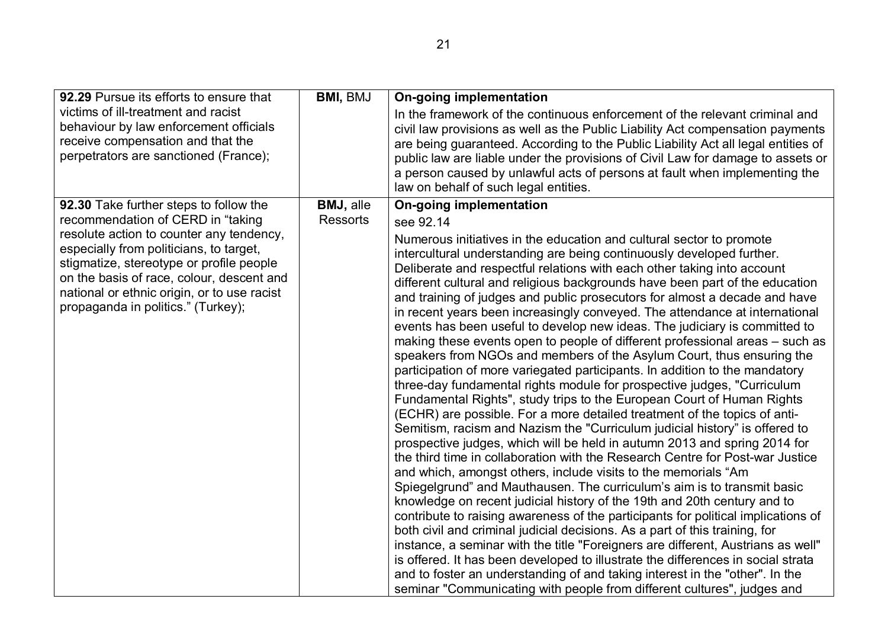| 92.29 Pursue its efforts to ensure that                                                                                                                                                                               | <b>BMI, BMJ</b>  | On-going implementation                                                                                                                                                                                                                                                                                                                                                                                                                                                                                                                                                                                                                                                                                                                                                                                                                                                                                                                                                                                                                                                                                                                                                                                                                                                                                                                                                                                                                                                                                                                                                                                                                                                                                                                                                                                                                                                                                                                                                                                    |
|-----------------------------------------------------------------------------------------------------------------------------------------------------------------------------------------------------------------------|------------------|------------------------------------------------------------------------------------------------------------------------------------------------------------------------------------------------------------------------------------------------------------------------------------------------------------------------------------------------------------------------------------------------------------------------------------------------------------------------------------------------------------------------------------------------------------------------------------------------------------------------------------------------------------------------------------------------------------------------------------------------------------------------------------------------------------------------------------------------------------------------------------------------------------------------------------------------------------------------------------------------------------------------------------------------------------------------------------------------------------------------------------------------------------------------------------------------------------------------------------------------------------------------------------------------------------------------------------------------------------------------------------------------------------------------------------------------------------------------------------------------------------------------------------------------------------------------------------------------------------------------------------------------------------------------------------------------------------------------------------------------------------------------------------------------------------------------------------------------------------------------------------------------------------------------------------------------------------------------------------------------------------|
| victims of ill-treatment and racist<br>behaviour by law enforcement officials<br>receive compensation and that the<br>perpetrators are sanctioned (France);                                                           |                  | In the framework of the continuous enforcement of the relevant criminal and<br>civil law provisions as well as the Public Liability Act compensation payments<br>are being guaranteed. According to the Public Liability Act all legal entities of<br>public law are liable under the provisions of Civil Law for damage to assets or<br>a person caused by unlawful acts of persons at fault when implementing the<br>law on behalf of such legal entities.                                                                                                                                                                                                                                                                                                                                                                                                                                                                                                                                                                                                                                                                                                                                                                                                                                                                                                                                                                                                                                                                                                                                                                                                                                                                                                                                                                                                                                                                                                                                               |
| 92.30 Take further steps to follow the                                                                                                                                                                                | <b>BMJ, alle</b> | On-going implementation                                                                                                                                                                                                                                                                                                                                                                                                                                                                                                                                                                                                                                                                                                                                                                                                                                                                                                                                                                                                                                                                                                                                                                                                                                                                                                                                                                                                                                                                                                                                                                                                                                                                                                                                                                                                                                                                                                                                                                                    |
| recommendation of CERD in "taking<br>resolute action to counter any tendency,                                                                                                                                         | Ressorts         | see 92.14                                                                                                                                                                                                                                                                                                                                                                                                                                                                                                                                                                                                                                                                                                                                                                                                                                                                                                                                                                                                                                                                                                                                                                                                                                                                                                                                                                                                                                                                                                                                                                                                                                                                                                                                                                                                                                                                                                                                                                                                  |
| especially from politicians, to target,<br>stigmatize, stereotype or profile people<br>on the basis of race, colour, descent and<br>national or ethnic origin, or to use racist<br>propaganda in politics." (Turkey); |                  | Numerous initiatives in the education and cultural sector to promote<br>intercultural understanding are being continuously developed further.<br>Deliberate and respectful relations with each other taking into account<br>different cultural and religious backgrounds have been part of the education<br>and training of judges and public prosecutors for almost a decade and have<br>in recent years been increasingly conveyed. The attendance at international<br>events has been useful to develop new ideas. The judiciary is committed to<br>making these events open to people of different professional areas – such as<br>speakers from NGOs and members of the Asylum Court, thus ensuring the<br>participation of more variegated participants. In addition to the mandatory<br>three-day fundamental rights module for prospective judges, "Curriculum<br>Fundamental Rights", study trips to the European Court of Human Rights<br>(ECHR) are possible. For a more detailed treatment of the topics of anti-<br>Semitism, racism and Nazism the "Curriculum judicial history" is offered to<br>prospective judges, which will be held in autumn 2013 and spring 2014 for<br>the third time in collaboration with the Research Centre for Post-war Justice<br>and which, amongst others, include visits to the memorials "Am<br>Spiegelgrund" and Mauthausen. The curriculum's aim is to transmit basic<br>knowledge on recent judicial history of the 19th and 20th century and to<br>contribute to raising awareness of the participants for political implications of<br>both civil and criminal judicial decisions. As a part of this training, for<br>instance, a seminar with the title "Foreigners are different, Austrians as well"<br>is offered. It has been developed to illustrate the differences in social strata<br>and to foster an understanding of and taking interest in the "other". In the<br>seminar "Communicating with people from different cultures", judges and |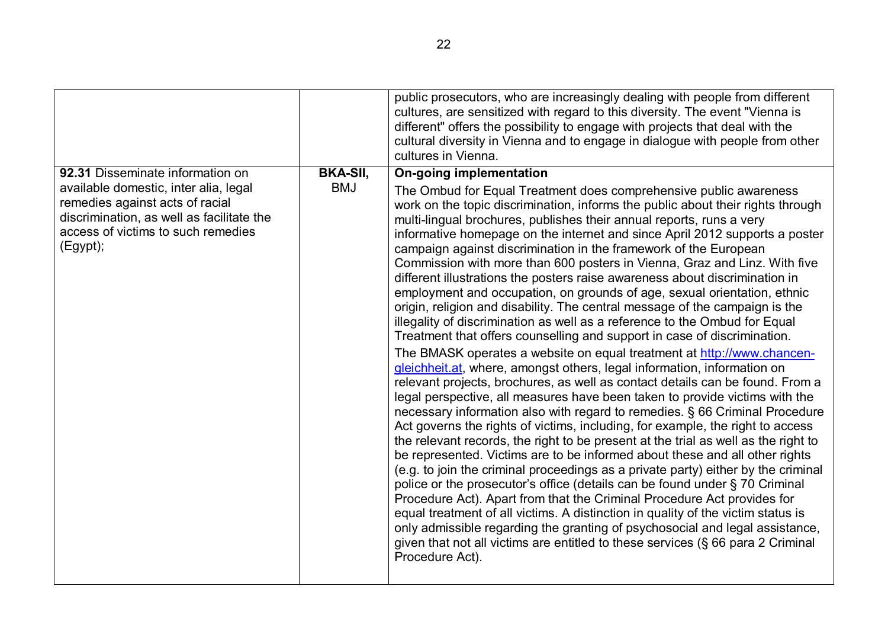|                                                                                                                                                                                                             |                               | public prosecutors, who are increasingly dealing with people from different<br>cultures, are sensitized with regard to this diversity. The event "Vienna is<br>different" offers the possibility to engage with projects that deal with the<br>cultural diversity in Vienna and to engage in dialogue with people from other<br>cultures in Vienna.                                                                                                                                                                                                                                                                                                                                                                                                                                                                                                                                                                                                                                                                                                                                                                                                                                                                                                                                                                                                                                                                                                                                                                                                                                                                                                                                                                                                                                                                                                                                                                                                                                                                                                                                    |
|-------------------------------------------------------------------------------------------------------------------------------------------------------------------------------------------------------------|-------------------------------|----------------------------------------------------------------------------------------------------------------------------------------------------------------------------------------------------------------------------------------------------------------------------------------------------------------------------------------------------------------------------------------------------------------------------------------------------------------------------------------------------------------------------------------------------------------------------------------------------------------------------------------------------------------------------------------------------------------------------------------------------------------------------------------------------------------------------------------------------------------------------------------------------------------------------------------------------------------------------------------------------------------------------------------------------------------------------------------------------------------------------------------------------------------------------------------------------------------------------------------------------------------------------------------------------------------------------------------------------------------------------------------------------------------------------------------------------------------------------------------------------------------------------------------------------------------------------------------------------------------------------------------------------------------------------------------------------------------------------------------------------------------------------------------------------------------------------------------------------------------------------------------------------------------------------------------------------------------------------------------------------------------------------------------------------------------------------------------|
| 92.31 Disseminate information on<br>available domestic, inter alia, legal<br>remedies against acts of racial<br>discrimination, as well as facilitate the<br>access of victims to such remedies<br>(Egypt); | <b>BKA-SII,</b><br><b>BMJ</b> | <b>On-going implementation</b><br>The Ombud for Equal Treatment does comprehensive public awareness<br>work on the topic discrimination, informs the public about their rights through<br>multi-lingual brochures, publishes their annual reports, runs a very<br>informative homepage on the internet and since April 2012 supports a poster<br>campaign against discrimination in the framework of the European<br>Commission with more than 600 posters in Vienna, Graz and Linz. With five<br>different illustrations the posters raise awareness about discrimination in<br>employment and occupation, on grounds of age, sexual orientation, ethnic<br>origin, religion and disability. The central message of the campaign is the<br>illegality of discrimination as well as a reference to the Ombud for Equal<br>Treatment that offers counselling and support in case of discrimination.<br>The BMASK operates a website on equal treatment at http://www.chancen-<br>gleichheit.at, where, amongst others, legal information, information on<br>relevant projects, brochures, as well as contact details can be found. From a<br>legal perspective, all measures have been taken to provide victims with the<br>necessary information also with regard to remedies. § 66 Criminal Procedure<br>Act governs the rights of victims, including, for example, the right to access<br>the relevant records, the right to be present at the trial as well as the right to<br>be represented. Victims are to be informed about these and all other rights<br>(e.g. to join the criminal proceedings as a private party) either by the criminal<br>police or the prosecutor's office (details can be found under § 70 Criminal<br>Procedure Act). Apart from that the Criminal Procedure Act provides for<br>equal treatment of all victims. A distinction in quality of the victim status is<br>only admissible regarding the granting of psychosocial and legal assistance,<br>given that not all victims are entitled to these services (§ 66 para 2 Criminal<br>Procedure Act). |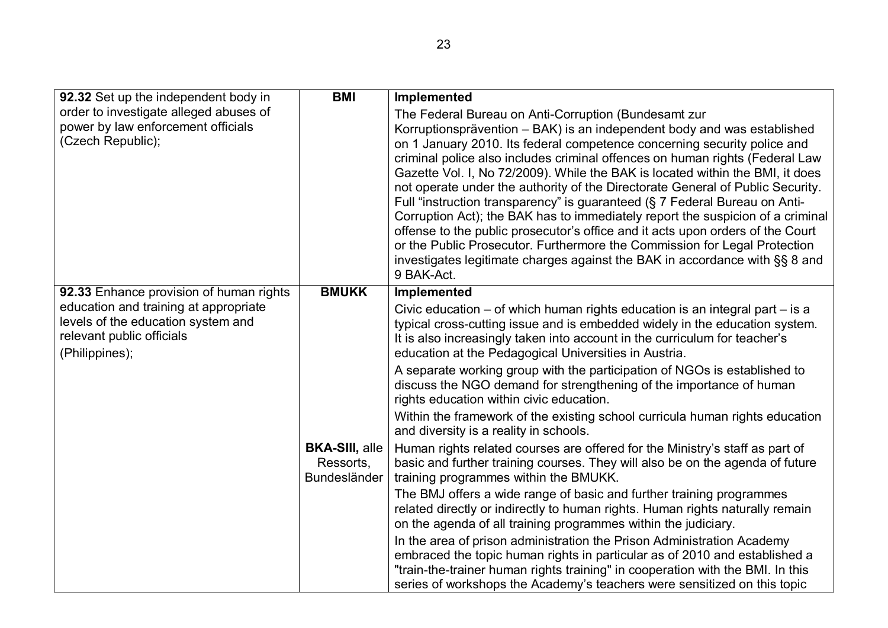| 92.32 Set up the independent body in                                                                                       | <b>BMI</b>                                                | Implemented                                                                                                                                                                                                                                                                                                                                                                                                                                                                                                                                                                                                                      |
|----------------------------------------------------------------------------------------------------------------------------|-----------------------------------------------------------|----------------------------------------------------------------------------------------------------------------------------------------------------------------------------------------------------------------------------------------------------------------------------------------------------------------------------------------------------------------------------------------------------------------------------------------------------------------------------------------------------------------------------------------------------------------------------------------------------------------------------------|
| order to investigate alleged abuses of<br>power by law enforcement officials<br>(Czech Republic);                          |                                                           | The Federal Bureau on Anti-Corruption (Bundesamt zur<br>Korruptionsprävention – BAK) is an independent body and was established<br>on 1 January 2010. Its federal competence concerning security police and<br>criminal police also includes criminal offences on human rights (Federal Law<br>Gazette Vol. I, No 72/2009). While the BAK is located within the BMI, it does<br>not operate under the authority of the Directorate General of Public Security.<br>Full "instruction transparency" is guaranteed (§ 7 Federal Bureau on Anti-                                                                                     |
|                                                                                                                            |                                                           | Corruption Act); the BAK has to immediately report the suspicion of a criminal<br>offense to the public prosecutor's office and it acts upon orders of the Court<br>or the Public Prosecutor. Furthermore the Commission for Legal Protection<br>investigates legitimate charges against the BAK in accordance with §§ 8 and<br>9 BAK-Act.                                                                                                                                                                                                                                                                                       |
| 92.33 Enhance provision of human rights                                                                                    | <b>BMUKK</b>                                              | Implemented                                                                                                                                                                                                                                                                                                                                                                                                                                                                                                                                                                                                                      |
| education and training at appropriate<br>levels of the education system and<br>relevant public officials<br>(Philippines); |                                                           | Civic education $-$ of which human rights education is an integral part $-$ is a<br>typical cross-cutting issue and is embedded widely in the education system.<br>It is also increasingly taken into account in the curriculum for teacher's<br>education at the Pedagogical Universities in Austria.<br>A separate working group with the participation of NGOs is established to<br>discuss the NGO demand for strengthening of the importance of human<br>rights education within civic education.<br>Within the framework of the existing school curricula human rights education<br>and diversity is a reality in schools. |
|                                                                                                                            | <b>BKA-SIII, alle</b><br>Ressorts,<br><b>Bundesländer</b> | Human rights related courses are offered for the Ministry's staff as part of<br>basic and further training courses. They will also be on the agenda of future<br>training programmes within the BMUKK.                                                                                                                                                                                                                                                                                                                                                                                                                           |
|                                                                                                                            |                                                           | The BMJ offers a wide range of basic and further training programmes<br>related directly or indirectly to human rights. Human rights naturally remain<br>on the agenda of all training programmes within the judiciary.                                                                                                                                                                                                                                                                                                                                                                                                          |
|                                                                                                                            |                                                           | In the area of prison administration the Prison Administration Academy<br>embraced the topic human rights in particular as of 2010 and established a<br>"train-the-trainer human rights training" in cooperation with the BMI. In this<br>series of workshops the Academy's teachers were sensitized on this topic                                                                                                                                                                                                                                                                                                               |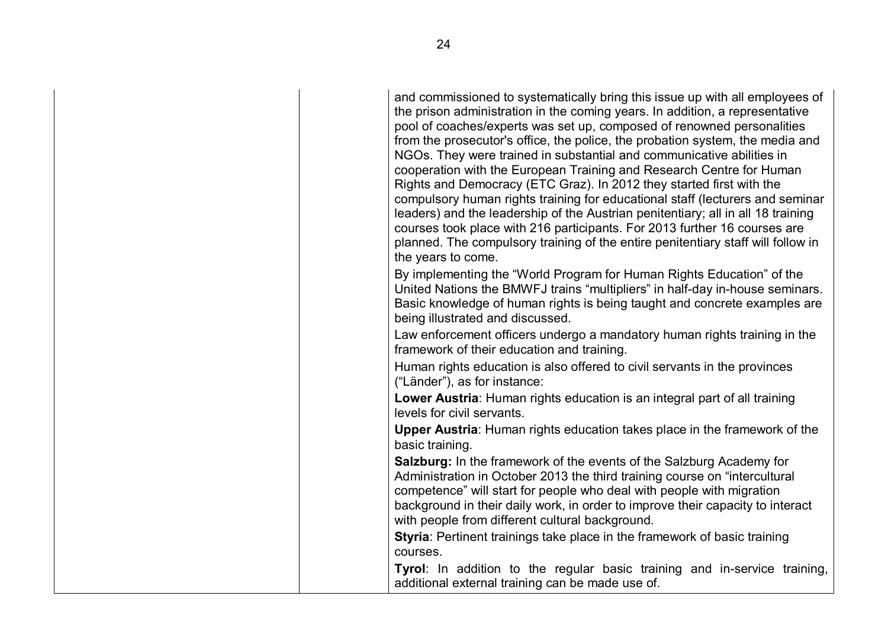and commissioned to systematically bring this issue up with all employees of the prison administration in the coming years. In addition, a representative pool of coaches/experts was set up, composed of renowned personalities from the prosecutor's office, the police, the probation system, the media and NGOs. They were trained in substantial and communicative abilities in cooperation with the European Training and Research Centre for Human Rights and Democracy (ETC Graz). In 2012 they started first with the compulsory human rights training for educational staff (lecturers and seminar leaders) and the leadership of the Austrian penitentiary; all in all 18 training courses took place with 216 participants. For 2013 further 16 courses are planned. The compulsory training of the entire penitentiary staff will follow in the years to come. By implementing the "World Program for Human Rights Education" of the

United Nations the BMWFJ trains "multipliers" in half-day in-house seminars. Basic knowledge of human rights is being taught and concrete examples are being illustrated and discussed.

Law enforcement officers undergo a mandatory human rights training in the framework of their education and training.

Human rights education is also offered to civil servants in the provinces ("Länder"), as for instance:

**Lower Austria**: Human rights education is an integral part of all training levels for civil servants.

**Upper Austria**: Human rights education takes place in the framework of the basic training.

**Salzburg:** In the framework of the events of the Salzburg Academy for Administration in October 2013 the third training course on "intercultural competence" will start for people who deal with people with migration background in their daily work, in order to improve their capacity to interact with people from different cultural background.

**Styria**: Pertinent trainings take place in the framework of basic training courses.

**Tyrol**: In addition to the regular basic training and in-service training, additional external training can be made use of.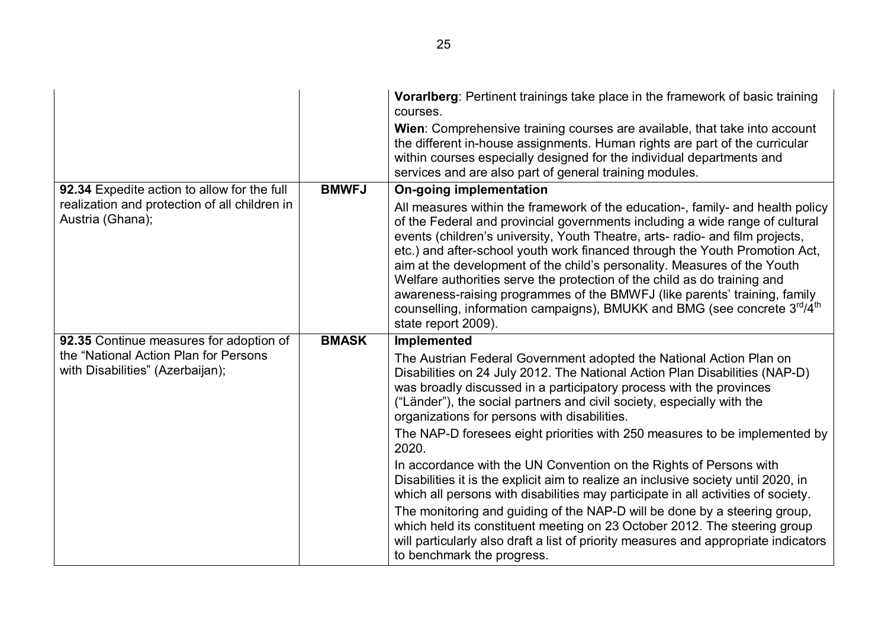|                                                                           |              | <b>Vorariberg:</b> Pertinent trainings take place in the framework of basic training<br>courses.<br>Wien: Comprehensive training courses are available, that take into account<br>the different in-house assignments. Human rights are part of the curricular<br>within courses especially designed for the individual departments and<br>services and are also part of general training modules.                                                                                                                                                                                                                                                                                               |
|---------------------------------------------------------------------------|--------------|-------------------------------------------------------------------------------------------------------------------------------------------------------------------------------------------------------------------------------------------------------------------------------------------------------------------------------------------------------------------------------------------------------------------------------------------------------------------------------------------------------------------------------------------------------------------------------------------------------------------------------------------------------------------------------------------------|
| 92.34 Expedite action to allow for the full                               | <b>BMWFJ</b> | <b>On-going implementation</b>                                                                                                                                                                                                                                                                                                                                                                                                                                                                                                                                                                                                                                                                  |
| realization and protection of all children in<br>Austria (Ghana);         |              | All measures within the framework of the education-, family- and health policy<br>of the Federal and provincial governments including a wide range of cultural<br>events (children's university, Youth Theatre, arts- radio- and film projects,<br>etc.) and after-school youth work financed through the Youth Promotion Act,<br>aim at the development of the child's personality. Measures of the Youth<br>Welfare authorities serve the protection of the child as do training and<br>awareness-raising programmes of the BMWFJ (like parents' training, family<br>counselling, information campaigns), BMUKK and BMG (see concrete 3 <sup>rd</sup> /4 <sup>th</sup><br>state report 2009). |
| 92.35 Continue measures for adoption of                                   | <b>BMASK</b> | <b>Implemented</b>                                                                                                                                                                                                                                                                                                                                                                                                                                                                                                                                                                                                                                                                              |
| the "National Action Plan for Persons<br>with Disabilities" (Azerbaijan); |              | The Austrian Federal Government adopted the National Action Plan on<br>Disabilities on 24 July 2012. The National Action Plan Disabilities (NAP-D)<br>was broadly discussed in a participatory process with the provinces<br>("Länder"), the social partners and civil society, especially with the<br>organizations for persons with disabilities.<br>The NAP-D foresees eight priorities with 250 measures to be implemented by<br>2020.                                                                                                                                                                                                                                                      |
|                                                                           |              | In accordance with the UN Convention on the Rights of Persons with<br>Disabilities it is the explicit aim to realize an inclusive society until 2020, in<br>which all persons with disabilities may participate in all activities of society.                                                                                                                                                                                                                                                                                                                                                                                                                                                   |
|                                                                           |              | The monitoring and guiding of the NAP-D will be done by a steering group,<br>which held its constituent meeting on 23 October 2012. The steering group<br>will particularly also draft a list of priority measures and appropriate indicators<br>to benchmark the progress.                                                                                                                                                                                                                                                                                                                                                                                                                     |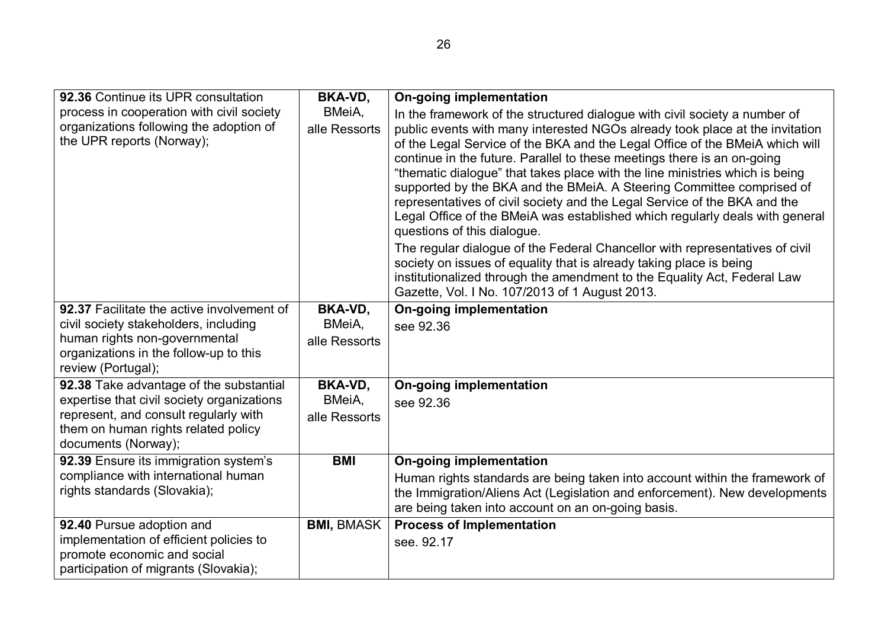| 92.36 Continue its UPR consultation                                                                                                               | <b>BKA-VD,</b>          | <b>On-going implementation</b>                                                                                                                                                                                                                                                                                                                    |
|---------------------------------------------------------------------------------------------------------------------------------------------------|-------------------------|---------------------------------------------------------------------------------------------------------------------------------------------------------------------------------------------------------------------------------------------------------------------------------------------------------------------------------------------------|
| process in cooperation with civil society<br>organizations following the adoption of<br>the UPR reports (Norway);                                 | BMeiA,<br>alle Ressorts | In the framework of the structured dialogue with civil society a number of<br>public events with many interested NGOs already took place at the invitation<br>of the Legal Service of the BKA and the Legal Office of the BMeiA which will<br>continue in the future. Parallel to these meetings there is an on-going                             |
|                                                                                                                                                   |                         | "thematic dialogue" that takes place with the line ministries which is being<br>supported by the BKA and the BMeiA. A Steering Committee comprised of<br>representatives of civil society and the Legal Service of the BKA and the<br>Legal Office of the BMeiA was established which regularly deals with general<br>questions of this dialogue. |
|                                                                                                                                                   |                         | The regular dialogue of the Federal Chancellor with representatives of civil<br>society on issues of equality that is already taking place is being<br>institutionalized through the amendment to the Equality Act, Federal Law<br>Gazette, Vol. I No. 107/2013 of 1 August 2013.                                                                 |
| 92.37 Facilitate the active involvement of                                                                                                        | BKA-VD,                 | <b>On-going implementation</b>                                                                                                                                                                                                                                                                                                                    |
| civil society stakeholders, including<br>human rights non-governmental                                                                            | BMeiA,                  | see 92.36                                                                                                                                                                                                                                                                                                                                         |
| organizations in the follow-up to this<br>review (Portugal);                                                                                      | alle Ressorts           |                                                                                                                                                                                                                                                                                                                                                   |
| 92.38 Take advantage of the substantial                                                                                                           | <b>BKA-VD,</b>          | <b>On-going implementation</b>                                                                                                                                                                                                                                                                                                                    |
| expertise that civil society organizations<br>represent, and consult regularly with<br>them on human rights related policy<br>documents (Norway); | BMeiA,<br>alle Ressorts | see 92.36                                                                                                                                                                                                                                                                                                                                         |
| 92.39 Ensure its immigration system's                                                                                                             | <b>BMI</b>              | <b>On-going implementation</b>                                                                                                                                                                                                                                                                                                                    |
| compliance with international human<br>rights standards (Slovakia);                                                                               |                         | Human rights standards are being taken into account within the framework of<br>the Immigration/Aliens Act (Legislation and enforcement). New developments<br>are being taken into account on an on-going basis.                                                                                                                                   |
| 92.40 Pursue adoption and                                                                                                                         | <b>BMI, BMASK</b>       | <b>Process of Implementation</b>                                                                                                                                                                                                                                                                                                                  |
| implementation of efficient policies to<br>promote economic and social<br>participation of migrants (Slovakia);                                   |                         | see. 92.17                                                                                                                                                                                                                                                                                                                                        |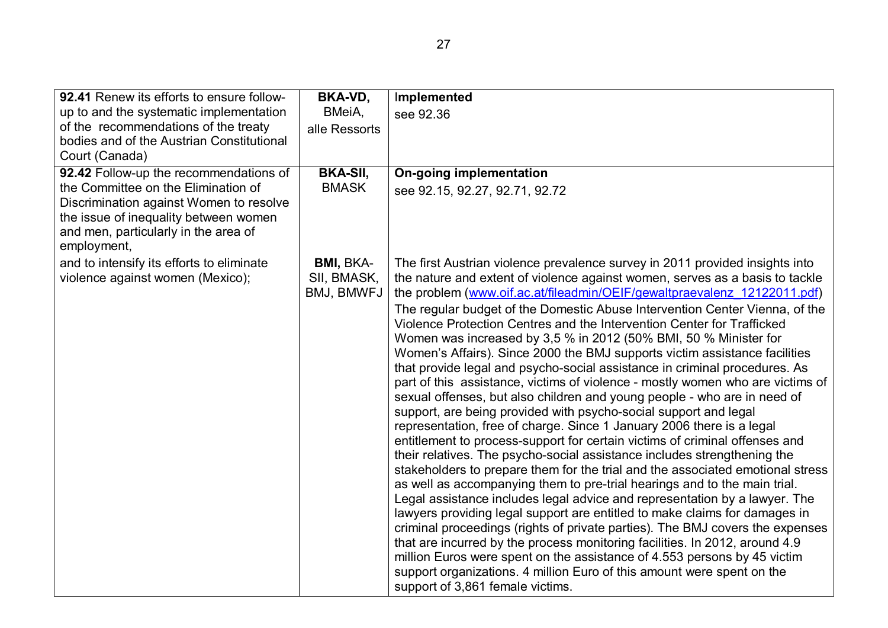| 92.41 Renew its efforts to ensure follow-                                                                                                                                                                                | <b>BKA-VD,</b>                                | Implemented                                                                                                                                                                                                                                                                                                                                                                                                                                                                                                                                                                                                                                                                                                                                                                                                                                                                                                                                                                                                                                                                                                                                                                                                                                                                                                                                                                                                                                                                                                                                                                                                                                                                                                                                                                                  |
|--------------------------------------------------------------------------------------------------------------------------------------------------------------------------------------------------------------------------|-----------------------------------------------|----------------------------------------------------------------------------------------------------------------------------------------------------------------------------------------------------------------------------------------------------------------------------------------------------------------------------------------------------------------------------------------------------------------------------------------------------------------------------------------------------------------------------------------------------------------------------------------------------------------------------------------------------------------------------------------------------------------------------------------------------------------------------------------------------------------------------------------------------------------------------------------------------------------------------------------------------------------------------------------------------------------------------------------------------------------------------------------------------------------------------------------------------------------------------------------------------------------------------------------------------------------------------------------------------------------------------------------------------------------------------------------------------------------------------------------------------------------------------------------------------------------------------------------------------------------------------------------------------------------------------------------------------------------------------------------------------------------------------------------------------------------------------------------------|
| up to and the systematic implementation<br>of the recommendations of the treaty<br>bodies and of the Austrian Constitutional<br>Court (Canada)                                                                           | BMeiA,<br>alle Ressorts                       | see 92.36                                                                                                                                                                                                                                                                                                                                                                                                                                                                                                                                                                                                                                                                                                                                                                                                                                                                                                                                                                                                                                                                                                                                                                                                                                                                                                                                                                                                                                                                                                                                                                                                                                                                                                                                                                                    |
| 92.42 Follow-up the recommendations of<br>the Committee on the Elimination of<br>Discrimination against Women to resolve<br>the issue of inequality between women<br>and men, particularly in the area of<br>employment, | <b>BKA-SII,</b><br><b>BMASK</b>               | <b>On-going implementation</b><br>see 92.15, 92.27, 92.71, 92.72                                                                                                                                                                                                                                                                                                                                                                                                                                                                                                                                                                                                                                                                                                                                                                                                                                                                                                                                                                                                                                                                                                                                                                                                                                                                                                                                                                                                                                                                                                                                                                                                                                                                                                                             |
| and to intensify its efforts to eliminate<br>violence against women (Mexico);                                                                                                                                            | <b>BMI, BKA-</b><br>SII, BMASK,<br>BMJ, BMWFJ | The first Austrian violence prevalence survey in 2011 provided insights into<br>the nature and extent of violence against women, serves as a basis to tackle<br>the problem (www.oif.ac.at/fileadmin/OEIF/gewaltpraevalenz 12122011.pdf)<br>The regular budget of the Domestic Abuse Intervention Center Vienna, of the<br>Violence Protection Centres and the Intervention Center for Trafficked<br>Women was increased by 3,5 % in 2012 (50% BMI, 50 % Minister for<br>Women's Affairs). Since 2000 the BMJ supports victim assistance facilities<br>that provide legal and psycho-social assistance in criminal procedures. As<br>part of this assistance, victims of violence - mostly women who are victims of<br>sexual offenses, but also children and young people - who are in need of<br>support, are being provided with psycho-social support and legal<br>representation, free of charge. Since 1 January 2006 there is a legal<br>entitlement to process-support for certain victims of criminal offenses and<br>their relatives. The psycho-social assistance includes strengthening the<br>stakeholders to prepare them for the trial and the associated emotional stress<br>as well as accompanying them to pre-trial hearings and to the main trial.<br>Legal assistance includes legal advice and representation by a lawyer. The<br>lawyers providing legal support are entitled to make claims for damages in<br>criminal proceedings (rights of private parties). The BMJ covers the expenses<br>that are incurred by the process monitoring facilities. In 2012, around 4.9<br>million Euros were spent on the assistance of 4.553 persons by 45 victim<br>support organizations. 4 million Euro of this amount were spent on the<br>support of 3,861 female victims. |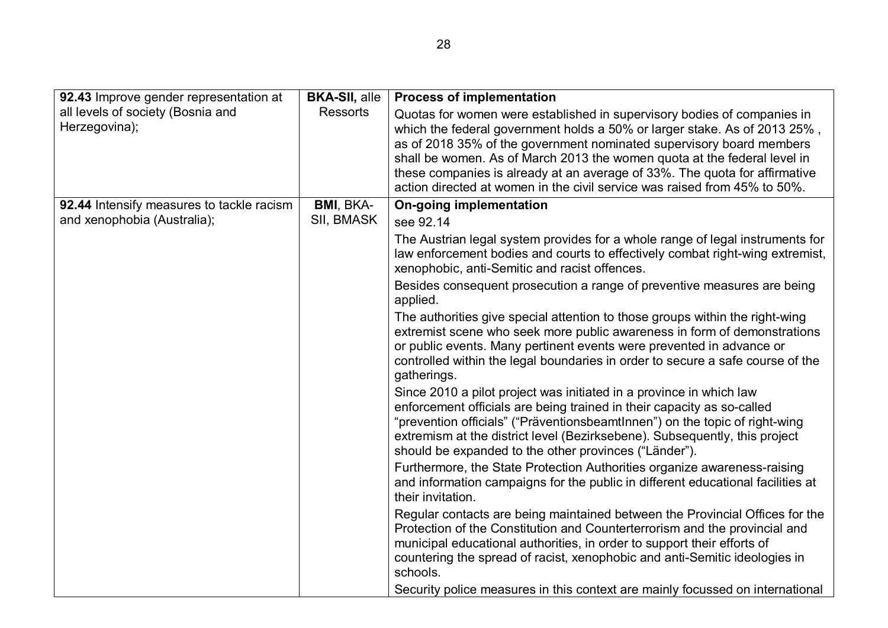| 92.43 Improve gender representation at             | <b>BKA-SII, alle</b> | <b>Process of implementation</b>                                                                                                                                                                                                                                                                                                                                                                                                                                    |
|----------------------------------------------------|----------------------|---------------------------------------------------------------------------------------------------------------------------------------------------------------------------------------------------------------------------------------------------------------------------------------------------------------------------------------------------------------------------------------------------------------------------------------------------------------------|
| all levels of society (Bosnia and<br>Herzegovina); | <b>Ressorts</b>      | Quotas for women were established in supervisory bodies of companies in<br>which the federal government holds a 50% or larger stake. As of 2013 25%,<br>as of 2018 35% of the government nominated supervisory board members<br>shall be women. As of March 2013 the women quota at the federal level in<br>these companies is already at an average of 33%. The quota for affirmative<br>action directed at women in the civil service was raised from 45% to 50%. |
| 92.44 Intensify measures to tackle racism          | <b>BMI, BKA-</b>     | <b>On-going implementation</b>                                                                                                                                                                                                                                                                                                                                                                                                                                      |
| and xenophobia (Australia);                        | SII, BMASK           | see 92.14                                                                                                                                                                                                                                                                                                                                                                                                                                                           |
|                                                    |                      | The Austrian legal system provides for a whole range of legal instruments for<br>law enforcement bodies and courts to effectively combat right-wing extremist,<br>xenophobic, anti-Semitic and racist offences.                                                                                                                                                                                                                                                     |
|                                                    |                      | Besides consequent prosecution a range of preventive measures are being<br>applied.                                                                                                                                                                                                                                                                                                                                                                                 |
|                                                    |                      | The authorities give special attention to those groups within the right-wing<br>extremist scene who seek more public awareness in form of demonstrations                                                                                                                                                                                                                                                                                                            |
|                                                    |                      | or public events. Many pertinent events were prevented in advance or<br>controlled within the legal boundaries in order to secure a safe course of the<br>gatherings.                                                                                                                                                                                                                                                                                               |
|                                                    |                      | Since 2010 a pilot project was initiated in a province in which law                                                                                                                                                                                                                                                                                                                                                                                                 |
|                                                    |                      | enforcement officials are being trained in their capacity as so-called                                                                                                                                                                                                                                                                                                                                                                                              |
|                                                    |                      | "prevention officials" ("PräventionsbeamtInnen") on the topic of right-wing<br>extremism at the district level (Bezirksebene). Subsequently, this project<br>should be expanded to the other provinces ("Länder").                                                                                                                                                                                                                                                  |
|                                                    |                      | Furthermore, the State Protection Authorities organize awareness-raising<br>and information campaigns for the public in different educational facilities at<br>their invitation.                                                                                                                                                                                                                                                                                    |
|                                                    |                      | Regular contacts are being maintained between the Provincial Offices for the<br>Protection of the Constitution and Counterterrorism and the provincial and                                                                                                                                                                                                                                                                                                          |
|                                                    |                      | municipal educational authorities, in order to support their efforts of<br>countering the spread of racist, xenophobic and anti-Semitic ideologies in<br>schools.                                                                                                                                                                                                                                                                                                   |
|                                                    |                      | Security police measures in this context are mainly focussed on international                                                                                                                                                                                                                                                                                                                                                                                       |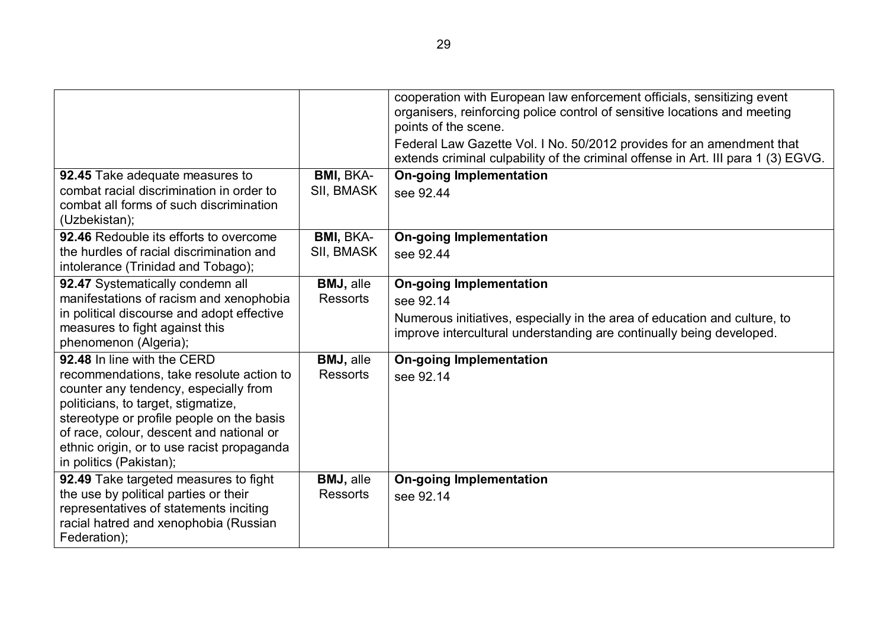|                                                                                                                                                                                                                                                                                                                           |                                     | cooperation with European law enforcement officials, sensitizing event<br>organisers, reinforcing police control of sensitive locations and meeting<br>points of the scene.<br>Federal Law Gazette Vol. I No. 50/2012 provides for an amendment that<br>extends criminal culpability of the criminal offense in Art. III para 1 (3) EGVG. |
|---------------------------------------------------------------------------------------------------------------------------------------------------------------------------------------------------------------------------------------------------------------------------------------------------------------------------|-------------------------------------|-------------------------------------------------------------------------------------------------------------------------------------------------------------------------------------------------------------------------------------------------------------------------------------------------------------------------------------------|
| 92.45 Take adequate measures to<br>combat racial discrimination in order to<br>combat all forms of such discrimination<br>(Uzbekistan);                                                                                                                                                                                   | <b>BMI, BKA-</b><br>SII, BMASK      | <b>On-going Implementation</b><br>see 92.44                                                                                                                                                                                                                                                                                               |
| 92.46 Redouble its efforts to overcome<br>the hurdles of racial discrimination and<br>intolerance (Trinidad and Tobago);                                                                                                                                                                                                  | <b>BMI, BKA-</b><br>SII, BMASK      | <b>On-going Implementation</b><br>see 92.44                                                                                                                                                                                                                                                                                               |
| 92.47 Systematically condemn all<br>manifestations of racism and xenophobia<br>in political discourse and adopt effective<br>measures to fight against this<br>phenomenon (Algeria);                                                                                                                                      | <b>BMJ, alle</b><br><b>Ressorts</b> | <b>On-going Implementation</b><br>see 92.14<br>Numerous initiatives, especially in the area of education and culture, to<br>improve intercultural understanding are continually being developed.                                                                                                                                          |
| 92.48 In line with the CERD<br>recommendations, take resolute action to<br>counter any tendency, especially from<br>politicians, to target, stigmatize,<br>stereotype or profile people on the basis<br>of race, colour, descent and national or<br>ethnic origin, or to use racist propaganda<br>in politics (Pakistan); | <b>BMJ, alle</b><br><b>Ressorts</b> | <b>On-going Implementation</b><br>see 92.14                                                                                                                                                                                                                                                                                               |
| 92.49 Take targeted measures to fight<br>the use by political parties or their<br>representatives of statements inciting<br>racial hatred and xenophobia (Russian<br>Federation);                                                                                                                                         | <b>BMJ, alle</b><br><b>Ressorts</b> | <b>On-going Implementation</b><br>see 92.14                                                                                                                                                                                                                                                                                               |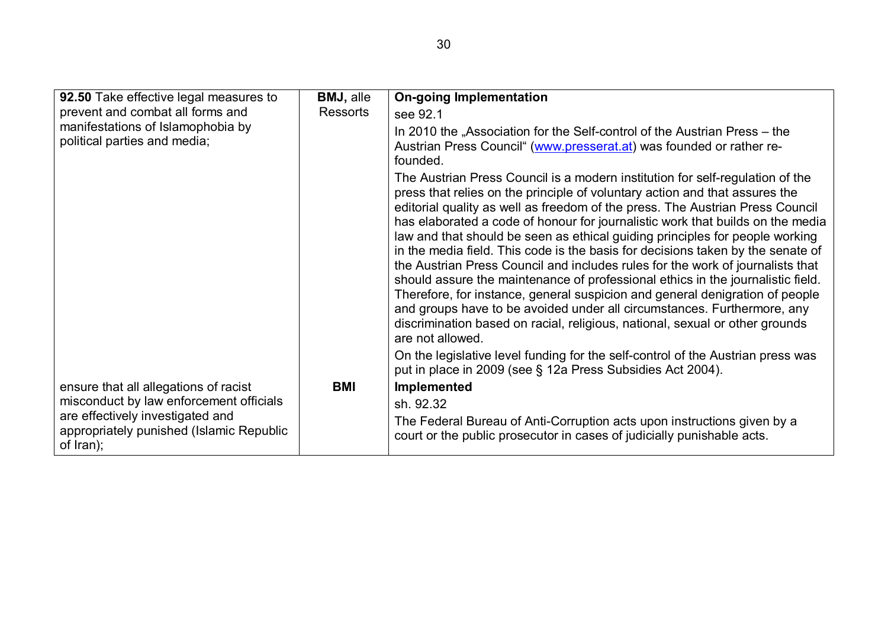| 92.50 Take effective legal measures to                                                    | <b>BMJ, alle</b> | <b>On-going Implementation</b>                                                                                                                                                                                                                                                                                                                                                                                                                                                                                                                                                                                                                                                                                                                                                                                                                                                                                                         |
|-------------------------------------------------------------------------------------------|------------------|----------------------------------------------------------------------------------------------------------------------------------------------------------------------------------------------------------------------------------------------------------------------------------------------------------------------------------------------------------------------------------------------------------------------------------------------------------------------------------------------------------------------------------------------------------------------------------------------------------------------------------------------------------------------------------------------------------------------------------------------------------------------------------------------------------------------------------------------------------------------------------------------------------------------------------------|
| prevent and combat all forms and                                                          | Ressorts         | see 92.1                                                                                                                                                                                                                                                                                                                                                                                                                                                                                                                                                                                                                                                                                                                                                                                                                                                                                                                               |
| manifestations of Islamophobia by                                                         |                  | In 2010 the "Association for the Self-control of the Austrian Press – the                                                                                                                                                                                                                                                                                                                                                                                                                                                                                                                                                                                                                                                                                                                                                                                                                                                              |
| political parties and media;                                                              |                  | Austrian Press Council" (www.presserat.at) was founded or rather re-<br>founded.                                                                                                                                                                                                                                                                                                                                                                                                                                                                                                                                                                                                                                                                                                                                                                                                                                                       |
|                                                                                           |                  | The Austrian Press Council is a modern institution for self-regulation of the<br>press that relies on the principle of voluntary action and that assures the<br>editorial quality as well as freedom of the press. The Austrian Press Council<br>has elaborated a code of honour for journalistic work that builds on the media<br>law and that should be seen as ethical guiding principles for people working<br>in the media field. This code is the basis for decisions taken by the senate of<br>the Austrian Press Council and includes rules for the work of journalists that<br>should assure the maintenance of professional ethics in the journalistic field.<br>Therefore, for instance, general suspicion and general denigration of people<br>and groups have to be avoided under all circumstances. Furthermore, any<br>discrimination based on racial, religious, national, sexual or other grounds<br>are not allowed. |
|                                                                                           |                  | On the legislative level funding for the self-control of the Austrian press was<br>put in place in 2009 (see § 12a Press Subsidies Act 2004).                                                                                                                                                                                                                                                                                                                                                                                                                                                                                                                                                                                                                                                                                                                                                                                          |
| ensure that all allegations of racist                                                     | <b>BMI</b>       | Implemented                                                                                                                                                                                                                                                                                                                                                                                                                                                                                                                                                                                                                                                                                                                                                                                                                                                                                                                            |
| misconduct by law enforcement officials                                                   |                  | sh. 92.32                                                                                                                                                                                                                                                                                                                                                                                                                                                                                                                                                                                                                                                                                                                                                                                                                                                                                                                              |
| are effectively investigated and<br>appropriately punished (Islamic Republic<br>of Iran); |                  | The Federal Bureau of Anti-Corruption acts upon instructions given by a<br>court or the public prosecutor in cases of judicially punishable acts.                                                                                                                                                                                                                                                                                                                                                                                                                                                                                                                                                                                                                                                                                                                                                                                      |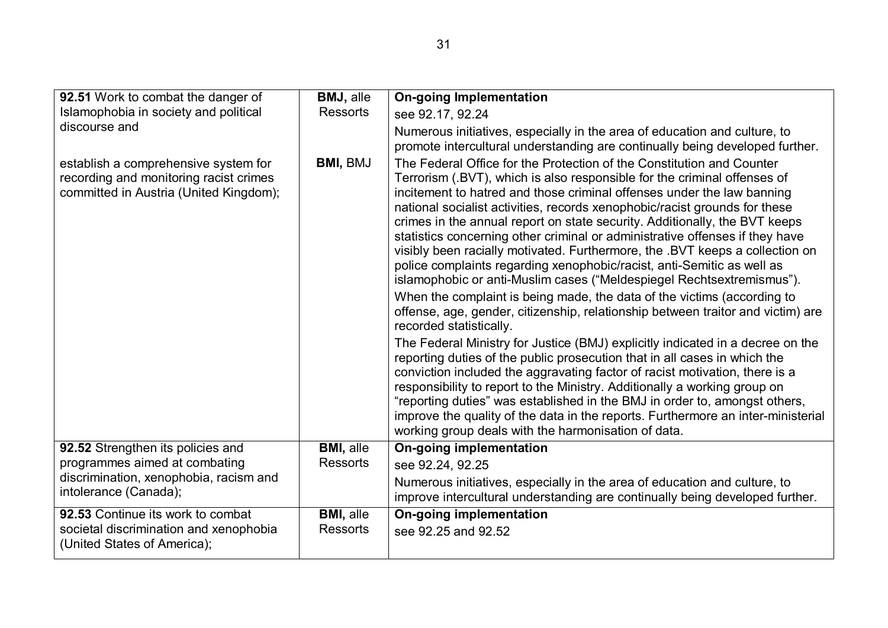| 92.51 Work to combat the danger of                                                                                       | <b>BMJ, alle</b>                    | <b>On-going Implementation</b>                                                                                                                                                                                                                                                                                                                                                                                                                                                                                                                                                                                                                                                                             |
|--------------------------------------------------------------------------------------------------------------------------|-------------------------------------|------------------------------------------------------------------------------------------------------------------------------------------------------------------------------------------------------------------------------------------------------------------------------------------------------------------------------------------------------------------------------------------------------------------------------------------------------------------------------------------------------------------------------------------------------------------------------------------------------------------------------------------------------------------------------------------------------------|
| Islamophobia in society and political                                                                                    | <b>Ressorts</b>                     | see 92.17, 92.24                                                                                                                                                                                                                                                                                                                                                                                                                                                                                                                                                                                                                                                                                           |
| discourse and                                                                                                            |                                     | Numerous initiatives, especially in the area of education and culture, to<br>promote intercultural understanding are continually being developed further.                                                                                                                                                                                                                                                                                                                                                                                                                                                                                                                                                  |
| establish a comprehensive system for<br>recording and monitoring racist crimes<br>committed in Austria (United Kingdom); | <b>BMI, BMJ</b>                     | The Federal Office for the Protection of the Constitution and Counter<br>Terrorism (.BVT), which is also responsible for the criminal offenses of<br>incitement to hatred and those criminal offenses under the law banning<br>national socialist activities, records xenophobic/racist grounds for these<br>crimes in the annual report on state security. Additionally, the BVT keeps<br>statistics concerning other criminal or administrative offenses if they have<br>visibly been racially motivated. Furthermore, the .BVT keeps a collection on<br>police complaints regarding xenophobic/racist, anti-Semitic as well as<br>islamophobic or anti-Muslim cases ("Meldespiegel Rechtsextremismus"). |
|                                                                                                                          |                                     | When the complaint is being made, the data of the victims (according to<br>offense, age, gender, citizenship, relationship between traitor and victim) are<br>recorded statistically.                                                                                                                                                                                                                                                                                                                                                                                                                                                                                                                      |
|                                                                                                                          |                                     | The Federal Ministry for Justice (BMJ) explicitly indicated in a decree on the<br>reporting duties of the public prosecution that in all cases in which the<br>conviction included the aggravating factor of racist motivation, there is a<br>responsibility to report to the Ministry. Additionally a working group on<br>"reporting duties" was established in the BMJ in order to, amongst others,<br>improve the quality of the data in the reports. Furthermore an inter-ministerial<br>working group deals with the harmonisation of data.                                                                                                                                                           |
| 92.52 Strengthen its policies and                                                                                        | <b>BMI, alle</b>                    | <b>On-going implementation</b>                                                                                                                                                                                                                                                                                                                                                                                                                                                                                                                                                                                                                                                                             |
| programmes aimed at combating                                                                                            | <b>Ressorts</b>                     | see 92.24, 92.25                                                                                                                                                                                                                                                                                                                                                                                                                                                                                                                                                                                                                                                                                           |
| discrimination, xenophobia, racism and<br>intolerance (Canada);                                                          |                                     | Numerous initiatives, especially in the area of education and culture, to<br>improve intercultural understanding are continually being developed further.                                                                                                                                                                                                                                                                                                                                                                                                                                                                                                                                                  |
| 92.53 Continue its work to combat<br>societal discrimination and xenophobia<br>(United States of America);               | <b>BMI, alle</b><br><b>Ressorts</b> | <b>On-going implementation</b><br>see 92.25 and 92.52                                                                                                                                                                                                                                                                                                                                                                                                                                                                                                                                                                                                                                                      |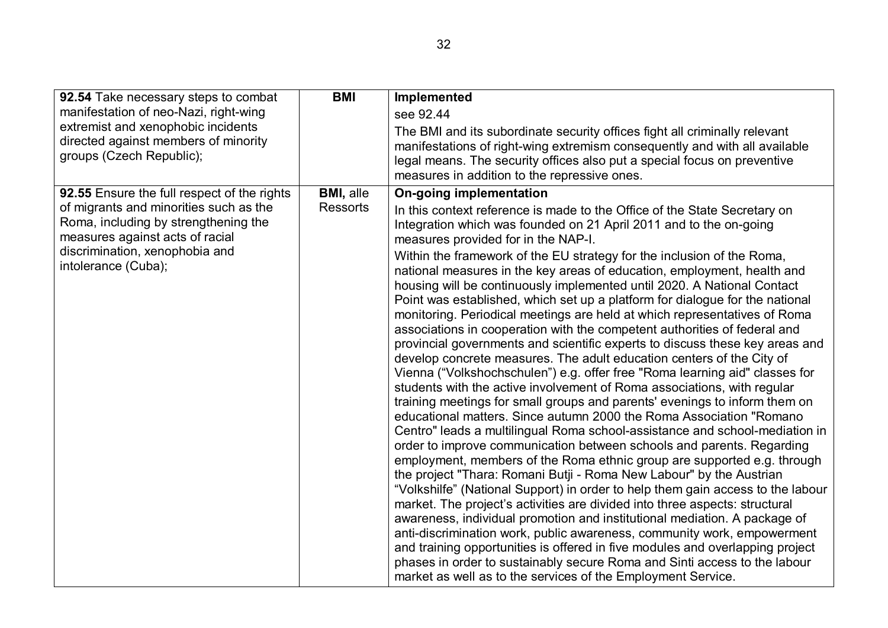| 92.54 Take necessary steps to combat<br>manifestation of neo-Nazi, right-wing<br>extremist and xenophobic incidents<br>directed against members of minority<br>groups (Czech Republic); | <b>BMI</b>                          | Implemented<br>see 92.44<br>The BMI and its subordinate security offices fight all criminally relevant<br>manifestations of right-wing extremism consequently and with all available<br>legal means. The security offices also put a special focus on preventive<br>measures in addition to the repressive ones.                                                                                                                                                                                                                                                                                                                                                                                                                                                                                                                                                                                                                                                                                                                                                                                                                                                                                                                                                                                                                                                                                                                                                                                                                                                                                                                                                                                                                                                                                                  |
|-----------------------------------------------------------------------------------------------------------------------------------------------------------------------------------------|-------------------------------------|-------------------------------------------------------------------------------------------------------------------------------------------------------------------------------------------------------------------------------------------------------------------------------------------------------------------------------------------------------------------------------------------------------------------------------------------------------------------------------------------------------------------------------------------------------------------------------------------------------------------------------------------------------------------------------------------------------------------------------------------------------------------------------------------------------------------------------------------------------------------------------------------------------------------------------------------------------------------------------------------------------------------------------------------------------------------------------------------------------------------------------------------------------------------------------------------------------------------------------------------------------------------------------------------------------------------------------------------------------------------------------------------------------------------------------------------------------------------------------------------------------------------------------------------------------------------------------------------------------------------------------------------------------------------------------------------------------------------------------------------------------------------------------------------------------------------|
| 92.55 Ensure the full respect of the rights<br>of migrants and minorities such as the<br>Roma, including by strengthening the<br>measures against acts of racial                        | <b>BMI, alle</b><br><b>Ressorts</b> | <b>On-going implementation</b><br>In this context reference is made to the Office of the State Secretary on<br>Integration which was founded on 21 April 2011 and to the on-going<br>measures provided for in the NAP-I.                                                                                                                                                                                                                                                                                                                                                                                                                                                                                                                                                                                                                                                                                                                                                                                                                                                                                                                                                                                                                                                                                                                                                                                                                                                                                                                                                                                                                                                                                                                                                                                          |
| discrimination, xenophobia and<br>intolerance (Cuba);                                                                                                                                   |                                     | Within the framework of the EU strategy for the inclusion of the Roma,<br>national measures in the key areas of education, employment, health and<br>housing will be continuously implemented until 2020. A National Contact<br>Point was established, which set up a platform for dialogue for the national<br>monitoring. Periodical meetings are held at which representatives of Roma<br>associations in cooperation with the competent authorities of federal and<br>provincial governments and scientific experts to discuss these key areas and<br>develop concrete measures. The adult education centers of the City of<br>Vienna ("Volkshochschulen") e.g. offer free "Roma learning aid" classes for<br>students with the active involvement of Roma associations, with regular<br>training meetings for small groups and parents' evenings to inform them on<br>educational matters. Since autumn 2000 the Roma Association "Romano"<br>Centro" leads a multilingual Roma school-assistance and school-mediation in<br>order to improve communication between schools and parents. Regarding<br>employment, members of the Roma ethnic group are supported e.g. through<br>the project "Thara: Romani Butji - Roma New Labour" by the Austrian<br>"Volkshilfe" (National Support) in order to help them gain access to the labour<br>market. The project's activities are divided into three aspects: structural<br>awareness, individual promotion and institutional mediation. A package of<br>anti-discrimination work, public awareness, community work, empowerment<br>and training opportunities is offered in five modules and overlapping project<br>phases in order to sustainably secure Roma and Sinti access to the labour<br>market as well as to the services of the Employment Service. |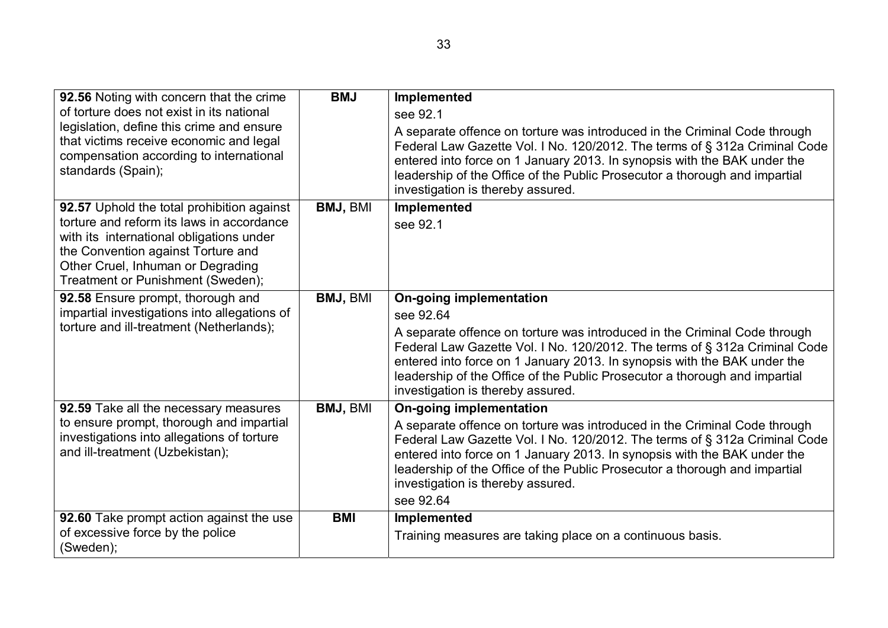| 92.56 Noting with concern that the crime<br>of torture does not exist in its national<br>legislation, define this crime and ensure<br>that victims receive economic and legal<br>compensation according to international<br>standards (Spain);      | <b>BMJ</b>      | <b>Implemented</b><br>see 92.1<br>A separate offence on torture was introduced in the Criminal Code through<br>Federal Law Gazette Vol. I No. 120/2012. The terms of § 312a Criminal Code<br>entered into force on 1 January 2013. In synopsis with the BAK under the<br>leadership of the Office of the Public Prosecutor a thorough and impartial<br>investigation is thereby assured.              |
|-----------------------------------------------------------------------------------------------------------------------------------------------------------------------------------------------------------------------------------------------------|-----------------|-------------------------------------------------------------------------------------------------------------------------------------------------------------------------------------------------------------------------------------------------------------------------------------------------------------------------------------------------------------------------------------------------------|
| 92.57 Uphold the total prohibition against<br>torture and reform its laws in accordance<br>with its international obligations under<br>the Convention against Torture and<br>Other Cruel, Inhuman or Degrading<br>Treatment or Punishment (Sweden); | <b>BMJ, BMI</b> | Implemented<br>see 92.1                                                                                                                                                                                                                                                                                                                                                                               |
| 92.58 Ensure prompt, thorough and<br>impartial investigations into allegations of<br>torture and ill-treatment (Netherlands);                                                                                                                       | <b>BMJ, BMI</b> | <b>On-going implementation</b><br>see 92.64<br>A separate offence on torture was introduced in the Criminal Code through<br>Federal Law Gazette Vol. I No. 120/2012. The terms of § 312a Criminal Code<br>entered into force on 1 January 2013. In synopsis with the BAK under the<br>leadership of the Office of the Public Prosecutor a thorough and impartial<br>investigation is thereby assured. |
| 92.59 Take all the necessary measures<br>to ensure prompt, thorough and impartial<br>investigations into allegations of torture<br>and ill-treatment (Uzbekistan);                                                                                  | <b>BMJ, BMI</b> | <b>On-going implementation</b><br>A separate offence on torture was introduced in the Criminal Code through<br>Federal Law Gazette Vol. I No. 120/2012. The terms of § 312a Criminal Code<br>entered into force on 1 January 2013. In synopsis with the BAK under the<br>leadership of the Office of the Public Prosecutor a thorough and impartial<br>investigation is thereby assured.<br>see 92.64 |
| 92.60 Take prompt action against the use<br>of excessive force by the police<br>(Sweden);                                                                                                                                                           | <b>BMI</b>      | Implemented<br>Training measures are taking place on a continuous basis.                                                                                                                                                                                                                                                                                                                              |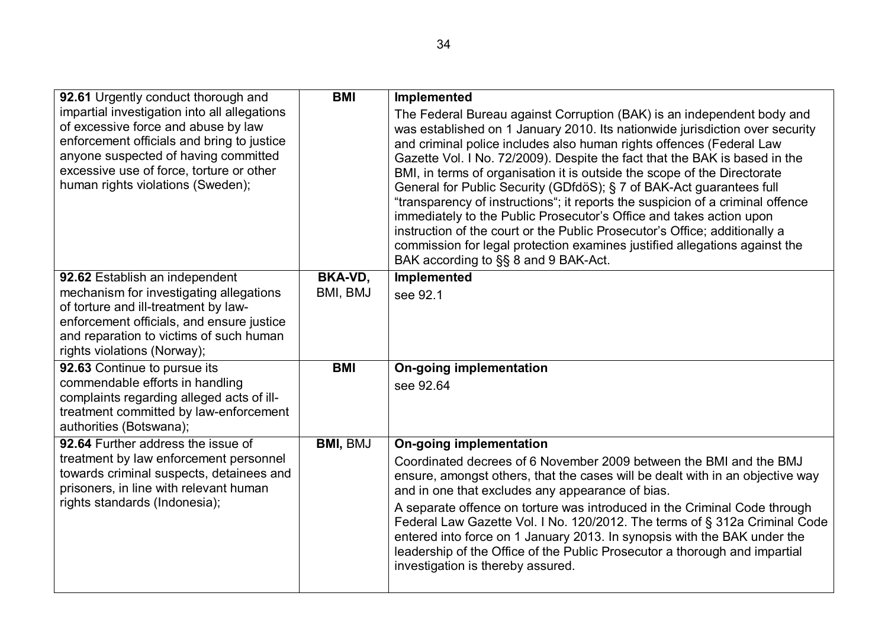| 92.61 Urgently conduct thorough and<br>impartial investigation into all allegations<br>of excessive force and abuse by law<br>enforcement officials and bring to justice<br>anyone suspected of having committed                         | <b>BMI</b>                 | Implemented<br>The Federal Bureau against Corruption (BAK) is an independent body and<br>was established on 1 January 2010. Its nationwide jurisdiction over security<br>and criminal police includes also human rights offences (Federal Law<br>Gazette Vol. I No. 72/2009). Despite the fact that the BAK is based in the                                                                                                                                                                                                                                                                         |
|------------------------------------------------------------------------------------------------------------------------------------------------------------------------------------------------------------------------------------------|----------------------------|-----------------------------------------------------------------------------------------------------------------------------------------------------------------------------------------------------------------------------------------------------------------------------------------------------------------------------------------------------------------------------------------------------------------------------------------------------------------------------------------------------------------------------------------------------------------------------------------------------|
| excessive use of force, torture or other<br>human rights violations (Sweden);                                                                                                                                                            |                            | BMI, in terms of organisation it is outside the scope of the Directorate<br>General for Public Security (GDfdöS); § 7 of BAK-Act guarantees full<br>"transparency of instructions"; it reports the suspicion of a criminal offence<br>immediately to the Public Prosecutor's Office and takes action upon<br>instruction of the court or the Public Prosecutor's Office; additionally a<br>commission for legal protection examines justified allegations against the<br>BAK according to §§ 8 and 9 BAK-Act.                                                                                       |
| 92.62 Establish an independent<br>mechanism for investigating allegations<br>of torture and ill-treatment by law-<br>enforcement officials, and ensure justice<br>and reparation to victims of such human<br>rights violations (Norway); | <b>BKA-VD,</b><br>BMI, BMJ | Implemented<br>see 92.1                                                                                                                                                                                                                                                                                                                                                                                                                                                                                                                                                                             |
| 92.63 Continue to pursue its<br>commendable efforts in handling<br>complaints regarding alleged acts of ill-<br>treatment committed by law-enforcement<br>authorities (Botswana);                                                        | <b>BMI</b>                 | <b>On-going implementation</b><br>see 92.64                                                                                                                                                                                                                                                                                                                                                                                                                                                                                                                                                         |
| 92.64 Further address the issue of<br>treatment by law enforcement personnel<br>towards criminal suspects, detainees and<br>prisoners, in line with relevant human<br>rights standards (Indonesia);                                      | <b>BMI, BMJ</b>            | <b>On-going implementation</b><br>Coordinated decrees of 6 November 2009 between the BMI and the BMJ<br>ensure, amongst others, that the cases will be dealt with in an objective way<br>and in one that excludes any appearance of bias.<br>A separate offence on torture was introduced in the Criminal Code through<br>Federal Law Gazette Vol. I No. 120/2012. The terms of § 312a Criminal Code<br>entered into force on 1 January 2013. In synopsis with the BAK under the<br>leadership of the Office of the Public Prosecutor a thorough and impartial<br>investigation is thereby assured. |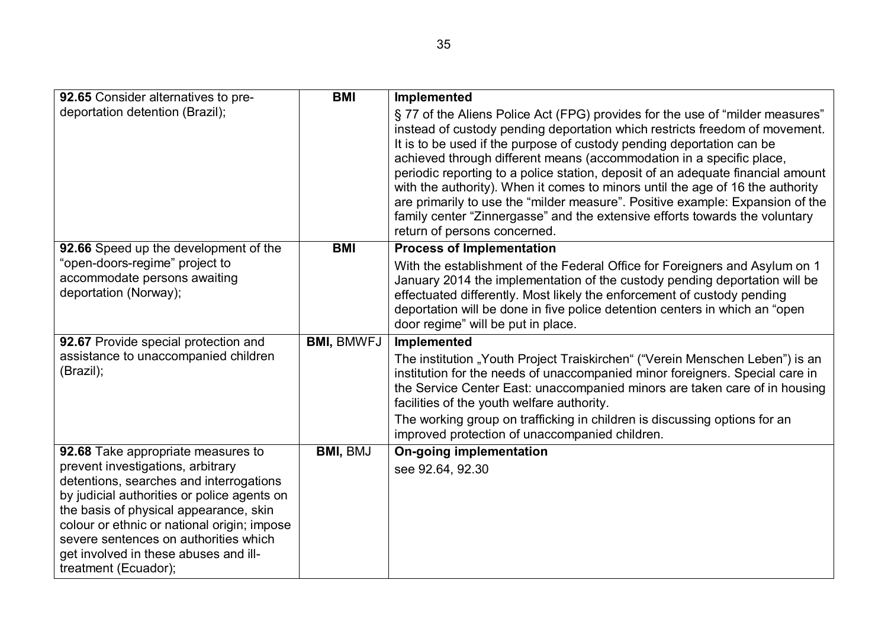| 92.65 Consider alternatives to pre-                                                                                                                                                                                                                                                                                                                                  | <b>BMI</b>        | Implemented                                                                                                                                                                                                                                                                                                                                                                                                                                                                                                                                                                                                                                                                       |
|----------------------------------------------------------------------------------------------------------------------------------------------------------------------------------------------------------------------------------------------------------------------------------------------------------------------------------------------------------------------|-------------------|-----------------------------------------------------------------------------------------------------------------------------------------------------------------------------------------------------------------------------------------------------------------------------------------------------------------------------------------------------------------------------------------------------------------------------------------------------------------------------------------------------------------------------------------------------------------------------------------------------------------------------------------------------------------------------------|
| deportation detention (Brazil);                                                                                                                                                                                                                                                                                                                                      |                   | §77 of the Aliens Police Act (FPG) provides for the use of "milder measures"<br>instead of custody pending deportation which restricts freedom of movement.<br>It is to be used if the purpose of custody pending deportation can be<br>achieved through different means (accommodation in a specific place,<br>periodic reporting to a police station, deposit of an adequate financial amount<br>with the authority). When it comes to minors until the age of 16 the authority<br>are primarily to use the "milder measure". Positive example: Expansion of the<br>family center "Zinnergasse" and the extensive efforts towards the voluntary<br>return of persons concerned. |
| 92.66 Speed up the development of the                                                                                                                                                                                                                                                                                                                                | <b>BMI</b>        | <b>Process of Implementation</b>                                                                                                                                                                                                                                                                                                                                                                                                                                                                                                                                                                                                                                                  |
| "open-doors-regime" project to<br>accommodate persons awaiting<br>deportation (Norway);                                                                                                                                                                                                                                                                              |                   | With the establishment of the Federal Office for Foreigners and Asylum on 1<br>January 2014 the implementation of the custody pending deportation will be<br>effectuated differently. Most likely the enforcement of custody pending<br>deportation will be done in five police detention centers in which an "open"<br>door regime" will be put in place.                                                                                                                                                                                                                                                                                                                        |
| 92.67 Provide special protection and                                                                                                                                                                                                                                                                                                                                 | <b>BMI, BMWFJ</b> | Implemented                                                                                                                                                                                                                                                                                                                                                                                                                                                                                                                                                                                                                                                                       |
| assistance to unaccompanied children<br>(Brazil);                                                                                                                                                                                                                                                                                                                    |                   | The institution "Youth Project Traiskirchen" ("Verein Menschen Leben") is an<br>institution for the needs of unaccompanied minor foreigners. Special care in<br>the Service Center East: unaccompanied minors are taken care of in housing<br>facilities of the youth welfare authority.<br>The working group on trafficking in children is discussing options for an                                                                                                                                                                                                                                                                                                             |
|                                                                                                                                                                                                                                                                                                                                                                      |                   | improved protection of unaccompanied children.                                                                                                                                                                                                                                                                                                                                                                                                                                                                                                                                                                                                                                    |
| 92.68 Take appropriate measures to<br>prevent investigations, arbitrary<br>detentions, searches and interrogations<br>by judicial authorities or police agents on<br>the basis of physical appearance, skin<br>colour or ethnic or national origin; impose<br>severe sentences on authorities which<br>get involved in these abuses and ill-<br>treatment (Ecuador); | <b>BMI, BMJ</b>   | <b>On-going implementation</b><br>see 92.64, 92.30                                                                                                                                                                                                                                                                                                                                                                                                                                                                                                                                                                                                                                |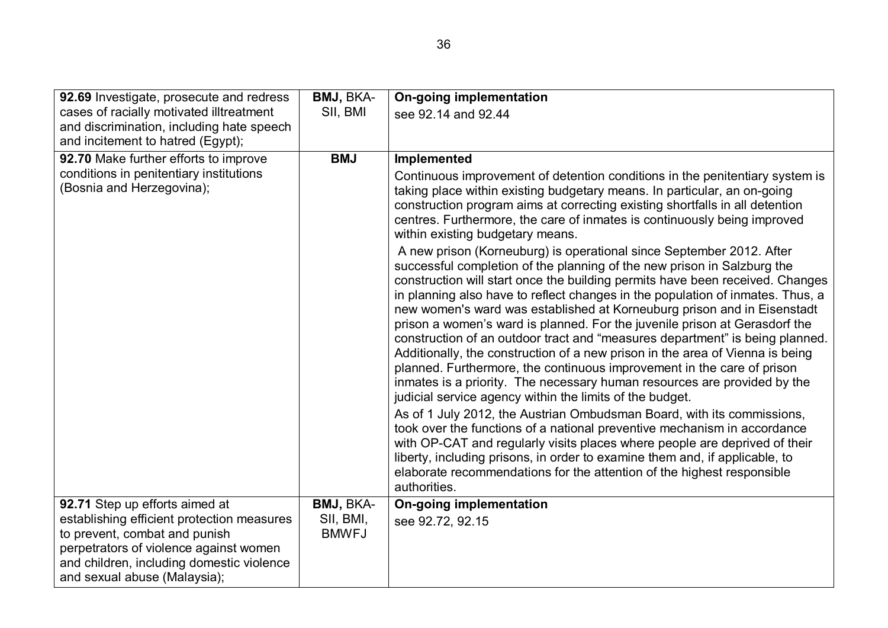| 92.69 Investigate, prosecute and redress                             | BMJ, BKA-    | <b>On-going implementation</b>                                                                                                                                                                                                                                                                                                                                                                                                                                                                                                                                                                                                                                                                                                                                                                                                                                                                                                                                                                                                                                                                                                                                                                                                                                                                                                                                                                                                                                                                                                                                                                                                          |
|----------------------------------------------------------------------|--------------|-----------------------------------------------------------------------------------------------------------------------------------------------------------------------------------------------------------------------------------------------------------------------------------------------------------------------------------------------------------------------------------------------------------------------------------------------------------------------------------------------------------------------------------------------------------------------------------------------------------------------------------------------------------------------------------------------------------------------------------------------------------------------------------------------------------------------------------------------------------------------------------------------------------------------------------------------------------------------------------------------------------------------------------------------------------------------------------------------------------------------------------------------------------------------------------------------------------------------------------------------------------------------------------------------------------------------------------------------------------------------------------------------------------------------------------------------------------------------------------------------------------------------------------------------------------------------------------------------------------------------------------------|
| cases of racially motivated illtreatment                             | SII, BMI     | see 92.14 and 92.44                                                                                                                                                                                                                                                                                                                                                                                                                                                                                                                                                                                                                                                                                                                                                                                                                                                                                                                                                                                                                                                                                                                                                                                                                                                                                                                                                                                                                                                                                                                                                                                                                     |
| and discrimination, including hate speech                            |              |                                                                                                                                                                                                                                                                                                                                                                                                                                                                                                                                                                                                                                                                                                                                                                                                                                                                                                                                                                                                                                                                                                                                                                                                                                                                                                                                                                                                                                                                                                                                                                                                                                         |
| and incitement to hatred (Egypt);                                    |              |                                                                                                                                                                                                                                                                                                                                                                                                                                                                                                                                                                                                                                                                                                                                                                                                                                                                                                                                                                                                                                                                                                                                                                                                                                                                                                                                                                                                                                                                                                                                                                                                                                         |
| 92.70 Make further efforts to improve                                | <b>BMJ</b>   | Implemented                                                                                                                                                                                                                                                                                                                                                                                                                                                                                                                                                                                                                                                                                                                                                                                                                                                                                                                                                                                                                                                                                                                                                                                                                                                                                                                                                                                                                                                                                                                                                                                                                             |
| conditions in penitentiary institutions<br>(Bosnia and Herzegovina); |              | Continuous improvement of detention conditions in the penitentiary system is<br>taking place within existing budgetary means. In particular, an on-going<br>construction program aims at correcting existing shortfalls in all detention<br>centres. Furthermore, the care of inmates is continuously being improved<br>within existing budgetary means.<br>A new prison (Korneuburg) is operational since September 2012. After<br>successful completion of the planning of the new prison in Salzburg the<br>construction will start once the building permits have been received. Changes<br>in planning also have to reflect changes in the population of inmates. Thus, a<br>new women's ward was established at Korneuburg prison and in Eisenstadt<br>prison a women's ward is planned. For the juvenile prison at Gerasdorf the<br>construction of an outdoor tract and "measures department" is being planned.<br>Additionally, the construction of a new prison in the area of Vienna is being<br>planned. Furthermore, the continuous improvement in the care of prison<br>inmates is a priority. The necessary human resources are provided by the<br>judicial service agency within the limits of the budget.<br>As of 1 July 2012, the Austrian Ombudsman Board, with its commissions,<br>took over the functions of a national preventive mechanism in accordance<br>with OP-CAT and regularly visits places where people are deprived of their<br>liberty, including prisons, in order to examine them and, if applicable, to<br>elaborate recommendations for the attention of the highest responsible<br>authorities. |
| 92.71 Step up efforts aimed at                                       | BMJ, BKA-    | <b>On-going implementation</b>                                                                                                                                                                                                                                                                                                                                                                                                                                                                                                                                                                                                                                                                                                                                                                                                                                                                                                                                                                                                                                                                                                                                                                                                                                                                                                                                                                                                                                                                                                                                                                                                          |
| establishing efficient protection measures                           | SII, BMI,    | see 92.72, 92.15                                                                                                                                                                                                                                                                                                                                                                                                                                                                                                                                                                                                                                                                                                                                                                                                                                                                                                                                                                                                                                                                                                                                                                                                                                                                                                                                                                                                                                                                                                                                                                                                                        |
| to prevent, combat and punish                                        | <b>BMWFJ</b> |                                                                                                                                                                                                                                                                                                                                                                                                                                                                                                                                                                                                                                                                                                                                                                                                                                                                                                                                                                                                                                                                                                                                                                                                                                                                                                                                                                                                                                                                                                                                                                                                                                         |
| perpetrators of violence against women                               |              |                                                                                                                                                                                                                                                                                                                                                                                                                                                                                                                                                                                                                                                                                                                                                                                                                                                                                                                                                                                                                                                                                                                                                                                                                                                                                                                                                                                                                                                                                                                                                                                                                                         |
| and children, including domestic violence                            |              |                                                                                                                                                                                                                                                                                                                                                                                                                                                                                                                                                                                                                                                                                                                                                                                                                                                                                                                                                                                                                                                                                                                                                                                                                                                                                                                                                                                                                                                                                                                                                                                                                                         |
| and sexual abuse (Malaysia);                                         |              |                                                                                                                                                                                                                                                                                                                                                                                                                                                                                                                                                                                                                                                                                                                                                                                                                                                                                                                                                                                                                                                                                                                                                                                                                                                                                                                                                                                                                                                                                                                                                                                                                                         |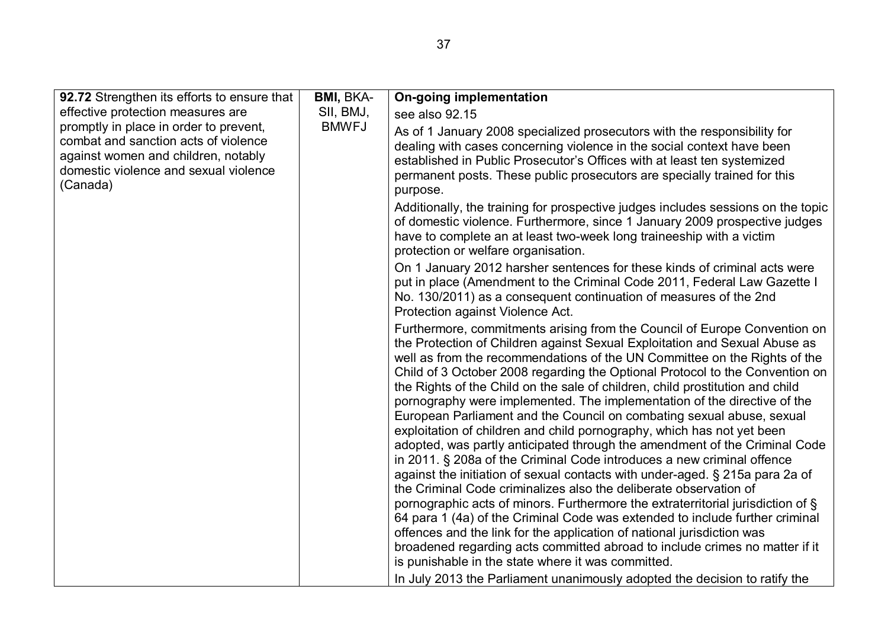| 92.72 Strengthen its efforts to ensure that                                                                                                                                                | <b>BMI, BKA-</b>                                                                                                                                                                                                                                                                                                      | <b>On-going implementation</b>                                                                                                                                                                                                                                                                                                                                                                                                                                                                                                                                                                                                                                                                                                                                                                                                                                                                                                                                                                                                                                                                                                                                                                                                                                                                                                                                                                                    |
|--------------------------------------------------------------------------------------------------------------------------------------------------------------------------------------------|-----------------------------------------------------------------------------------------------------------------------------------------------------------------------------------------------------------------------------------------------------------------------------------------------------------------------|-------------------------------------------------------------------------------------------------------------------------------------------------------------------------------------------------------------------------------------------------------------------------------------------------------------------------------------------------------------------------------------------------------------------------------------------------------------------------------------------------------------------------------------------------------------------------------------------------------------------------------------------------------------------------------------------------------------------------------------------------------------------------------------------------------------------------------------------------------------------------------------------------------------------------------------------------------------------------------------------------------------------------------------------------------------------------------------------------------------------------------------------------------------------------------------------------------------------------------------------------------------------------------------------------------------------------------------------------------------------------------------------------------------------|
| effective protection measures are                                                                                                                                                          | SII, BMJ,                                                                                                                                                                                                                                                                                                             | see also 92.15                                                                                                                                                                                                                                                                                                                                                                                                                                                                                                                                                                                                                                                                                                                                                                                                                                                                                                                                                                                                                                                                                                                                                                                                                                                                                                                                                                                                    |
| <b>BMWFJ</b><br>promptly in place in order to prevent,<br>combat and sanction acts of violence<br>against women and children, notably<br>domestic violence and sexual violence<br>(Canada) | As of 1 January 2008 specialized prosecutors with the responsibility for<br>dealing with cases concerning violence in the social context have been<br>established in Public Prosecutor's Offices with at least ten systemized<br>permanent posts. These public prosecutors are specially trained for this<br>purpose. |                                                                                                                                                                                                                                                                                                                                                                                                                                                                                                                                                                                                                                                                                                                                                                                                                                                                                                                                                                                                                                                                                                                                                                                                                                                                                                                                                                                                                   |
|                                                                                                                                                                                            |                                                                                                                                                                                                                                                                                                                       | Additionally, the training for prospective judges includes sessions on the topic<br>of domestic violence. Furthermore, since 1 January 2009 prospective judges<br>have to complete an at least two-week long traineeship with a victim<br>protection or welfare organisation.                                                                                                                                                                                                                                                                                                                                                                                                                                                                                                                                                                                                                                                                                                                                                                                                                                                                                                                                                                                                                                                                                                                                     |
|                                                                                                                                                                                            |                                                                                                                                                                                                                                                                                                                       | On 1 January 2012 harsher sentences for these kinds of criminal acts were<br>put in place (Amendment to the Criminal Code 2011, Federal Law Gazette I<br>No. 130/2011) as a consequent continuation of measures of the 2nd<br>Protection against Violence Act.                                                                                                                                                                                                                                                                                                                                                                                                                                                                                                                                                                                                                                                                                                                                                                                                                                                                                                                                                                                                                                                                                                                                                    |
|                                                                                                                                                                                            |                                                                                                                                                                                                                                                                                                                       | Furthermore, commitments arising from the Council of Europe Convention on<br>the Protection of Children against Sexual Exploitation and Sexual Abuse as<br>well as from the recommendations of the UN Committee on the Rights of the<br>Child of 3 October 2008 regarding the Optional Protocol to the Convention on<br>the Rights of the Child on the sale of children, child prostitution and child<br>pornography were implemented. The implementation of the directive of the<br>European Parliament and the Council on combating sexual abuse, sexual<br>exploitation of children and child pornography, which has not yet been<br>adopted, was partly anticipated through the amendment of the Criminal Code<br>in 2011. § 208a of the Criminal Code introduces a new criminal offence<br>against the initiation of sexual contacts with under-aged. § 215a para 2a of<br>the Criminal Code criminalizes also the deliberate observation of<br>pornographic acts of minors. Furthermore the extraterritorial jurisdiction of §<br>64 para 1 (4a) of the Criminal Code was extended to include further criminal<br>offences and the link for the application of national jurisdiction was<br>broadened regarding acts committed abroad to include crimes no matter if it<br>is punishable in the state where it was committed.<br>In July 2013 the Parliament unanimously adopted the decision to ratify the |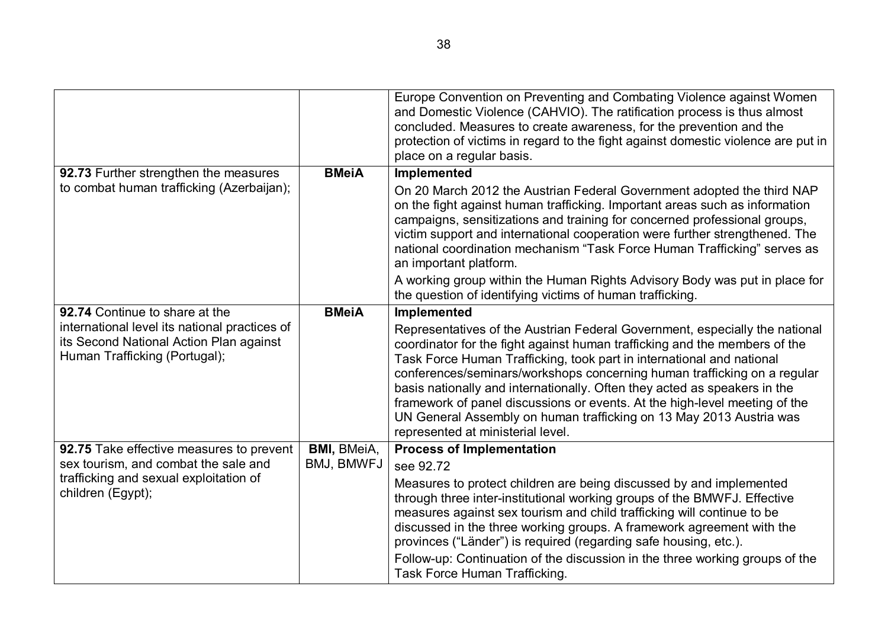|                                                                                                                           |                    | Europe Convention on Preventing and Combating Violence against Women<br>and Domestic Violence (CAHVIO). The ratification process is thus almost<br>concluded. Measures to create awareness, for the prevention and the<br>protection of victims in regard to the fight against domestic violence are put in<br>place on a regular basis.                                                                                                                                                                                                                                              |
|---------------------------------------------------------------------------------------------------------------------------|--------------------|---------------------------------------------------------------------------------------------------------------------------------------------------------------------------------------------------------------------------------------------------------------------------------------------------------------------------------------------------------------------------------------------------------------------------------------------------------------------------------------------------------------------------------------------------------------------------------------|
| 92.73 Further strengthen the measures                                                                                     | <b>BMeiA</b>       | Implemented                                                                                                                                                                                                                                                                                                                                                                                                                                                                                                                                                                           |
| to combat human trafficking (Azerbaijan);                                                                                 |                    | On 20 March 2012 the Austrian Federal Government adopted the third NAP<br>on the fight against human trafficking. Important areas such as information<br>campaigns, sensitizations and training for concerned professional groups,<br>victim support and international cooperation were further strengthened. The<br>national coordination mechanism "Task Force Human Trafficking" serves as<br>an important platform.                                                                                                                                                               |
|                                                                                                                           |                    | A working group within the Human Rights Advisory Body was put in place for<br>the question of identifying victims of human trafficking.                                                                                                                                                                                                                                                                                                                                                                                                                                               |
| 92.74 Continue to share at the                                                                                            | <b>BMeiA</b>       | Implemented                                                                                                                                                                                                                                                                                                                                                                                                                                                                                                                                                                           |
| international level its national practices of<br>its Second National Action Plan against<br>Human Trafficking (Portugal); |                    | Representatives of the Austrian Federal Government, especially the national<br>coordinator for the fight against human trafficking and the members of the<br>Task Force Human Trafficking, took part in international and national<br>conferences/seminars/workshops concerning human trafficking on a regular<br>basis nationally and internationally. Often they acted as speakers in the<br>framework of panel discussions or events. At the high-level meeting of the<br>UN General Assembly on human trafficking on 13 May 2013 Austria was<br>represented at ministerial level. |
| 92.75 Take effective measures to prevent                                                                                  | <b>BMI, BMeiA,</b> | <b>Process of Implementation</b>                                                                                                                                                                                                                                                                                                                                                                                                                                                                                                                                                      |
| sex tourism, and combat the sale and                                                                                      | BMJ, BMWFJ         | see 92.72                                                                                                                                                                                                                                                                                                                                                                                                                                                                                                                                                                             |
| trafficking and sexual exploitation of<br>children (Egypt);                                                               |                    | Measures to protect children are being discussed by and implemented<br>through three inter-institutional working groups of the BMWFJ. Effective<br>measures against sex tourism and child trafficking will continue to be<br>discussed in the three working groups. A framework agreement with the<br>provinces ("Länder") is required (regarding safe housing, etc.).<br>Follow-up: Continuation of the discussion in the three working groups of the<br>Task Force Human Trafficking.                                                                                               |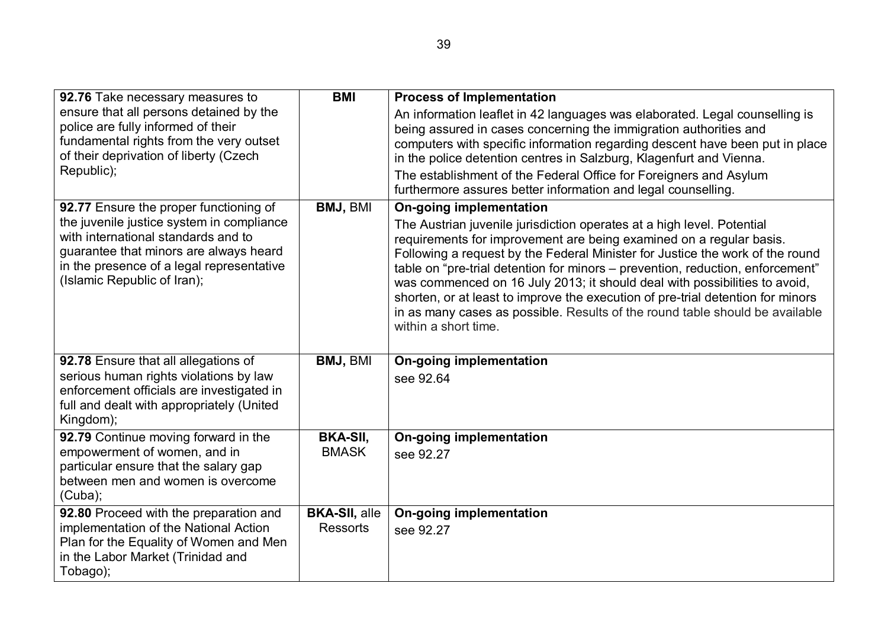| 92.76 Take necessary measures to<br>ensure that all persons detained by the<br>police are fully informed of their<br>fundamental rights from the very outset<br>of their deprivation of liberty (Czech<br>Republic);                             | <b>BMI</b>                              | <b>Process of Implementation</b><br>An information leaflet in 42 languages was elaborated. Legal counselling is<br>being assured in cases concerning the immigration authorities and<br>computers with specific information regarding descent have been put in place<br>in the police detention centres in Salzburg, Klagenfurt and Vienna.<br>The establishment of the Federal Office for Foreigners and Asylum<br>furthermore assures better information and legal counselling.                                                                                                                                           |
|--------------------------------------------------------------------------------------------------------------------------------------------------------------------------------------------------------------------------------------------------|-----------------------------------------|-----------------------------------------------------------------------------------------------------------------------------------------------------------------------------------------------------------------------------------------------------------------------------------------------------------------------------------------------------------------------------------------------------------------------------------------------------------------------------------------------------------------------------------------------------------------------------------------------------------------------------|
| 92.77 Ensure the proper functioning of<br>the juvenile justice system in compliance<br>with international standards and to<br>guarantee that minors are always heard<br>in the presence of a legal representative<br>(Islamic Republic of Iran); | <b>BMJ, BMI</b>                         | <b>On-going implementation</b><br>The Austrian juvenile jurisdiction operates at a high level. Potential<br>requirements for improvement are being examined on a regular basis.<br>Following a request by the Federal Minister for Justice the work of the round<br>table on "pre-trial detention for minors – prevention, reduction, enforcement"<br>was commenced on 16 July 2013; it should deal with possibilities to avoid,<br>shorten, or at least to improve the execution of pre-trial detention for minors<br>in as many cases as possible. Results of the round table should be available<br>within a short time. |
| 92.78 Ensure that all allegations of<br>serious human rights violations by law<br>enforcement officials are investigated in<br>full and dealt with appropriately (United<br>Kingdom);                                                            | BMJ, BMI                                | <b>On-going implementation</b><br>see 92.64                                                                                                                                                                                                                                                                                                                                                                                                                                                                                                                                                                                 |
| 92.79 Continue moving forward in the<br>empowerment of women, and in<br>particular ensure that the salary gap<br>between men and women is overcome<br>(Cuba);                                                                                    | <b>BKA-SII.</b><br><b>BMASK</b>         | <b>On-going implementation</b><br>see 92.27                                                                                                                                                                                                                                                                                                                                                                                                                                                                                                                                                                                 |
| 92.80 Proceed with the preparation and<br>implementation of the National Action<br>Plan for the Equality of Women and Men<br>in the Labor Market (Trinidad and<br>Tobago);                                                                       | <b>BKA-SII, alle</b><br><b>Ressorts</b> | <b>On-going implementation</b><br>see 92.27                                                                                                                                                                                                                                                                                                                                                                                                                                                                                                                                                                                 |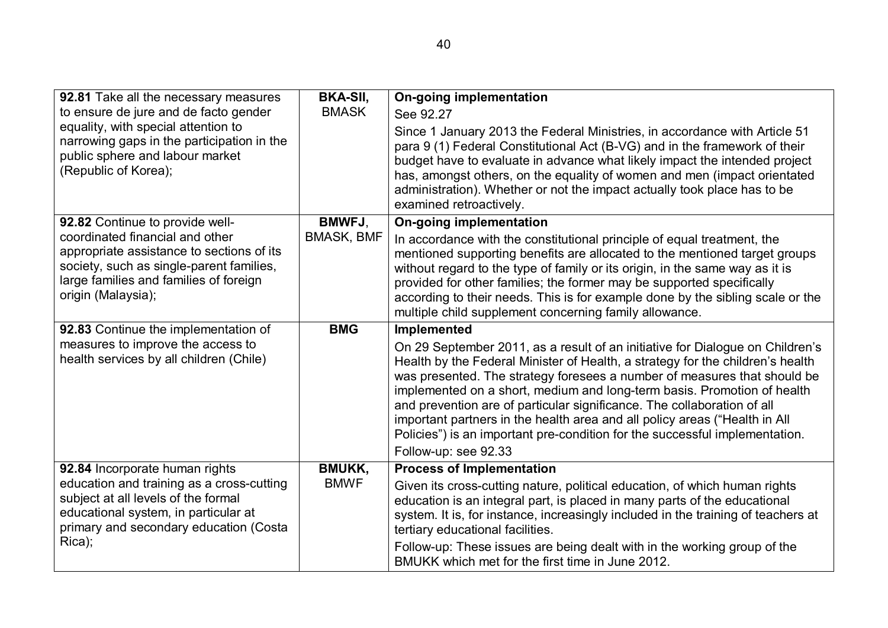| 92.81 Take all the necessary measures                                                                                                                                                    | <b>BKA-SII,</b>   | <b>On-going implementation</b>                                                                                                                                                                                                                                                                                                                                                                                                                                                                                                                                                         |
|------------------------------------------------------------------------------------------------------------------------------------------------------------------------------------------|-------------------|----------------------------------------------------------------------------------------------------------------------------------------------------------------------------------------------------------------------------------------------------------------------------------------------------------------------------------------------------------------------------------------------------------------------------------------------------------------------------------------------------------------------------------------------------------------------------------------|
| to ensure de jure and de facto gender                                                                                                                                                    | <b>BMASK</b>      | See 92.27                                                                                                                                                                                                                                                                                                                                                                                                                                                                                                                                                                              |
| equality, with special attention to<br>narrowing gaps in the participation in the<br>public sphere and labour market<br>(Republic of Korea);                                             |                   | Since 1 January 2013 the Federal Ministries, in accordance with Article 51<br>para 9 (1) Federal Constitutional Act (B-VG) and in the framework of their<br>budget have to evaluate in advance what likely impact the intended project<br>has, amongst others, on the equality of women and men (impact orientated<br>administration). Whether or not the impact actually took place has to be<br>examined retroactively.                                                                                                                                                              |
| 92.82 Continue to provide well-                                                                                                                                                          | <b>BMWFJ,</b>     | <b>On-going implementation</b>                                                                                                                                                                                                                                                                                                                                                                                                                                                                                                                                                         |
| coordinated financial and other<br>appropriate assistance to sections of its<br>society, such as single-parent families,<br>large families and families of foreign<br>origin (Malaysia); | <b>BMASK, BMF</b> | In accordance with the constitutional principle of equal treatment, the<br>mentioned supporting benefits are allocated to the mentioned target groups<br>without regard to the type of family or its origin, in the same way as it is<br>provided for other families; the former may be supported specifically<br>according to their needs. This is for example done by the sibling scale or the<br>multiple child supplement concerning family allowance.                                                                                                                             |
| 92.83 Continue the implementation of                                                                                                                                                     | <b>BMG</b>        | <b>Implemented</b>                                                                                                                                                                                                                                                                                                                                                                                                                                                                                                                                                                     |
| measures to improve the access to<br>health services by all children (Chile)                                                                                                             |                   | On 29 September 2011, as a result of an initiative for Dialogue on Children's<br>Health by the Federal Minister of Health, a strategy for the children's health<br>was presented. The strategy foresees a number of measures that should be<br>implemented on a short, medium and long-term basis. Promotion of health<br>and prevention are of particular significance. The collaboration of all<br>important partners in the health area and all policy areas ("Health in All<br>Policies") is an important pre-condition for the successful implementation.<br>Follow-up: see 92.33 |
| 92.84 Incorporate human rights                                                                                                                                                           | <b>BMUKK,</b>     | <b>Process of Implementation</b>                                                                                                                                                                                                                                                                                                                                                                                                                                                                                                                                                       |
| education and training as a cross-cutting<br>subject at all levels of the formal<br>educational system, in particular at<br>primary and secondary education (Costa<br>Rica);             | <b>BMWF</b>       | Given its cross-cutting nature, political education, of which human rights<br>education is an integral part, is placed in many parts of the educational<br>system. It is, for instance, increasingly included in the training of teachers at<br>tertiary educational facilities.<br>Follow-up: These issues are being dealt with in the working group of the                                                                                                                                                                                                                           |
|                                                                                                                                                                                          |                   | BMUKK which met for the first time in June 2012.                                                                                                                                                                                                                                                                                                                                                                                                                                                                                                                                       |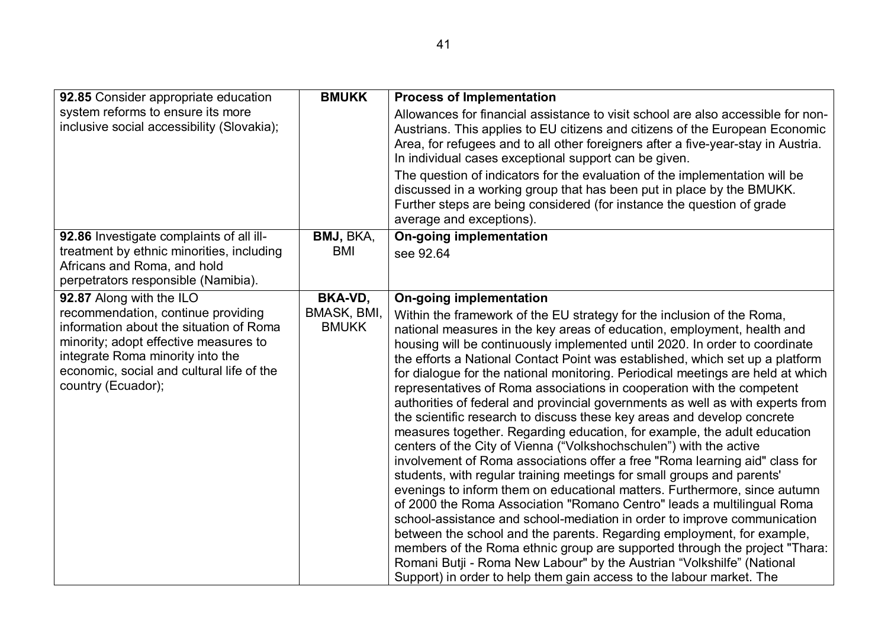| 92.85 Consider appropriate education                                                                                                                                                                                                                      | <b>BMUKK</b>                           | <b>Process of Implementation</b>                                                                                                                                                                                                                                                                                                                                                                                                                                                                                                                                                                                                                                                                                                                                                                                                                                                                                                                                                                                                                                                                                                                                                                                                                                                                                                                                                                                                                                                                                                      |
|-----------------------------------------------------------------------------------------------------------------------------------------------------------------------------------------------------------------------------------------------------------|----------------------------------------|---------------------------------------------------------------------------------------------------------------------------------------------------------------------------------------------------------------------------------------------------------------------------------------------------------------------------------------------------------------------------------------------------------------------------------------------------------------------------------------------------------------------------------------------------------------------------------------------------------------------------------------------------------------------------------------------------------------------------------------------------------------------------------------------------------------------------------------------------------------------------------------------------------------------------------------------------------------------------------------------------------------------------------------------------------------------------------------------------------------------------------------------------------------------------------------------------------------------------------------------------------------------------------------------------------------------------------------------------------------------------------------------------------------------------------------------------------------------------------------------------------------------------------------|
| system reforms to ensure its more<br>inclusive social accessibility (Slovakia);                                                                                                                                                                           |                                        | Allowances for financial assistance to visit school are also accessible for non-<br>Austrians. This applies to EU citizens and citizens of the European Economic<br>Area, for refugees and to all other foreigners after a five-year-stay in Austria.<br>In individual cases exceptional support can be given.                                                                                                                                                                                                                                                                                                                                                                                                                                                                                                                                                                                                                                                                                                                                                                                                                                                                                                                                                                                                                                                                                                                                                                                                                        |
|                                                                                                                                                                                                                                                           |                                        | The question of indicators for the evaluation of the implementation will be<br>discussed in a working group that has been put in place by the BMUKK.<br>Further steps are being considered (for instance the question of grade<br>average and exceptions).                                                                                                                                                                                                                                                                                                                                                                                                                                                                                                                                                                                                                                                                                                                                                                                                                                                                                                                                                                                                                                                                                                                                                                                                                                                                            |
| 92.86 Investigate complaints of all ill-<br>treatment by ethnic minorities, including<br>Africans and Roma, and hold<br>perpetrators responsible (Namibia).                                                                                               | BMJ, BKA,<br>BMI                       | <b>On-going implementation</b><br>see 92.64                                                                                                                                                                                                                                                                                                                                                                                                                                                                                                                                                                                                                                                                                                                                                                                                                                                                                                                                                                                                                                                                                                                                                                                                                                                                                                                                                                                                                                                                                           |
| 92.87 Along with the ILO<br>recommendation, continue providing<br>information about the situation of Roma<br>minority; adopt effective measures to<br>integrate Roma minority into the<br>economic, social and cultural life of the<br>country (Ecuador); | BKA-VD,<br>BMASK, BMI,<br><b>BMUKK</b> | <b>On-going implementation</b><br>Within the framework of the EU strategy for the inclusion of the Roma,<br>national measures in the key areas of education, employment, health and<br>housing will be continuously implemented until 2020. In order to coordinate<br>the efforts a National Contact Point was established, which set up a platform<br>for dialogue for the national monitoring. Periodical meetings are held at which<br>representatives of Roma associations in cooperation with the competent<br>authorities of federal and provincial governments as well as with experts from<br>the scientific research to discuss these key areas and develop concrete<br>measures together. Regarding education, for example, the adult education<br>centers of the City of Vienna ("Volkshochschulen") with the active<br>involvement of Roma associations offer a free "Roma learning aid" class for<br>students, with regular training meetings for small groups and parents'<br>evenings to inform them on educational matters. Furthermore, since autumn<br>of 2000 the Roma Association "Romano Centro" leads a multilingual Roma<br>school-assistance and school-mediation in order to improve communication<br>between the school and the parents. Regarding employment, for example,<br>members of the Roma ethnic group are supported through the project "Thara:<br>Romani Butji - Roma New Labour" by the Austrian "Volkshilfe" (National<br>Support) in order to help them gain access to the labour market. The |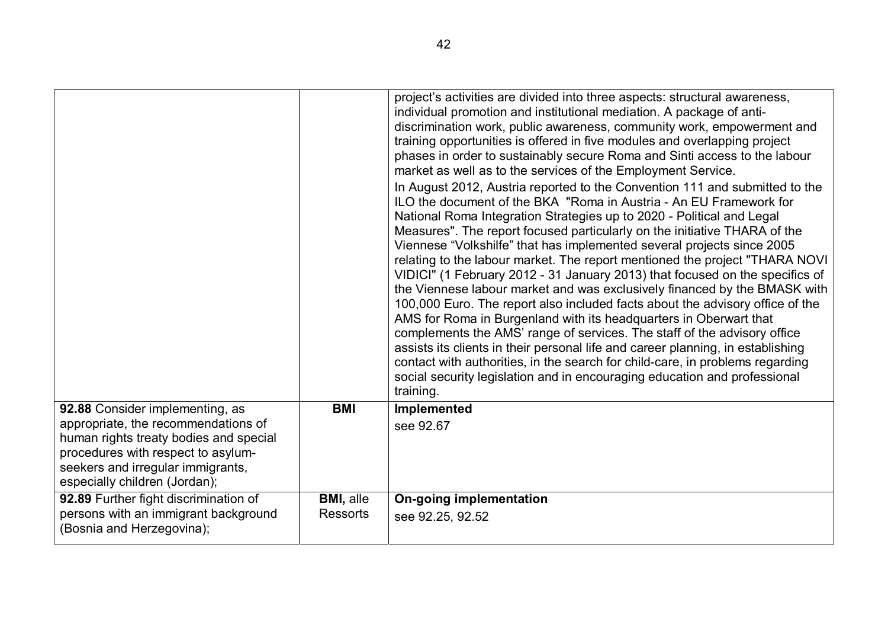|                                                                                                                                                                                                                              |                                     | project's activities are divided into three aspects: structural awareness,<br>individual promotion and institutional mediation. A package of anti-<br>discrimination work, public awareness, community work, empowerment and<br>training opportunities is offered in five modules and overlapping project<br>phases in order to sustainably secure Roma and Sinti access to the labour<br>market as well as to the services of the Employment Service.<br>In August 2012, Austria reported to the Convention 111 and submitted to the<br>ILO the document of the BKA "Roma in Austria - An EU Framework for<br>National Roma Integration Strategies up to 2020 - Political and Legal<br>Measures". The report focused particularly on the initiative THARA of the<br>Viennese "Volkshilfe" that has implemented several projects since 2005<br>relating to the labour market. The report mentioned the project "THARA NOVI<br>VIDICI" (1 February 2012 - 31 January 2013) that focused on the specifics of<br>the Viennese labour market and was exclusively financed by the BMASK with<br>100,000 Euro. The report also included facts about the advisory office of the<br>AMS for Roma in Burgenland with its headquarters in Oberwart that<br>complements the AMS' range of services. The staff of the advisory office<br>assists its clients in their personal life and career planning, in establishing<br>contact with authorities, in the search for child-care, in problems regarding |
|------------------------------------------------------------------------------------------------------------------------------------------------------------------------------------------------------------------------------|-------------------------------------|-----------------------------------------------------------------------------------------------------------------------------------------------------------------------------------------------------------------------------------------------------------------------------------------------------------------------------------------------------------------------------------------------------------------------------------------------------------------------------------------------------------------------------------------------------------------------------------------------------------------------------------------------------------------------------------------------------------------------------------------------------------------------------------------------------------------------------------------------------------------------------------------------------------------------------------------------------------------------------------------------------------------------------------------------------------------------------------------------------------------------------------------------------------------------------------------------------------------------------------------------------------------------------------------------------------------------------------------------------------------------------------------------------------------------------------------------------------------------------------------------|
|                                                                                                                                                                                                                              |                                     | social security legislation and in encouraging education and professional<br>training.                                                                                                                                                                                                                                                                                                                                                                                                                                                                                                                                                                                                                                                                                                                                                                                                                                                                                                                                                                                                                                                                                                                                                                                                                                                                                                                                                                                                        |
| 92.88 Consider implementing, as<br>appropriate, the recommendations of<br>human rights treaty bodies and special<br>procedures with respect to asylum-<br>seekers and irregular immigrants,<br>especially children (Jordan); | <b>BMI</b>                          | Implemented<br>see 92.67                                                                                                                                                                                                                                                                                                                                                                                                                                                                                                                                                                                                                                                                                                                                                                                                                                                                                                                                                                                                                                                                                                                                                                                                                                                                                                                                                                                                                                                                      |
| 92.89 Further fight discrimination of<br>persons with an immigrant background<br>(Bosnia and Herzegovina);                                                                                                                   | <b>BMI, alle</b><br><b>Ressorts</b> | <b>On-going implementation</b><br>see 92.25, 92.52                                                                                                                                                                                                                                                                                                                                                                                                                                                                                                                                                                                                                                                                                                                                                                                                                                                                                                                                                                                                                                                                                                                                                                                                                                                                                                                                                                                                                                            |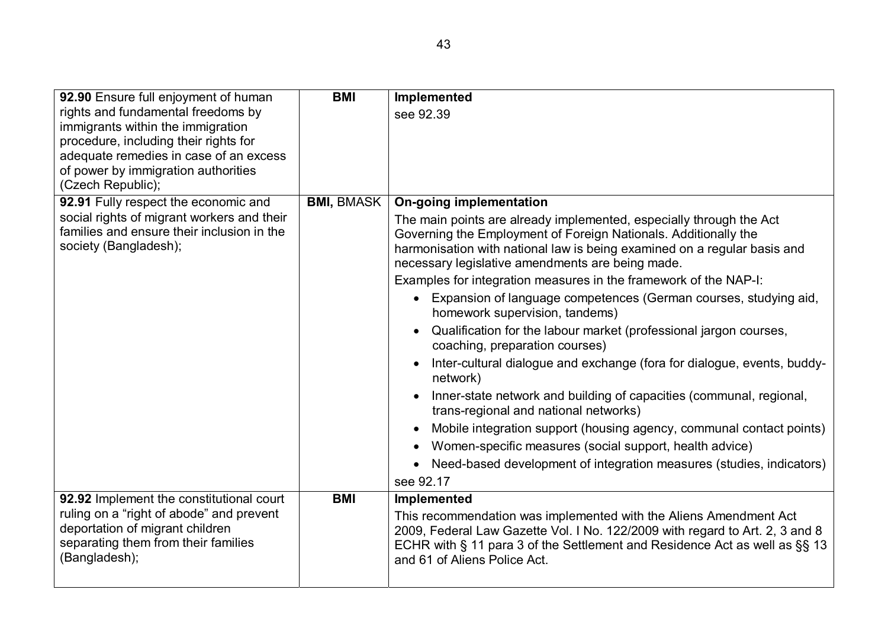| 92.90 Ensure full enjoyment of human       | <b>BMI</b>        | Implemented                                                                                                               |
|--------------------------------------------|-------------------|---------------------------------------------------------------------------------------------------------------------------|
| rights and fundamental freedoms by         |                   | see 92.39                                                                                                                 |
| immigrants within the immigration          |                   |                                                                                                                           |
| procedure, including their rights for      |                   |                                                                                                                           |
| adequate remedies in case of an excess     |                   |                                                                                                                           |
| of power by immigration authorities        |                   |                                                                                                                           |
| (Czech Republic);                          |                   |                                                                                                                           |
| 92.91 Fully respect the economic and       | <b>BMI, BMASK</b> | <b>On-going implementation</b>                                                                                            |
| social rights of migrant workers and their |                   | The main points are already implemented, especially through the Act                                                       |
| families and ensure their inclusion in the |                   | Governing the Employment of Foreign Nationals. Additionally the                                                           |
| society (Bangladesh);                      |                   | harmonisation with national law is being examined on a regular basis and                                                  |
|                                            |                   | necessary legislative amendments are being made.                                                                          |
|                                            |                   | Examples for integration measures in the framework of the NAP-I:                                                          |
|                                            |                   | Expansion of language competences (German courses, studying aid,<br>$\bullet$<br>homework supervision, tandems)           |
|                                            |                   | Qualification for the labour market (professional jargon courses,<br>coaching, preparation courses)                       |
|                                            |                   | Inter-cultural dialogue and exchange (fora for dialogue, events, buddy-<br>$\bullet$<br>network)                          |
|                                            |                   | Inner-state network and building of capacities (communal, regional,<br>$\bullet$<br>trans-regional and national networks) |
|                                            |                   | Mobile integration support (housing agency, communal contact points)<br>$\bullet$                                         |
|                                            |                   | Women-specific measures (social support, health advice)                                                                   |
|                                            |                   | Need-based development of integration measures (studies, indicators)                                                      |
|                                            |                   | see 92.17                                                                                                                 |
| 92.92 Implement the constitutional court   | <b>BMI</b>        | Implemented                                                                                                               |
| ruling on a "right of abode" and prevent   |                   | This recommendation was implemented with the Aliens Amendment Act                                                         |
| deportation of migrant children            |                   | 2009, Federal Law Gazette Vol. I No. 122/2009 with regard to Art. 2, 3 and 8                                              |
| separating them from their families        |                   | ECHR with § 11 para 3 of the Settlement and Residence Act as well as §§ 13                                                |
| (Bangladesh);                              |                   | and 61 of Aliens Police Act.                                                                                              |
|                                            |                   |                                                                                                                           |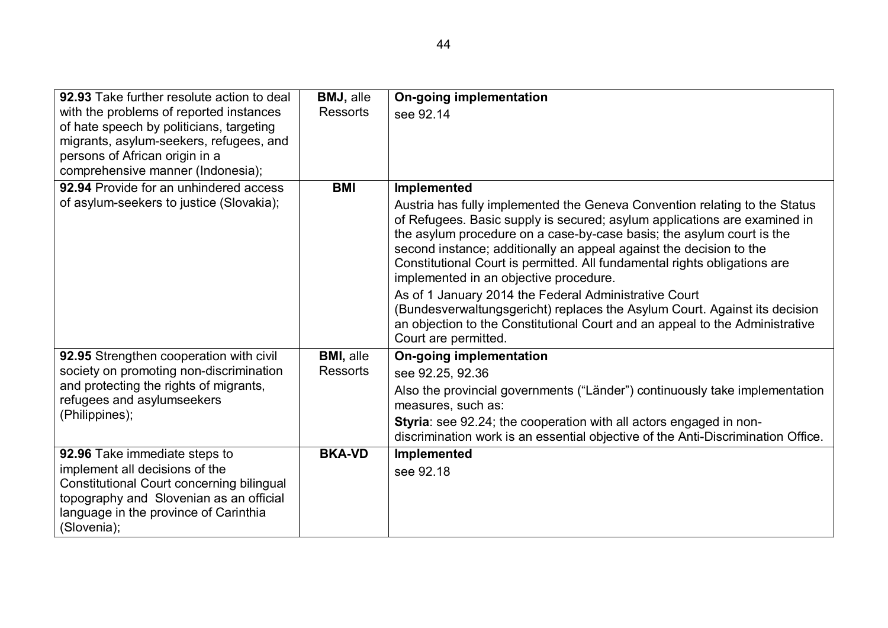| 92.93 Take further resolute action to deal<br>with the problems of reported instances<br>of hate speech by politicians, targeting<br>migrants, asylum-seekers, refugees, and<br>persons of African origin in a<br>comprehensive manner (Indonesia); | <b>BMJ, alle</b><br><b>Ressorts</b> | <b>On-going implementation</b><br>see 92.14                                                                                                                                                                                                                                                                                                                                                                                                                                                                                                                                                                                                                                                  |
|-----------------------------------------------------------------------------------------------------------------------------------------------------------------------------------------------------------------------------------------------------|-------------------------------------|----------------------------------------------------------------------------------------------------------------------------------------------------------------------------------------------------------------------------------------------------------------------------------------------------------------------------------------------------------------------------------------------------------------------------------------------------------------------------------------------------------------------------------------------------------------------------------------------------------------------------------------------------------------------------------------------|
| 92.94 Provide for an unhindered access<br>of asylum-seekers to justice (Slovakia);                                                                                                                                                                  | <b>BMI</b>                          | Implemented<br>Austria has fully implemented the Geneva Convention relating to the Status<br>of Refugees. Basic supply is secured; asylum applications are examined in<br>the asylum procedure on a case-by-case basis; the asylum court is the<br>second instance; additionally an appeal against the decision to the<br>Constitutional Court is permitted. All fundamental rights obligations are<br>implemented in an objective procedure.<br>As of 1 January 2014 the Federal Administrative Court<br>(Bundesverwaltungsgericht) replaces the Asylum Court. Against its decision<br>an objection to the Constitutional Court and an appeal to the Administrative<br>Court are permitted. |
| 92.95 Strengthen cooperation with civil<br>society on promoting non-discrimination<br>and protecting the rights of migrants,<br>refugees and asylumseekers<br>(Philippines);                                                                        | <b>BMI, alle</b><br><b>Ressorts</b> | <b>On-going implementation</b><br>see 92.25, 92.36<br>Also the provincial governments ("Länder") continuously take implementation<br>measures, such as:<br>Styria: see 92.24; the cooperation with all actors engaged in non-<br>discrimination work is an essential objective of the Anti-Discrimination Office.                                                                                                                                                                                                                                                                                                                                                                            |
| 92.96 Take immediate steps to<br>implement all decisions of the<br>Constitutional Court concerning bilingual<br>topography and Slovenian as an official<br>language in the province of Carinthia<br>(Slovenia);                                     | <b>BKA-VD</b>                       | Implemented<br>see 92.18                                                                                                                                                                                                                                                                                                                                                                                                                                                                                                                                                                                                                                                                     |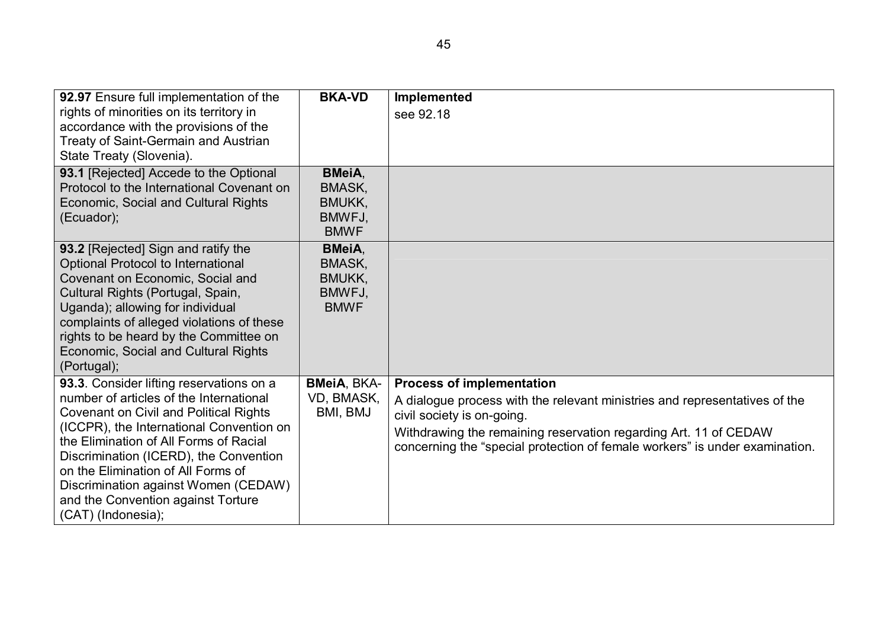| 92.97 Ensure full implementation of the                                                  | <b>BKA-VD</b>          | Implemented                                                                                              |
|------------------------------------------------------------------------------------------|------------------------|----------------------------------------------------------------------------------------------------------|
| rights of minorities on its territory in                                                 |                        | see 92.18                                                                                                |
| accordance with the provisions of the<br><b>Treaty of Saint-Germain and Austrian</b>     |                        |                                                                                                          |
| State Treaty (Slovenia).                                                                 |                        |                                                                                                          |
| 93.1 [Rejected] Accede to the Optional                                                   | <b>BMeiA,</b>          |                                                                                                          |
| Protocol to the International Covenant on                                                | BMASK,                 |                                                                                                          |
| Economic, Social and Cultural Rights                                                     | BMUKK,                 |                                                                                                          |
| (Ecuador);                                                                               | BMWFJ,                 |                                                                                                          |
|                                                                                          | <b>BMWF</b>            |                                                                                                          |
| 93.2 [Rejected] Sign and ratify the                                                      | <b>BMeiA</b> ,         |                                                                                                          |
| Optional Protocol to International<br>Covenant on Economic, Social and                   | BMASK,<br>BMUKK,       |                                                                                                          |
| Cultural Rights (Portugal, Spain,                                                        | BMWFJ,                 |                                                                                                          |
| Uganda); allowing for individual                                                         | <b>BMWF</b>            |                                                                                                          |
| complaints of alleged violations of these                                                |                        |                                                                                                          |
| rights to be heard by the Committee on                                                   |                        |                                                                                                          |
| Economic, Social and Cultural Rights                                                     |                        |                                                                                                          |
| (Portugal);                                                                              |                        |                                                                                                          |
| 93.3. Consider lifting reservations on a                                                 | <b>BMeiA, BKA-</b>     | <b>Process of implementation</b>                                                                         |
| number of articles of the International<br><b>Covenant on Civil and Political Rights</b> | VD, BMASK,<br>BMI, BMJ | A dialogue process with the relevant ministries and representatives of the<br>civil society is on-going. |
| (ICCPR), the International Convention on                                                 |                        | Withdrawing the remaining reservation regarding Art. 11 of CEDAW                                         |
| the Elimination of All Forms of Racial                                                   |                        | concerning the "special protection of female workers" is under examination.                              |
| Discrimination (ICERD), the Convention                                                   |                        |                                                                                                          |
| on the Elimination of All Forms of<br>Discrimination against Women (CEDAW)               |                        |                                                                                                          |
| and the Convention against Torture                                                       |                        |                                                                                                          |
| (CAT) (Indonesia);                                                                       |                        |                                                                                                          |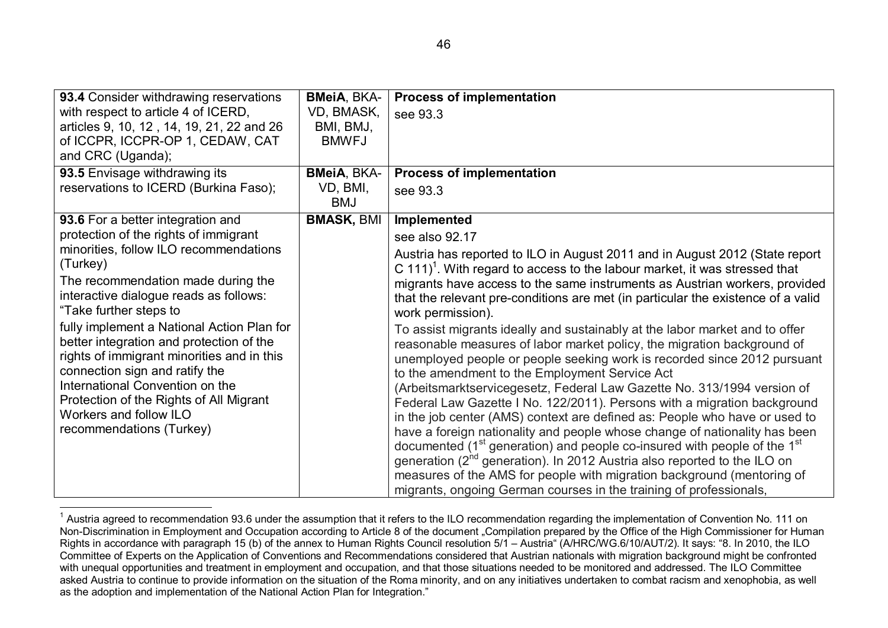| 93.4 Consider withdrawing reservations                                                                                                                                                                                                                                                                     | <b>BMeiA, BKA-</b>     | <b>Process of implementation</b>                                                                                                                                                                                                                                                                                                                                                                                                                                                                                                                                                                                                                                                                                                                                                                                                                                                                                                                    |
|------------------------------------------------------------------------------------------------------------------------------------------------------------------------------------------------------------------------------------------------------------------------------------------------------------|------------------------|-----------------------------------------------------------------------------------------------------------------------------------------------------------------------------------------------------------------------------------------------------------------------------------------------------------------------------------------------------------------------------------------------------------------------------------------------------------------------------------------------------------------------------------------------------------------------------------------------------------------------------------------------------------------------------------------------------------------------------------------------------------------------------------------------------------------------------------------------------------------------------------------------------------------------------------------------------|
| with respect to article 4 of ICERD,                                                                                                                                                                                                                                                                        | VD, BMASK,             | see 93.3                                                                                                                                                                                                                                                                                                                                                                                                                                                                                                                                                                                                                                                                                                                                                                                                                                                                                                                                            |
| articles 9, 10, 12, 14, 19, 21, 22 and 26                                                                                                                                                                                                                                                                  | BMI, BMJ,              |                                                                                                                                                                                                                                                                                                                                                                                                                                                                                                                                                                                                                                                                                                                                                                                                                                                                                                                                                     |
| of ICCPR, ICCPR-OP 1, CEDAW, CAT                                                                                                                                                                                                                                                                           | <b>BMWFJ</b>           |                                                                                                                                                                                                                                                                                                                                                                                                                                                                                                                                                                                                                                                                                                                                                                                                                                                                                                                                                     |
| and CRC (Uganda);                                                                                                                                                                                                                                                                                          |                        |                                                                                                                                                                                                                                                                                                                                                                                                                                                                                                                                                                                                                                                                                                                                                                                                                                                                                                                                                     |
| 93.5 Envisage withdrawing its                                                                                                                                                                                                                                                                              | <b>BMeiA, BKA-</b>     | <b>Process of implementation</b>                                                                                                                                                                                                                                                                                                                                                                                                                                                                                                                                                                                                                                                                                                                                                                                                                                                                                                                    |
| reservations to ICERD (Burkina Faso);                                                                                                                                                                                                                                                                      | VD, BMI,<br><b>BMJ</b> | see 93.3                                                                                                                                                                                                                                                                                                                                                                                                                                                                                                                                                                                                                                                                                                                                                                                                                                                                                                                                            |
| 93.6 For a better integration and                                                                                                                                                                                                                                                                          | <b>BMASK, BMI</b>      | Implemented                                                                                                                                                                                                                                                                                                                                                                                                                                                                                                                                                                                                                                                                                                                                                                                                                                                                                                                                         |
| protection of the rights of immigrant                                                                                                                                                                                                                                                                      |                        | see also 92.17                                                                                                                                                                                                                                                                                                                                                                                                                                                                                                                                                                                                                                                                                                                                                                                                                                                                                                                                      |
| minorities, follow ILO recommendations<br>(Turkey)<br>The recommendation made during the<br>interactive dialogue reads as follows:<br>"Take further steps to                                                                                                                                               |                        | Austria has reported to ILO in August 2011 and in August 2012 (State report<br>C 111) <sup>1</sup> . With regard to access to the labour market, it was stressed that<br>migrants have access to the same instruments as Austrian workers, provided<br>that the relevant pre-conditions are met (in particular the existence of a valid<br>work permission).                                                                                                                                                                                                                                                                                                                                                                                                                                                                                                                                                                                        |
| fully implement a National Action Plan for<br>better integration and protection of the<br>rights of immigrant minorities and in this<br>connection sign and ratify the<br>International Convention on the<br>Protection of the Rights of All Migrant<br>Workers and follow ILO<br>recommendations (Turkey) |                        | To assist migrants ideally and sustainably at the labor market and to offer<br>reasonable measures of labor market policy, the migration background of<br>unemployed people or people seeking work is recorded since 2012 pursuant<br>to the amendment to the Employment Service Act<br>(Arbeitsmarktservicegesetz, Federal Law Gazette No. 313/1994 version of<br>Federal Law Gazette I No. 122/2011). Persons with a migration background<br>in the job center (AMS) context are defined as: People who have or used to<br>have a foreign nationality and people whose change of nationality has been<br>documented (1 <sup>st</sup> generation) and people co-insured with people of the 1 <sup>st</sup><br>generation (2 <sup>nd</sup> generation). In 2012 Austria also reported to the ILO on<br>measures of the AMS for people with migration background (mentoring of<br>migrants, ongoing German courses in the training of professionals, |

 $<sup>1</sup>$  Austria agreed to recommendation 93.6 under the assumption that it refers to the ILO recommendation regarding the implementation of Convention No. 111 on</sup> Non-Discrimination in Employment and Occupation according to Article 8 of the document "Compilation prepared by the Office of the High Commissioner for Human Rights in accordance with paragraph 15 (b) of the annex to Human Rights Council resolution 5/1 – Austria" (A/HRC/WG.6/10/AUT/2). It says: "8. In 2010, the ILO Committee of Experts on the Application of Conventions and Recommendations considered that Austrian nationals with migration background might be confronted with unequal opportunities and treatment in employment and occupation, and that those situations needed to be monitored and addressed. The ILO Committee asked Austria to continue to provide information on the situation of the Roma minority, and on any initiatives undertaken to combat racism and xenophobia, as well as the adoption and implementation of the National Action Plan for Integration."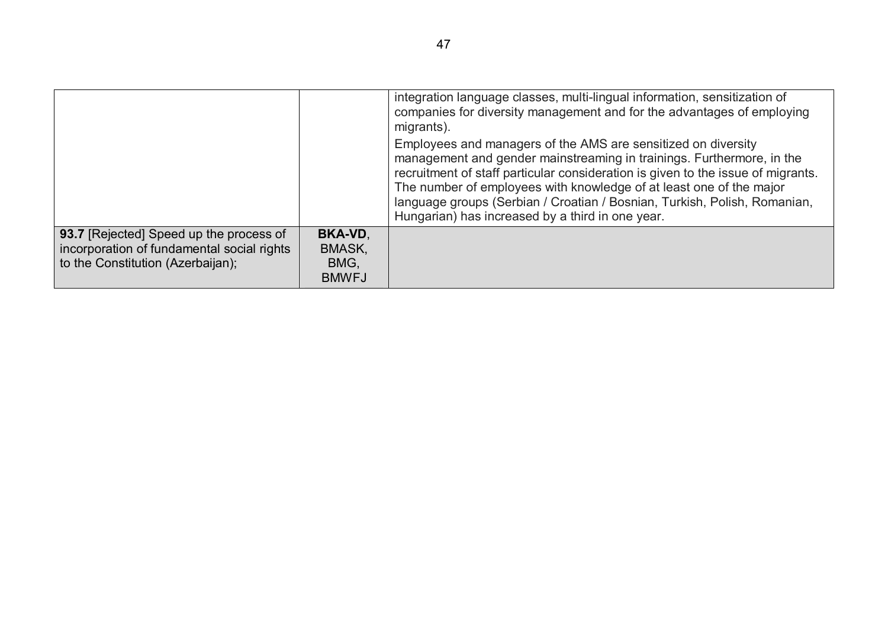|                                                                                                                            |                                                  | integration language classes, multi-lingual information, sensitization of<br>companies for diversity management and for the advantages of employing<br>migrants).                                                                                                                                                                                                                                                                  |
|----------------------------------------------------------------------------------------------------------------------------|--------------------------------------------------|------------------------------------------------------------------------------------------------------------------------------------------------------------------------------------------------------------------------------------------------------------------------------------------------------------------------------------------------------------------------------------------------------------------------------------|
|                                                                                                                            |                                                  | Employees and managers of the AMS are sensitized on diversity<br>management and gender mainstreaming in trainings. Furthermore, in the<br>recruitment of staff particular consideration is given to the issue of migrants.<br>The number of employees with knowledge of at least one of the major<br>language groups (Serbian / Croatian / Bosnian, Turkish, Polish, Romanian,<br>Hungarian) has increased by a third in one year. |
| 93.7 [Rejected] Speed up the process of<br>incorporation of fundamental social rights<br>to the Constitution (Azerbaijan); | <b>BKA-VD,</b><br>BMASK,<br>BMG,<br><b>BMWFJ</b> |                                                                                                                                                                                                                                                                                                                                                                                                                                    |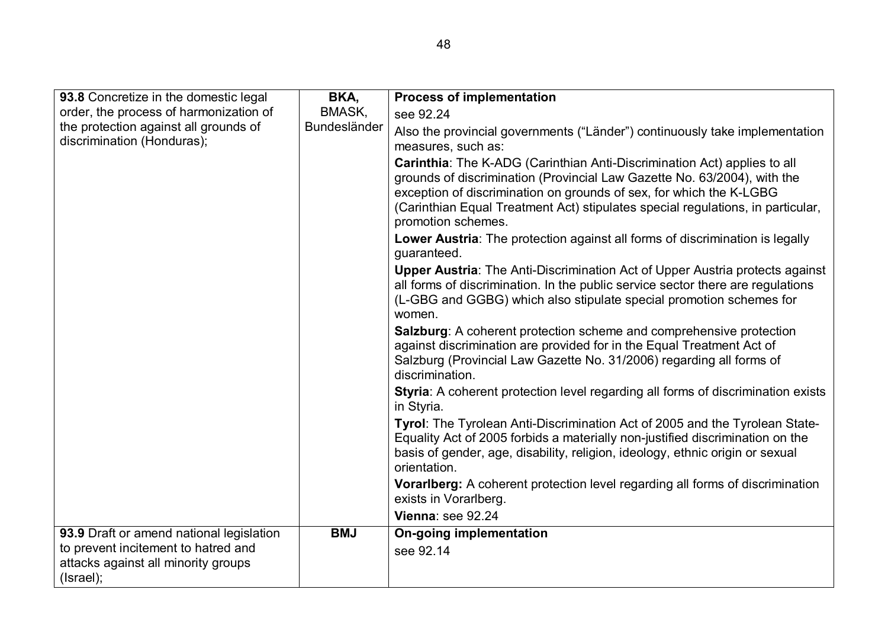| 93.8 Concretize in the domestic legal                                                   | BKA,         | <b>Process of implementation</b>                                                                                                                                                                                                                                                                                                     |
|-----------------------------------------------------------------------------------------|--------------|--------------------------------------------------------------------------------------------------------------------------------------------------------------------------------------------------------------------------------------------------------------------------------------------------------------------------------------|
| order, the process of harmonization of                                                  | BMASK,       | see 92.24                                                                                                                                                                                                                                                                                                                            |
| the protection against all grounds of<br>discrimination (Honduras);                     | Bundesländer | Also the provincial governments ("Länder") continuously take implementation<br>measures, such as:                                                                                                                                                                                                                                    |
|                                                                                         |              | Carinthia: The K-ADG (Carinthian Anti-Discrimination Act) applies to all<br>grounds of discrimination (Provincial Law Gazette No. 63/2004), with the<br>exception of discrimination on grounds of sex, for which the K-LGBG<br>(Carinthian Equal Treatment Act) stipulates special regulations, in particular,<br>promotion schemes. |
|                                                                                         |              | Lower Austria: The protection against all forms of discrimination is legally<br>guaranteed.                                                                                                                                                                                                                                          |
|                                                                                         |              | <b>Upper Austria:</b> The Anti-Discrimination Act of Upper Austria protects against<br>all forms of discrimination. In the public service sector there are regulations<br>(L-GBG and GGBG) which also stipulate special promotion schemes for<br>women.                                                                              |
|                                                                                         |              | <b>Salzburg:</b> A coherent protection scheme and comprehensive protection<br>against discrimination are provided for in the Equal Treatment Act of<br>Salzburg (Provincial Law Gazette No. 31/2006) regarding all forms of<br>discrimination.                                                                                       |
|                                                                                         |              | <b>Styria:</b> A coherent protection level regarding all forms of discrimination exists<br>in Styria.                                                                                                                                                                                                                                |
|                                                                                         |              | Tyrol: The Tyrolean Anti-Discrimination Act of 2005 and the Tyrolean State-<br>Equality Act of 2005 forbids a materially non-justified discrimination on the<br>basis of gender, age, disability, religion, ideology, ethnic origin or sexual<br>orientation.                                                                        |
|                                                                                         |              | Vorarlberg: A coherent protection level regarding all forms of discrimination<br>exists in Vorarlberg.                                                                                                                                                                                                                               |
|                                                                                         |              | Vienna: see 92.24                                                                                                                                                                                                                                                                                                                    |
| 93.9 Draft or amend national legislation                                                | <b>BMJ</b>   | <b>On-going implementation</b>                                                                                                                                                                                                                                                                                                       |
| to prevent incitement to hatred and<br>attacks against all minority groups<br>(Israel); |              | see 92.14                                                                                                                                                                                                                                                                                                                            |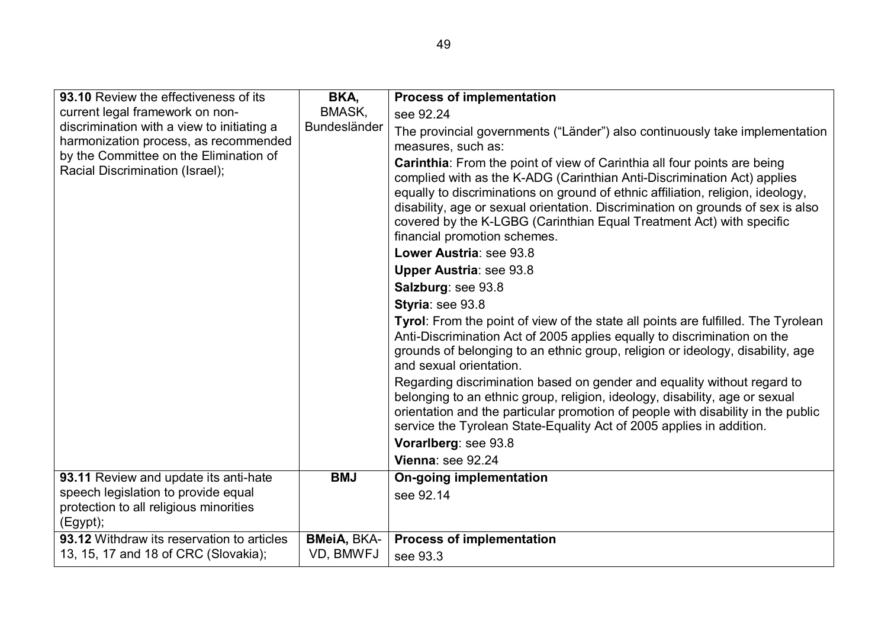| 93.10 Review the effectiveness of its      | BKA,               | <b>Process of implementation</b>                                                                                                                       |
|--------------------------------------------|--------------------|--------------------------------------------------------------------------------------------------------------------------------------------------------|
| current legal framework on non-            | BMASK,             | see 92.24                                                                                                                                              |
| discrimination with a view to initiating a | Bundesländer       | The provincial governments ("Länder") also continuously take implementation                                                                            |
| harmonization process, as recommended      |                    | measures, such as:                                                                                                                                     |
| by the Committee on the Elimination of     |                    | Carinthia: From the point of view of Carinthia all four points are being                                                                               |
| Racial Discrimination (Israel);            |                    | complied with as the K-ADG (Carinthian Anti-Discrimination Act) applies                                                                                |
|                                            |                    | equally to discriminations on ground of ethnic affiliation, religion, ideology,                                                                        |
|                                            |                    | disability, age or sexual orientation. Discrimination on grounds of sex is also                                                                        |
|                                            |                    | covered by the K-LGBG (Carinthian Equal Treatment Act) with specific                                                                                   |
|                                            |                    | financial promotion schemes.<br>Lower Austria: see 93.8                                                                                                |
|                                            |                    |                                                                                                                                                        |
|                                            |                    | <b>Upper Austria: see 93.8</b>                                                                                                                         |
|                                            |                    | Salzburg: see 93.8                                                                                                                                     |
|                                            |                    | Styria: see 93.8                                                                                                                                       |
|                                            |                    | Tyrol: From the point of view of the state all points are fulfilled. The Tyrolean                                                                      |
|                                            |                    | Anti-Discrimination Act of 2005 applies equally to discrimination on the                                                                               |
|                                            |                    | grounds of belonging to an ethnic group, religion or ideology, disability, age<br>and sexual orientation.                                              |
|                                            |                    |                                                                                                                                                        |
|                                            |                    | Regarding discrimination based on gender and equality without regard to<br>belonging to an ethnic group, religion, ideology, disability, age or sexual |
|                                            |                    | orientation and the particular promotion of people with disability in the public                                                                       |
|                                            |                    | service the Tyrolean State-Equality Act of 2005 applies in addition.                                                                                   |
|                                            |                    | Vorarlberg: see 93.8                                                                                                                                   |
|                                            |                    | Vienna: see 92.24                                                                                                                                      |
| 93.11 Review and update its anti-hate      | <b>BMJ</b>         | <b>On-going implementation</b>                                                                                                                         |
| speech legislation to provide equal        |                    | see 92.14                                                                                                                                              |
| protection to all religious minorities     |                    |                                                                                                                                                        |
| (Egypt);                                   |                    |                                                                                                                                                        |
| 93.12 Withdraw its reservation to articles | <b>BMeiA, BKA-</b> | <b>Process of implementation</b>                                                                                                                       |
| 13, 15, 17 and 18 of CRC (Slovakia);       | VD, BMWFJ          | see 93.3                                                                                                                                               |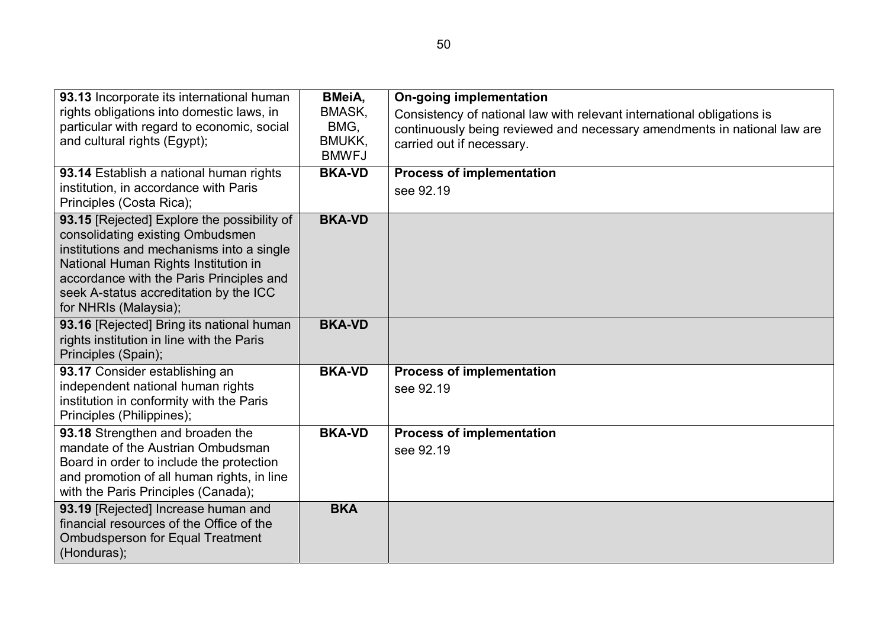| 93.13 Incorporate its international human<br>rights obligations into domestic laws, in<br>particular with regard to economic, social<br>and cultural rights (Egypt);                                                                                                                | <b>BMeiA,</b><br>BMASK,<br>BMG,<br><b>BMUKK,</b><br><b>BMWFJ</b> | <b>On-going implementation</b><br>Consistency of national law with relevant international obligations is<br>continuously being reviewed and necessary amendments in national law are<br>carried out if necessary. |
|-------------------------------------------------------------------------------------------------------------------------------------------------------------------------------------------------------------------------------------------------------------------------------------|------------------------------------------------------------------|-------------------------------------------------------------------------------------------------------------------------------------------------------------------------------------------------------------------|
| 93.14 Establish a national human rights<br>institution, in accordance with Paris<br>Principles (Costa Rica);                                                                                                                                                                        | <b>BKA-VD</b>                                                    | <b>Process of implementation</b><br>see 92.19                                                                                                                                                                     |
| 93.15 [Rejected] Explore the possibility of<br>consolidating existing Ombudsmen<br>institutions and mechanisms into a single<br>National Human Rights Institution in<br>accordance with the Paris Principles and<br>seek A-status accreditation by the ICC<br>for NHRIs (Malaysia); | <b>BKA-VD</b>                                                    |                                                                                                                                                                                                                   |
| 93.16 [Rejected] Bring its national human<br>rights institution in line with the Paris<br>Principles (Spain);                                                                                                                                                                       | <b>BKA-VD</b>                                                    |                                                                                                                                                                                                                   |
| 93.17 Consider establishing an<br>independent national human rights<br>institution in conformity with the Paris<br>Principles (Philippines);                                                                                                                                        | <b>BKA-VD</b>                                                    | <b>Process of implementation</b><br>see 92.19                                                                                                                                                                     |
| 93.18 Strengthen and broaden the<br>mandate of the Austrian Ombudsman<br>Board in order to include the protection<br>and promotion of all human rights, in line<br>with the Paris Principles (Canada);                                                                              | <b>BKA-VD</b>                                                    | <b>Process of implementation</b><br>see 92.19                                                                                                                                                                     |
| 93.19 [Rejected] Increase human and<br>financial resources of the Office of the<br><b>Ombudsperson for Equal Treatment</b><br>(Honduras);                                                                                                                                           | <b>BKA</b>                                                       |                                                                                                                                                                                                                   |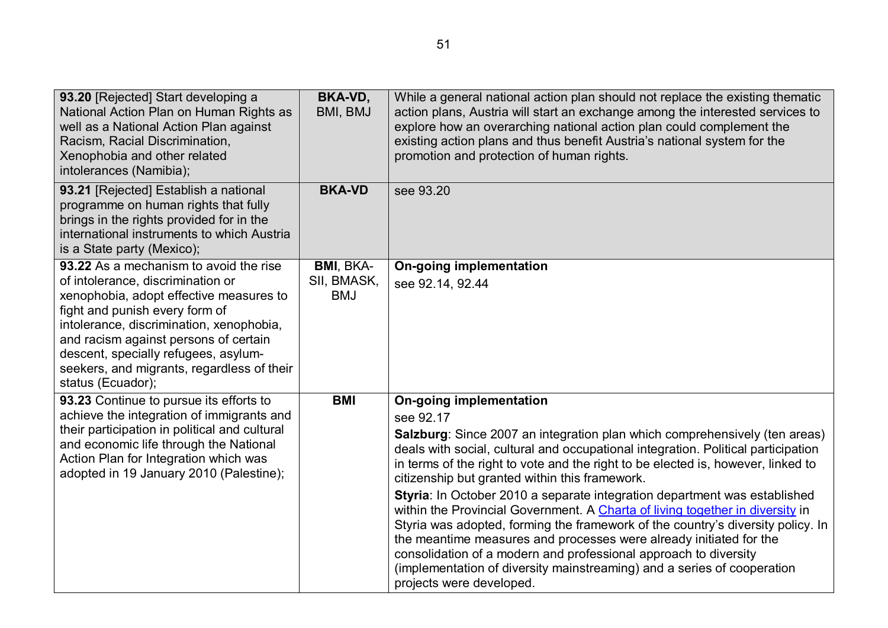| 93.20 [Rejected] Start developing a<br>National Action Plan on Human Rights as<br>well as a National Action Plan against<br>Racism, Racial Discrimination,<br>Xenophobia and other related<br>intolerances (Namibia);                                                                                                                                    | <b>BKA-VD,</b><br>BMI, BMJ                    | While a general national action plan should not replace the existing thematic<br>action plans, Austria will start an exchange among the interested services to<br>explore how an overarching national action plan could complement the<br>existing action plans and thus benefit Austria's national system for the<br>promotion and protection of human rights.                                                                                                                                                                                                                                                                                                                                                                                                                                                                                        |
|----------------------------------------------------------------------------------------------------------------------------------------------------------------------------------------------------------------------------------------------------------------------------------------------------------------------------------------------------------|-----------------------------------------------|--------------------------------------------------------------------------------------------------------------------------------------------------------------------------------------------------------------------------------------------------------------------------------------------------------------------------------------------------------------------------------------------------------------------------------------------------------------------------------------------------------------------------------------------------------------------------------------------------------------------------------------------------------------------------------------------------------------------------------------------------------------------------------------------------------------------------------------------------------|
| 93.21 [Rejected] Establish a national<br>programme on human rights that fully<br>brings in the rights provided for in the<br>international instruments to which Austria<br>is a State party (Mexico),                                                                                                                                                    | <b>BKA-VD</b>                                 | see 93.20                                                                                                                                                                                                                                                                                                                                                                                                                                                                                                                                                                                                                                                                                                                                                                                                                                              |
| 93.22 As a mechanism to avoid the rise<br>of intolerance, discrimination or<br>xenophobia, adopt effective measures to<br>fight and punish every form of<br>intolerance, discrimination, xenophobia,<br>and racism against persons of certain<br>descent, specially refugees, asylum-<br>seekers, and migrants, regardless of their<br>status (Ecuador); | <b>BMI, BKA-</b><br>SII, BMASK,<br><b>BMJ</b> | <b>On-going implementation</b><br>see 92.14, 92.44                                                                                                                                                                                                                                                                                                                                                                                                                                                                                                                                                                                                                                                                                                                                                                                                     |
| 93.23 Continue to pursue its efforts to<br>achieve the integration of immigrants and<br>their participation in political and cultural<br>and economic life through the National<br>Action Plan for Integration which was<br>adopted in 19 January 2010 (Palestine);                                                                                      | <b>BMI</b>                                    | <b>On-going implementation</b><br>see 92.17<br>Salzburg: Since 2007 an integration plan which comprehensively (ten areas)<br>deals with social, cultural and occupational integration. Political participation<br>in terms of the right to vote and the right to be elected is, however, linked to<br>citizenship but granted within this framework.<br>Styria: In October 2010 a separate integration department was established<br>within the Provincial Government. A Charta of living together in diversity in<br>Styria was adopted, forming the framework of the country's diversity policy. In<br>the meantime measures and processes were already initiated for the<br>consolidation of a modern and professional approach to diversity<br>(implementation of diversity mainstreaming) and a series of cooperation<br>projects were developed. |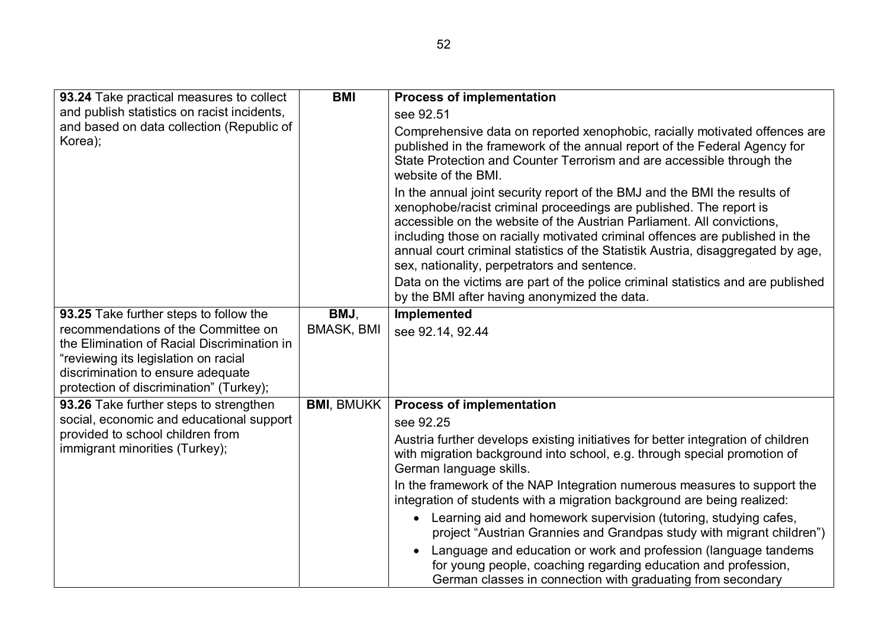| 93.24 Take practical measures to collect                                                                                                                                                                   | <b>BMI</b>        | <b>Process of implementation</b>                                                                                                                                                                                                                                                                                                                                                                                                              |
|------------------------------------------------------------------------------------------------------------------------------------------------------------------------------------------------------------|-------------------|-----------------------------------------------------------------------------------------------------------------------------------------------------------------------------------------------------------------------------------------------------------------------------------------------------------------------------------------------------------------------------------------------------------------------------------------------|
| and publish statistics on racist incidents,                                                                                                                                                                |                   | see 92.51                                                                                                                                                                                                                                                                                                                                                                                                                                     |
| and based on data collection (Republic of<br>Korea);                                                                                                                                                       |                   | Comprehensive data on reported xenophobic, racially motivated offences are<br>published in the framework of the annual report of the Federal Agency for<br>State Protection and Counter Terrorism and are accessible through the<br>website of the BMI.                                                                                                                                                                                       |
|                                                                                                                                                                                                            |                   | In the annual joint security report of the BMJ and the BMI the results of<br>xenophobe/racist criminal proceedings are published. The report is<br>accessible on the website of the Austrian Parliament. All convictions,<br>including those on racially motivated criminal offences are published in the<br>annual court criminal statistics of the Statistik Austria, disaggregated by age,<br>sex, nationality, perpetrators and sentence. |
|                                                                                                                                                                                                            |                   | Data on the victims are part of the police criminal statistics and are published<br>by the BMI after having anonymized the data.                                                                                                                                                                                                                                                                                                              |
| 93.25 Take further steps to follow the                                                                                                                                                                     | BMJ,              | Implemented                                                                                                                                                                                                                                                                                                                                                                                                                                   |
| recommendations of the Committee on<br>the Elimination of Racial Discrimination in<br>"reviewing its legislation on racial<br>discrimination to ensure adequate<br>protection of discrimination" (Turkey); | <b>BMASK, BMI</b> | see 92.14, 92.44                                                                                                                                                                                                                                                                                                                                                                                                                              |
| 93.26 Take further steps to strengthen                                                                                                                                                                     | <b>BMI, BMUKK</b> | <b>Process of implementation</b>                                                                                                                                                                                                                                                                                                                                                                                                              |
| social, economic and educational support                                                                                                                                                                   |                   | see 92.25                                                                                                                                                                                                                                                                                                                                                                                                                                     |
| provided to school children from<br>immigrant minorities (Turkey);                                                                                                                                         |                   | Austria further develops existing initiatives for better integration of children<br>with migration background into school, e.g. through special promotion of<br>German language skills.                                                                                                                                                                                                                                                       |
|                                                                                                                                                                                                            |                   | In the framework of the NAP Integration numerous measures to support the<br>integration of students with a migration background are being realized:                                                                                                                                                                                                                                                                                           |
|                                                                                                                                                                                                            |                   | Learning aid and homework supervision (tutoring, studying cafes,<br>$\bullet$<br>project "Austrian Grannies and Grandpas study with migrant children")                                                                                                                                                                                                                                                                                        |
|                                                                                                                                                                                                            |                   | Language and education or work and profession (language tandems<br>$\bullet$<br>for young people, coaching regarding education and profession,<br>German classes in connection with graduating from secondary                                                                                                                                                                                                                                 |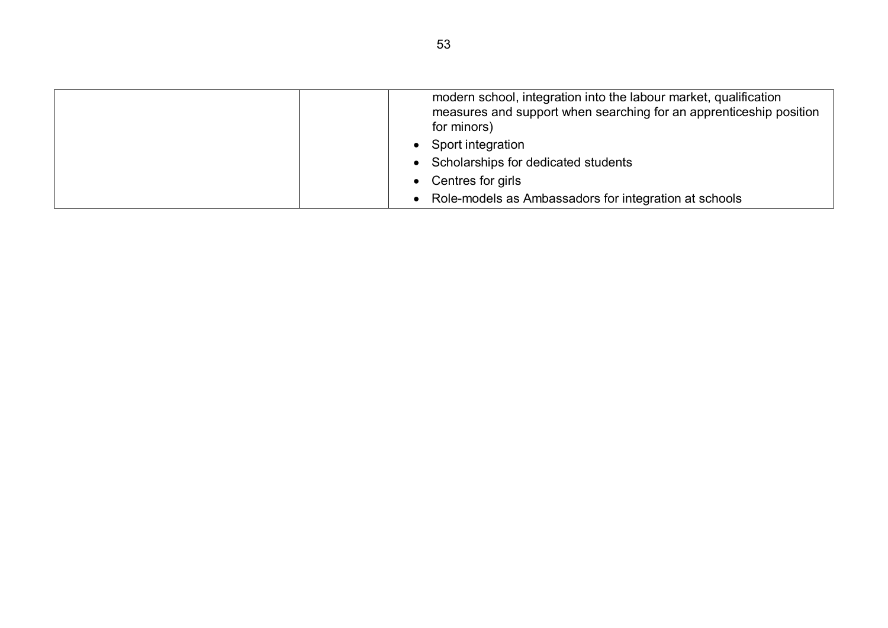| modern school, integration into the labour market, qualification   |
|--------------------------------------------------------------------|
| measures and support when searching for an apprenticeship position |
| for minors)                                                        |
| • Sport integration                                                |
| • Scholarships for dedicated students                              |
| • Centres for girls                                                |
| Role-models as Ambassadors for integration at schools<br>$\bullet$ |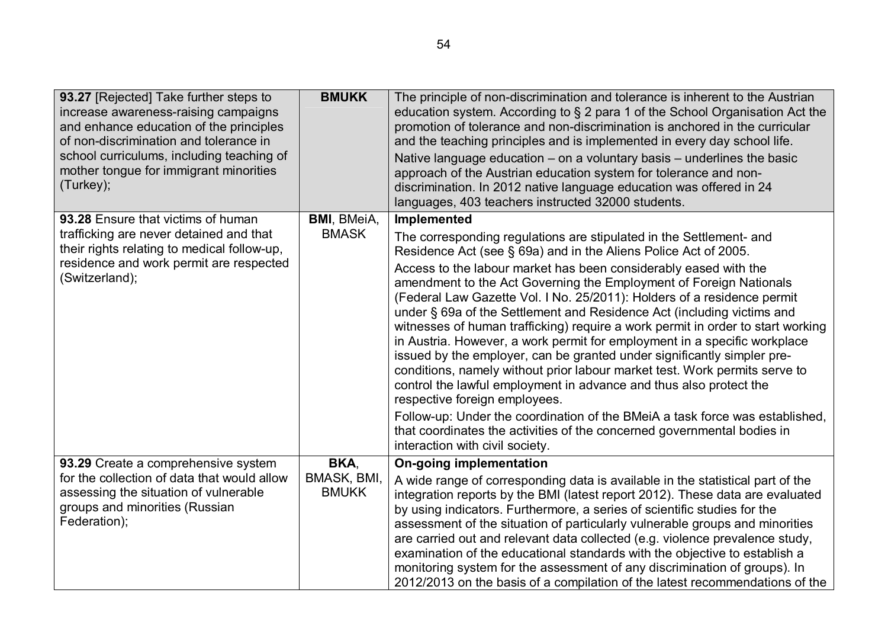| 93.27 [Rejected] Take further steps to<br>increase awareness-raising campaigns<br>and enhance education of the principles<br>of non-discrimination and tolerance in<br>school curriculums, including teaching of<br>mother tongue for immigrant minorities | <b>BMUKK</b>                        | The principle of non-discrimination and tolerance is inherent to the Austrian<br>education system. According to § 2 para 1 of the School Organisation Act the<br>promotion of tolerance and non-discrimination is anchored in the curricular<br>and the teaching principles and is implemented in every day school life.<br>Native language education $-$ on a voluntary basis $-$ underlines the basic<br>approach of the Austrian education system for tolerance and non-                                                                                                                                                                                                                                                                                                                                                                                                                                                                                                                                                                                                        |
|------------------------------------------------------------------------------------------------------------------------------------------------------------------------------------------------------------------------------------------------------------|-------------------------------------|------------------------------------------------------------------------------------------------------------------------------------------------------------------------------------------------------------------------------------------------------------------------------------------------------------------------------------------------------------------------------------------------------------------------------------------------------------------------------------------------------------------------------------------------------------------------------------------------------------------------------------------------------------------------------------------------------------------------------------------------------------------------------------------------------------------------------------------------------------------------------------------------------------------------------------------------------------------------------------------------------------------------------------------------------------------------------------|
| (Turkey);                                                                                                                                                                                                                                                  |                                     | discrimination. In 2012 native language education was offered in 24<br>languages, 403 teachers instructed 32000 students.                                                                                                                                                                                                                                                                                                                                                                                                                                                                                                                                                                                                                                                                                                                                                                                                                                                                                                                                                          |
| 93.28 Ensure that victims of human<br>trafficking are never detained and that<br>their rights relating to medical follow-up,<br>residence and work permit are respected<br>(Switzerland);                                                                  | <b>BMI, BMeiA,</b><br><b>BMASK</b>  | Implemented<br>The corresponding regulations are stipulated in the Settlement- and<br>Residence Act (see § 69a) and in the Aliens Police Act of 2005.<br>Access to the labour market has been considerably eased with the<br>amendment to the Act Governing the Employment of Foreign Nationals<br>(Federal Law Gazette Vol. I No. 25/2011): Holders of a residence permit<br>under § 69a of the Settlement and Residence Act (including victims and<br>witnesses of human trafficking) require a work permit in order to start working<br>in Austria. However, a work permit for employment in a specific workplace<br>issued by the employer, can be granted under significantly simpler pre-<br>conditions, namely without prior labour market test. Work permits serve to<br>control the lawful employment in advance and thus also protect the<br>respective foreign employees.<br>Follow-up: Under the coordination of the BMeiA a task force was established,<br>that coordinates the activities of the concerned governmental bodies in<br>interaction with civil society. |
| 93.29 Create a comprehensive system<br>for the collection of data that would allow<br>assessing the situation of vulnerable<br>groups and minorities (Russian<br>Federation);                                                                              | BKA,<br>BMASK, BMI,<br><b>BMUKK</b> | <b>On-going implementation</b><br>A wide range of corresponding data is available in the statistical part of the<br>integration reports by the BMI (latest report 2012). These data are evaluated<br>by using indicators. Furthermore, a series of scientific studies for the<br>assessment of the situation of particularly vulnerable groups and minorities<br>are carried out and relevant data collected (e.g. violence prevalence study,<br>examination of the educational standards with the objective to establish a<br>monitoring system for the assessment of any discrimination of groups). In<br>2012/2013 on the basis of a compilation of the latest recommendations of the                                                                                                                                                                                                                                                                                                                                                                                           |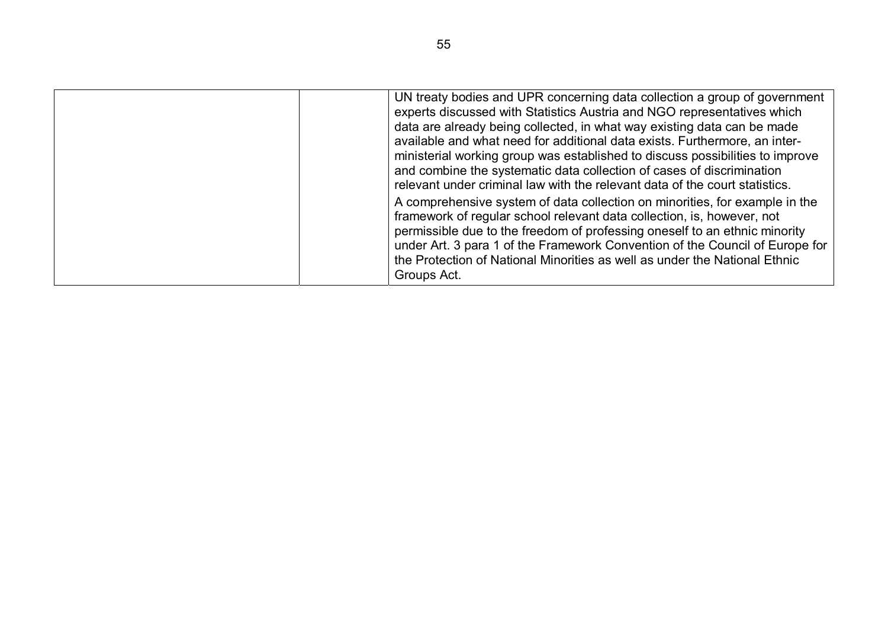| UN treaty bodies and UPR concerning data collection a group of government<br>experts discussed with Statistics Austria and NGO representatives which<br>data are already being collected, in what way existing data can be made<br>available and what need for additional data exists. Furthermore, an inter-<br>ministerial working group was established to discuss possibilities to improve<br>and combine the systematic data collection of cases of discrimination<br>relevant under criminal law with the relevant data of the court statistics. |
|--------------------------------------------------------------------------------------------------------------------------------------------------------------------------------------------------------------------------------------------------------------------------------------------------------------------------------------------------------------------------------------------------------------------------------------------------------------------------------------------------------------------------------------------------------|
| A comprehensive system of data collection on minorities, for example in the<br>framework of regular school relevant data collection, is, however, not<br>permissible due to the freedom of professing oneself to an ethnic minority<br>under Art. 3 para 1 of the Framework Convention of the Council of Europe for<br>the Protection of National Minorities as well as under the National Ethnic<br>Groups Act.                                                                                                                                       |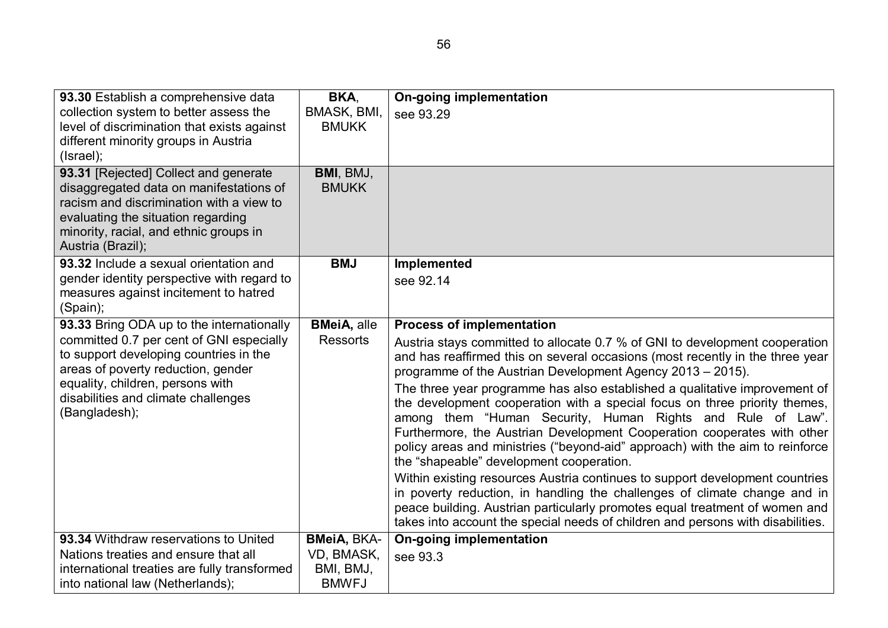| 93.30 Establish a comprehensive data                        | BKA.                | <b>On-going implementation</b>                                                                                                                            |
|-------------------------------------------------------------|---------------------|-----------------------------------------------------------------------------------------------------------------------------------------------------------|
| collection system to better assess the                      | BMASK, BMI,         | see 93.29                                                                                                                                                 |
| level of discrimination that exists against                 | <b>BMUKK</b>        |                                                                                                                                                           |
| different minority groups in Austria                        |                     |                                                                                                                                                           |
| (Israel);                                                   |                     |                                                                                                                                                           |
| 93.31 [Rejected] Collect and generate                       | BMI, BMJ,           |                                                                                                                                                           |
| disaggregated data on manifestations of                     | <b>BMUKK</b>        |                                                                                                                                                           |
| racism and discrimination with a view to                    |                     |                                                                                                                                                           |
| evaluating the situation regarding                          |                     |                                                                                                                                                           |
| minority, racial, and ethnic groups in<br>Austria (Brazil); |                     |                                                                                                                                                           |
| 93.32 Include a sexual orientation and                      | <b>BMJ</b>          | Implemented                                                                                                                                               |
| gender identity perspective with regard to                  |                     |                                                                                                                                                           |
| measures against incitement to hatred                       |                     | see 92.14                                                                                                                                                 |
| (Spain);                                                    |                     |                                                                                                                                                           |
| 93.33 Bring ODA up to the internationally                   | <b>BMeiA</b> , alle | <b>Process of implementation</b>                                                                                                                          |
| committed 0.7 per cent of GNI especially                    | <b>Ressorts</b>     | Austria stays committed to allocate 0.7 % of GNI to development cooperation                                                                               |
| to support developing countries in the                      |                     | and has reaffirmed this on several occasions (most recently in the three year                                                                             |
| areas of poverty reduction, gender                          |                     | programme of the Austrian Development Agency 2013 - 2015).                                                                                                |
| equality, children, persons with                            |                     | The three year programme has also established a qualitative improvement of                                                                                |
| disabilities and climate challenges                         |                     | the development cooperation with a special focus on three priority themes,                                                                                |
| (Bangladesh);                                               |                     | among them "Human Security, Human Rights and Rule of Law".                                                                                                |
|                                                             |                     | Furthermore, the Austrian Development Cooperation cooperates with other                                                                                   |
|                                                             |                     | policy areas and ministries ("beyond-aid" approach) with the aim to reinforce                                                                             |
|                                                             |                     | the "shapeable" development cooperation.                                                                                                                  |
|                                                             |                     | Within existing resources Austria continues to support development countries<br>in poverty reduction, in handling the challenges of climate change and in |
|                                                             |                     | peace building. Austrian particularly promotes equal treatment of women and                                                                               |
|                                                             |                     | takes into account the special needs of children and persons with disabilities.                                                                           |
| 93.34 Withdraw reservations to United                       | <b>BMeiA, BKA-</b>  | <b>On-going implementation</b>                                                                                                                            |
| Nations treaties and ensure that all                        | VD, BMASK,          | see 93.3                                                                                                                                                  |
| international treaties are fully transformed                | BMI, BMJ,           |                                                                                                                                                           |
| into national law (Netherlands);                            | <b>BMWFJ</b>        |                                                                                                                                                           |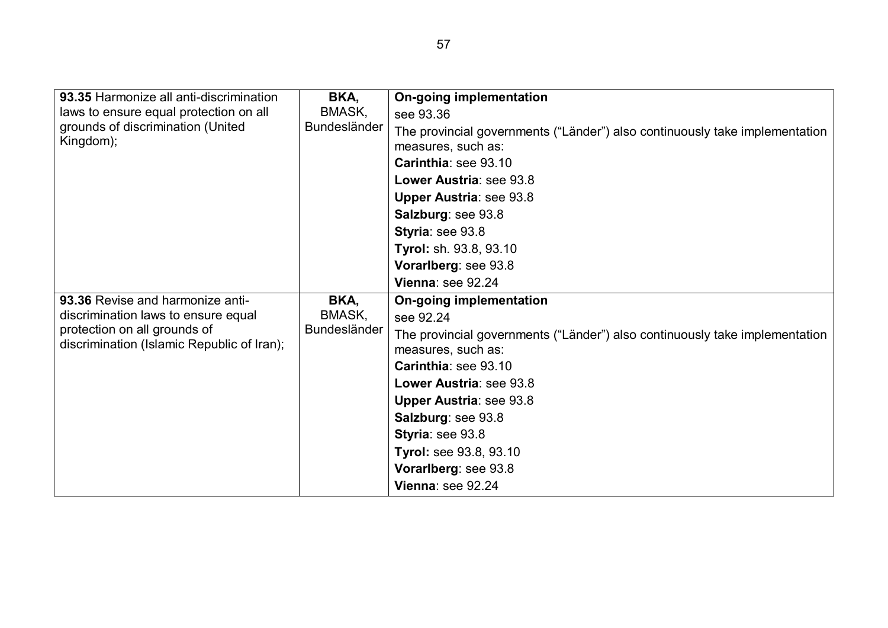| 93.35 Harmonize all anti-discrimination<br>laws to ensure equal protection on all<br>grounds of discrimination (United<br>Kingdom);                   | BKA,<br>BMASK,<br><b>Bundesländer</b> | <b>On-going implementation</b><br>see 93.36<br>The provincial governments ("Länder") also continuously take implementation<br>measures, such as:<br>Carinthia: see 93.10<br>Lower Austria: see 93.8<br><b>Upper Austria: see 93.8</b><br>Salzburg: see 93.8<br>Styria: see 93.8<br>Tyrol: sh. 93.8, 93.10<br>Vorarlberg: see 93.8                      |
|-------------------------------------------------------------------------------------------------------------------------------------------------------|---------------------------------------|--------------------------------------------------------------------------------------------------------------------------------------------------------------------------------------------------------------------------------------------------------------------------------------------------------------------------------------------------------|
|                                                                                                                                                       |                                       | Vienna: see 92.24                                                                                                                                                                                                                                                                                                                                      |
| 93.36 Revise and harmonize anti-<br>discrimination laws to ensure equal<br>protection on all grounds of<br>discrimination (Islamic Republic of Iran); | BKA,<br>BMASK,<br><b>Bundesländer</b> | On-going implementation<br>see 92.24<br>The provincial governments ("Länder") also continuously take implementation<br>measures, such as:<br>Carinthia: see 93.10<br>Lower Austria: see 93.8<br><b>Upper Austria: see 93.8</b><br>Salzburg: see 93.8<br>Styria: see 93.8<br><b>Tyrol: see 93.8, 93.10</b><br>Vorarlberg: see 93.8<br>Vienna: see 92.24 |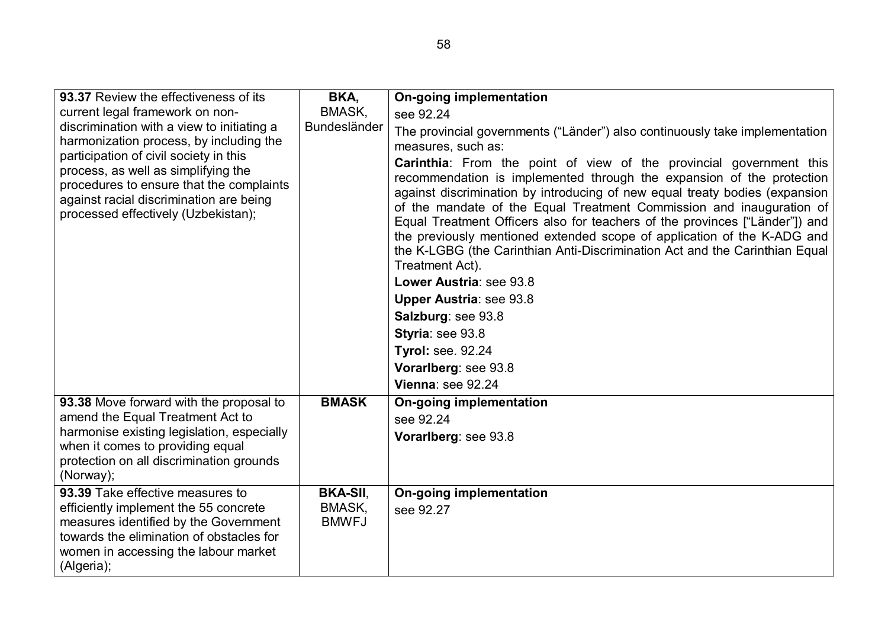| 93.37 Review the effectiveness of its<br>current legal framework on non-<br>discrimination with a view to initiating a<br>harmonization process, by including the<br>participation of civil society in this<br>process, as well as simplifying the<br>procedures to ensure that the complaints<br>against racial discrimination are being<br>processed effectively (Uzbekistan); | BKA,<br>BMASK,<br>Bundesländer            | <b>On-going implementation</b><br>see 92.24<br>The provincial governments ("Länder") also continuously take implementation<br>measures, such as:<br><b>Carinthia</b> : From the point of view of the provincial government this<br>recommendation is implemented through the expansion of the protection<br>against discrimination by introducing of new equal treaty bodies (expansion<br>of the mandate of the Equal Treatment Commission and inauguration of<br>Equal Treatment Officers also for teachers of the provinces ["Länder"]) and<br>the previously mentioned extended scope of application of the K-ADG and<br>the K-LGBG (the Carinthian Anti-Discrimination Act and the Carinthian Equal<br>Treatment Act).<br>Lower Austria: see 93.8<br><b>Upper Austria: see 93.8</b><br>Salzburg: see 93.8 |
|----------------------------------------------------------------------------------------------------------------------------------------------------------------------------------------------------------------------------------------------------------------------------------------------------------------------------------------------------------------------------------|-------------------------------------------|----------------------------------------------------------------------------------------------------------------------------------------------------------------------------------------------------------------------------------------------------------------------------------------------------------------------------------------------------------------------------------------------------------------------------------------------------------------------------------------------------------------------------------------------------------------------------------------------------------------------------------------------------------------------------------------------------------------------------------------------------------------------------------------------------------------|
|                                                                                                                                                                                                                                                                                                                                                                                  |                                           | Styria: see 93.8<br><b>Tyrol: see. 92.24</b><br>Vorarlberg: see 93.8                                                                                                                                                                                                                                                                                                                                                                                                                                                                                                                                                                                                                                                                                                                                           |
|                                                                                                                                                                                                                                                                                                                                                                                  |                                           | Vienna: see 92.24                                                                                                                                                                                                                                                                                                                                                                                                                                                                                                                                                                                                                                                                                                                                                                                              |
| 93.38 Move forward with the proposal to<br>amend the Equal Treatment Act to<br>harmonise existing legislation, especially<br>when it comes to providing equal<br>protection on all discrimination grounds<br>(Norway);                                                                                                                                                           | <b>BMASK</b>                              | <b>On-going implementation</b><br>see 92.24<br>Vorarlberg: see 93.8                                                                                                                                                                                                                                                                                                                                                                                                                                                                                                                                                                                                                                                                                                                                            |
| 93.39 Take effective measures to<br>efficiently implement the 55 concrete<br>measures identified by the Government<br>towards the elimination of obstacles for<br>women in accessing the labour market<br>(Algeria);                                                                                                                                                             | <b>BKA-SII,</b><br>BMASK,<br><b>BMWFJ</b> | <b>On-going implementation</b><br>see 92.27                                                                                                                                                                                                                                                                                                                                                                                                                                                                                                                                                                                                                                                                                                                                                                    |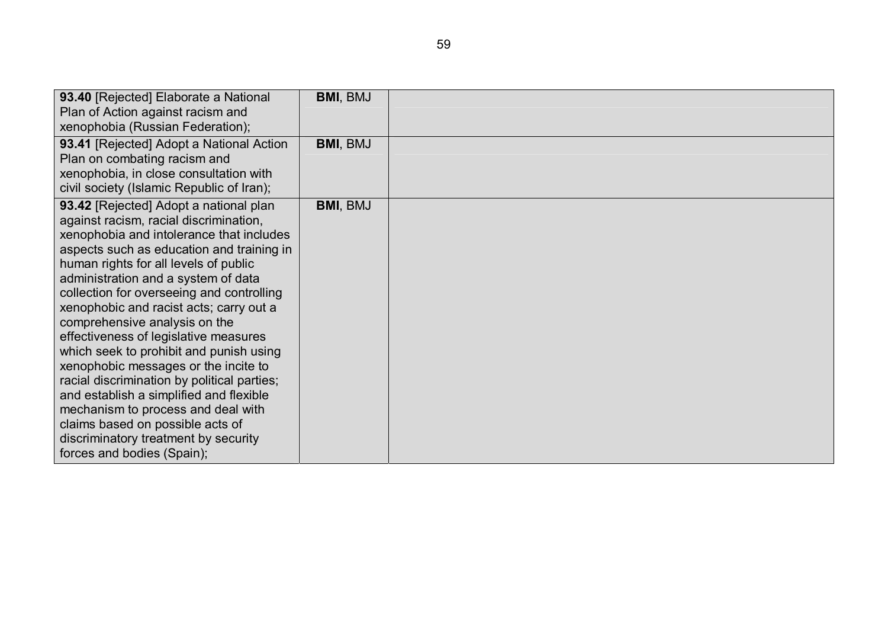| 93.40 [Rejected] Elaborate a National       | BMI, BMJ        |  |
|---------------------------------------------|-----------------|--|
| Plan of Action against racism and           |                 |  |
| xenophobia (Russian Federation);            |                 |  |
| 93.41 [Rejected] Adopt a National Action    | <b>BMI, BMJ</b> |  |
| Plan on combating racism and                |                 |  |
| xenophobia, in close consultation with      |                 |  |
| civil society (Islamic Republic of Iran);   |                 |  |
| 93.42 [Rejected] Adopt a national plan      | BMI, BMJ        |  |
| against racism, racial discrimination,      |                 |  |
| xenophobia and intolerance that includes    |                 |  |
| aspects such as education and training in   |                 |  |
| human rights for all levels of public       |                 |  |
| administration and a system of data         |                 |  |
| collection for overseeing and controlling   |                 |  |
| xenophobic and racist acts; carry out a     |                 |  |
| comprehensive analysis on the               |                 |  |
| effectiveness of legislative measures       |                 |  |
| which seek to prohibit and punish using     |                 |  |
| xenophobic messages or the incite to        |                 |  |
| racial discrimination by political parties; |                 |  |
| and establish a simplified and flexible     |                 |  |
| mechanism to process and deal with          |                 |  |
| claims based on possible acts of            |                 |  |
| discriminatory treatment by security        |                 |  |
| forces and bodies (Spain);                  |                 |  |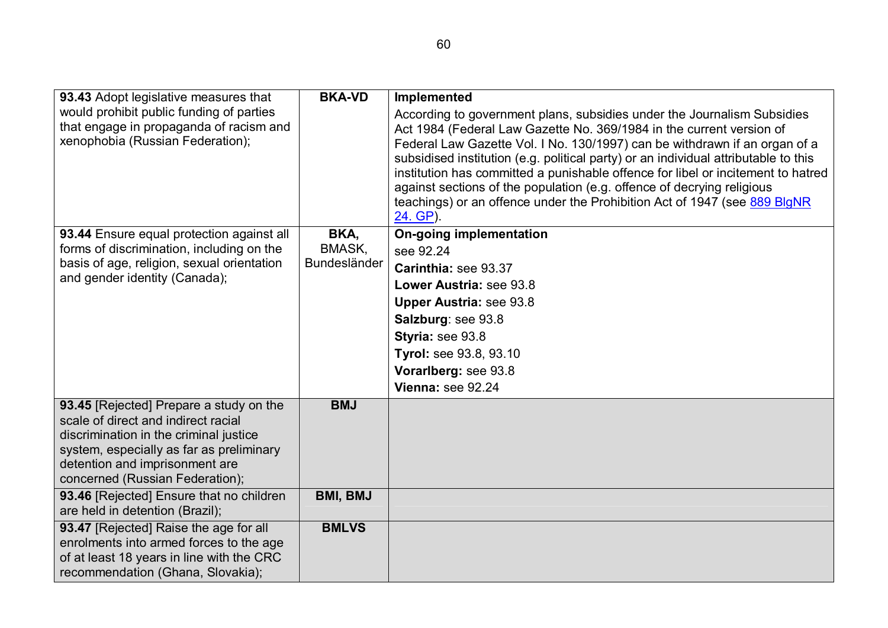| 93.43 Adopt legislative measures that                                                                                                                                                                                                     | <b>BKA-VD</b>          | Implemented                                                                                                                                                                                                                                                                                                                                                                                                                                                                                                                                                                 |
|-------------------------------------------------------------------------------------------------------------------------------------------------------------------------------------------------------------------------------------------|------------------------|-----------------------------------------------------------------------------------------------------------------------------------------------------------------------------------------------------------------------------------------------------------------------------------------------------------------------------------------------------------------------------------------------------------------------------------------------------------------------------------------------------------------------------------------------------------------------------|
| would prohibit public funding of parties<br>that engage in propaganda of racism and<br>xenophobia (Russian Federation);                                                                                                                   |                        | According to government plans, subsidies under the Journalism Subsidies<br>Act 1984 (Federal Law Gazette No. 369/1984 in the current version of<br>Federal Law Gazette Vol. I No. 130/1997) can be withdrawn if an organ of a<br>subsidised institution (e.g. political party) or an individual attributable to this<br>institution has committed a punishable offence for libel or incitement to hatred<br>against sections of the population (e.g. offence of decrying religious<br>teachings) or an offence under the Prohibition Act of 1947 (see 889 BlgNR<br>24. GP). |
| 93.44 Ensure equal protection against all                                                                                                                                                                                                 | BKA,                   | <b>On-going implementation</b>                                                                                                                                                                                                                                                                                                                                                                                                                                                                                                                                              |
| forms of discrimination, including on the<br>basis of age, religion, sexual orientation                                                                                                                                                   | BMASK,<br>Bundesländer | see 92.24                                                                                                                                                                                                                                                                                                                                                                                                                                                                                                                                                                   |
| and gender identity (Canada);                                                                                                                                                                                                             |                        | Carinthia: see 93.37                                                                                                                                                                                                                                                                                                                                                                                                                                                                                                                                                        |
|                                                                                                                                                                                                                                           |                        | Lower Austria: see 93.8                                                                                                                                                                                                                                                                                                                                                                                                                                                                                                                                                     |
|                                                                                                                                                                                                                                           |                        | <b>Upper Austria: see 93.8</b>                                                                                                                                                                                                                                                                                                                                                                                                                                                                                                                                              |
|                                                                                                                                                                                                                                           |                        | Salzburg: see 93.8                                                                                                                                                                                                                                                                                                                                                                                                                                                                                                                                                          |
|                                                                                                                                                                                                                                           |                        | Styria: see 93.8                                                                                                                                                                                                                                                                                                                                                                                                                                                                                                                                                            |
|                                                                                                                                                                                                                                           |                        | Tyrol: see 93.8, 93.10                                                                                                                                                                                                                                                                                                                                                                                                                                                                                                                                                      |
|                                                                                                                                                                                                                                           |                        | Vorarlberg: see 93.8                                                                                                                                                                                                                                                                                                                                                                                                                                                                                                                                                        |
|                                                                                                                                                                                                                                           |                        | Vienna: see 92.24                                                                                                                                                                                                                                                                                                                                                                                                                                                                                                                                                           |
| 93.45 [Rejected] Prepare a study on the<br>scale of direct and indirect racial<br>discrimination in the criminal justice<br>system, especially as far as preliminary<br>detention and imprisonment are<br>concerned (Russian Federation); | <b>BMJ</b>             |                                                                                                                                                                                                                                                                                                                                                                                                                                                                                                                                                                             |
| 93.46 [Rejected] Ensure that no children<br>are held in detention (Brazil);                                                                                                                                                               | <b>BMI, BMJ</b>        |                                                                                                                                                                                                                                                                                                                                                                                                                                                                                                                                                                             |
| 93.47 [Rejected] Raise the age for all<br>enrolments into armed forces to the age<br>of at least 18 years in line with the CRC<br>recommendation (Ghana, Slovakia);                                                                       | <b>BMLVS</b>           |                                                                                                                                                                                                                                                                                                                                                                                                                                                                                                                                                                             |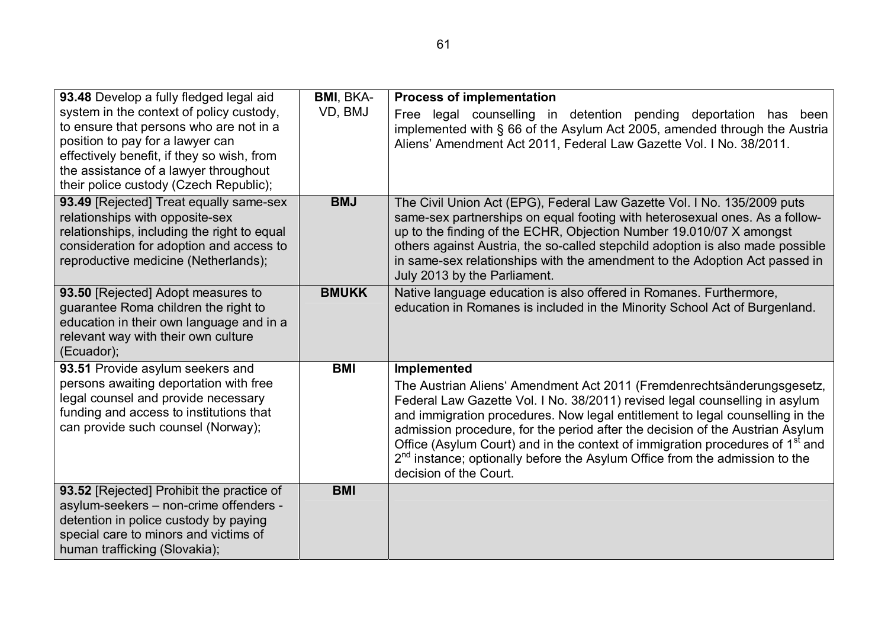| 93.48 Develop a fully fledged legal aid                                                                                                                                                                                                                  | <b>BMI, BKA-</b> | <b>Process of implementation</b>                                                                                                                                                                                                                                                                                                                                                                                                                                                                                                                      |
|----------------------------------------------------------------------------------------------------------------------------------------------------------------------------------------------------------------------------------------------------------|------------------|-------------------------------------------------------------------------------------------------------------------------------------------------------------------------------------------------------------------------------------------------------------------------------------------------------------------------------------------------------------------------------------------------------------------------------------------------------------------------------------------------------------------------------------------------------|
| system in the context of policy custody,<br>to ensure that persons who are not in a<br>position to pay for a lawyer can<br>effectively benefit, if they so wish, from<br>the assistance of a lawyer throughout<br>their police custody (Czech Republic); | VD, BMJ          | Free legal counselling in detention pending deportation has been<br>implemented with § 66 of the Asylum Act 2005, amended through the Austria<br>Aliens' Amendment Act 2011, Federal Law Gazette Vol. I No. 38/2011.                                                                                                                                                                                                                                                                                                                                  |
| 93.49 [Rejected] Treat equally same-sex<br>relationships with opposite-sex<br>relationships, including the right to equal<br>consideration for adoption and access to<br>reproductive medicine (Netherlands);                                            | <b>BMJ</b>       | The Civil Union Act (EPG), Federal Law Gazette Vol. I No. 135/2009 puts<br>same-sex partnerships on equal footing with heterosexual ones. As a follow-<br>up to the finding of the ECHR, Objection Number 19.010/07 X amongst<br>others against Austria, the so-called stepchild adoption is also made possible<br>in same-sex relationships with the amendment to the Adoption Act passed in<br>July 2013 by the Parliament.                                                                                                                         |
| 93.50 [Rejected] Adopt measures to<br>guarantee Roma children the right to<br>education in their own language and in a<br>relevant way with their own culture<br>(Ecuador);                                                                              | <b>BMUKK</b>     | Native language education is also offered in Romanes. Furthermore,<br>education in Romanes is included in the Minority School Act of Burgenland.                                                                                                                                                                                                                                                                                                                                                                                                      |
| 93.51 Provide asylum seekers and<br>persons awaiting deportation with free<br>legal counsel and provide necessary<br>funding and access to institutions that<br>can provide such counsel (Norway);                                                       | <b>BMI</b>       | <b>Implemented</b><br>The Austrian Aliens' Amendment Act 2011 (Fremdenrechtsänderungsgesetz,<br>Federal Law Gazette Vol. I No. 38/2011) revised legal counselling in asylum<br>and immigration procedures. Now legal entitlement to legal counselling in the<br>admission procedure, for the period after the decision of the Austrian Asylum<br>Office (Asylum Court) and in the context of immigration procedures of 1 <sup>st</sup> and<br>$2nd$ instance; optionally before the Asylum Office from the admission to the<br>decision of the Court. |
| 93.52 [Rejected] Prohibit the practice of<br>asylum-seekers - non-crime offenders -<br>detention in police custody by paying<br>special care to minors and victims of<br>human trafficking (Slovakia);                                                   | <b>BMI</b>       |                                                                                                                                                                                                                                                                                                                                                                                                                                                                                                                                                       |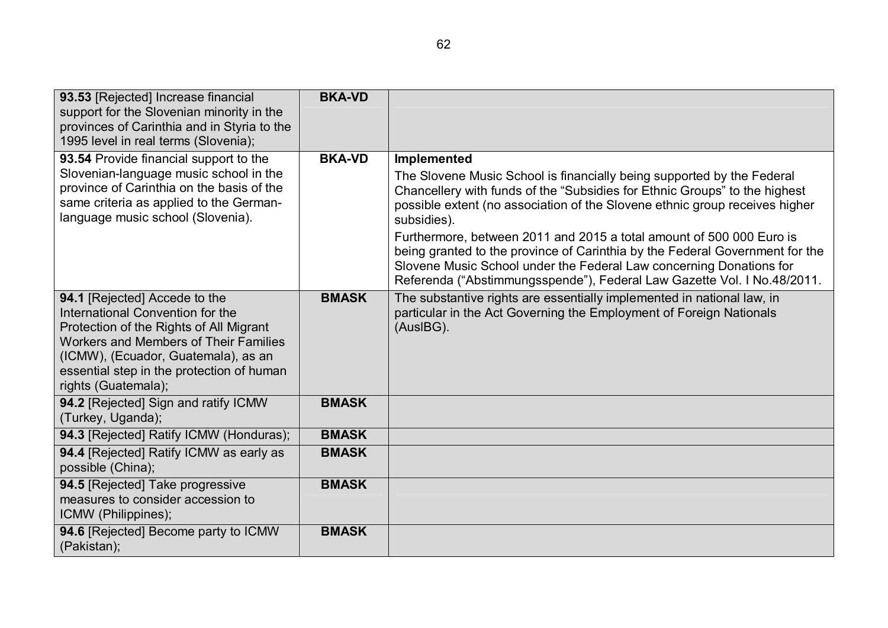| 93.53 [Rejected] Increase financial<br>support for the Slovenian minority in the<br>provinces of Carinthia and in Styria to the<br>1995 level in real terms (Slovenia);                                                                                          | <b>BKA-VD</b> |                                                                                                                                                                                                                                                                                                                                                                                                                                                                                                                                                                                    |
|------------------------------------------------------------------------------------------------------------------------------------------------------------------------------------------------------------------------------------------------------------------|---------------|------------------------------------------------------------------------------------------------------------------------------------------------------------------------------------------------------------------------------------------------------------------------------------------------------------------------------------------------------------------------------------------------------------------------------------------------------------------------------------------------------------------------------------------------------------------------------------|
| 93.54 Provide financial support to the<br>Slovenian-language music school in the<br>province of Carinthia on the basis of the<br>same criteria as applied to the German-<br>language music school (Slovenia).                                                    | <b>BKA-VD</b> | <b>Implemented</b><br>The Slovene Music School is financially being supported by the Federal<br>Chancellery with funds of the "Subsidies for Ethnic Groups" to the highest<br>possible extent (no association of the Slovene ethnic group receives higher<br>subsidies).<br>Furthermore, between 2011 and 2015 a total amount of 500 000 Euro is<br>being granted to the province of Carinthia by the Federal Government for the<br>Slovene Music School under the Federal Law concerning Donations for<br>Referenda ("Abstimmungsspende"), Federal Law Gazette Vol. I No.48/2011. |
| 94.1 [Rejected] Accede to the<br>International Convention for the<br>Protection of the Rights of All Migrant<br>Workers and Members of Their Families<br>(ICMW), (Ecuador, Guatemala), as an<br>essential step in the protection of human<br>rights (Guatemala); | <b>BMASK</b>  | The substantive rights are essentially implemented in national law, in<br>particular in the Act Governing the Employment of Foreign Nationals<br>(AusIBG).                                                                                                                                                                                                                                                                                                                                                                                                                         |
| 94.2 [Rejected] Sign and ratify ICMW<br>(Turkey, Uganda);                                                                                                                                                                                                        | <b>BMASK</b>  |                                                                                                                                                                                                                                                                                                                                                                                                                                                                                                                                                                                    |
| 94.3 [Rejected] Ratify ICMW (Honduras);                                                                                                                                                                                                                          | <b>BMASK</b>  |                                                                                                                                                                                                                                                                                                                                                                                                                                                                                                                                                                                    |
| 94.4 [Rejected] Ratify ICMW as early as<br>possible (China);                                                                                                                                                                                                     | <b>BMASK</b>  |                                                                                                                                                                                                                                                                                                                                                                                                                                                                                                                                                                                    |
| 94.5 [Rejected] Take progressive<br>measures to consider accession to<br>ICMW (Philippines);                                                                                                                                                                     | <b>BMASK</b>  |                                                                                                                                                                                                                                                                                                                                                                                                                                                                                                                                                                                    |
| 94.6 [Rejected] Become party to ICMW<br>(Pakistan);                                                                                                                                                                                                              | <b>BMASK</b>  |                                                                                                                                                                                                                                                                                                                                                                                                                                                                                                                                                                                    |